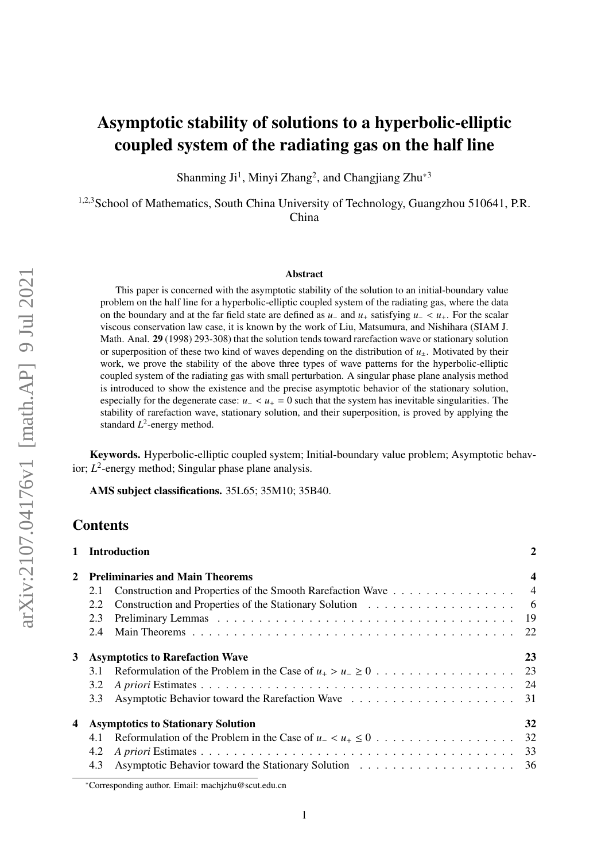# Asymptotic stability of solutions to a hyperbolic-elliptic coupled system of the radiating gas on the half line

Shanming Ji<sup>1</sup>, Minyi Zhang<sup>2</sup>, and Changjiang Zhu<sup>\*3</sup>

<sup>1,2,3</sup>School of Mathematics, South China University of Technology, Guangzhou 510641, P.R. China

#### Abstract

This paper is concerned with the asymptotic stability of the solution to an initial-boundary value problem on the half line for a hyperbolic-elliptic coupled system of the radiating gas, where the data on the boundary and at the far field state are defined as *<sup>u</sup>*<sup>−</sup> and *<sup>u</sup>*<sup>+</sup> satisfying *<sup>u</sup>*<sup>−</sup> <sup>&</sup>lt; *<sup>u</sup>*+. For the scalar viscous conservation law case, it is known by the work of Liu, Matsumura, and Nishihara (SIAM J. Math. Anal. 29 (1998) 293-308) that the solution tends toward rarefaction wave or stationary solution or superposition of these two kind of waves depending on the distribution of  $u_{\pm}$ . Motivated by their work, we prove the stability of the above three types of wave patterns for the hyperbolic-elliptic coupled system of the radiating gas with small perturbation. A singular phase plane analysis method is introduced to show the existence and the precise asymptotic behavior of the stationary solution, especially for the degenerate case: *<sup>u</sup>*<sup>−</sup> <sup>&</sup>lt; *<sup>u</sup>*<sup>+</sup> <sup>=</sup> 0 such that the system has inevitable singularities. The stability of rarefaction wave, stationary solution, and their superposition, is proved by applying the standard *L* 2 -energy method.

Keywords. Hyperbolic-elliptic coupled system; Initial-boundary value problem; Asymptotic behavior; *L* 2 -energy method; Singular phase plane analysis.

AMS subject classifications. 35L65; 35M10; 35B40.

# **Contents**

|              | 1 Introduction                                                      | $\overline{2}$ |
|--------------|---------------------------------------------------------------------|----------------|
| $\mathbf{2}$ | <b>Preliminaries and Main Theorems</b>                              | 4              |
|              | Construction and Properties of the Smooth Rarefaction Wave 4<br>2.1 |                |
|              | 2.2                                                                 |                |
|              | 2.3                                                                 |                |
|              | 2.4                                                                 |                |
| 3            | <b>Asymptotics to Rarefaction Wave</b>                              | 23             |
|              | 3.1                                                                 |                |
|              | 3.2                                                                 |                |
|              | 3.3                                                                 |                |
| 4            | <b>Asymptotics to Stationary Solution</b>                           | 32             |
|              | 4.1                                                                 |                |
|              | 4.2                                                                 |                |
|              | 4.3                                                                 |                |

<sup>\*</sup>Corresponding author. Email: machjzhu@scut.edu.cn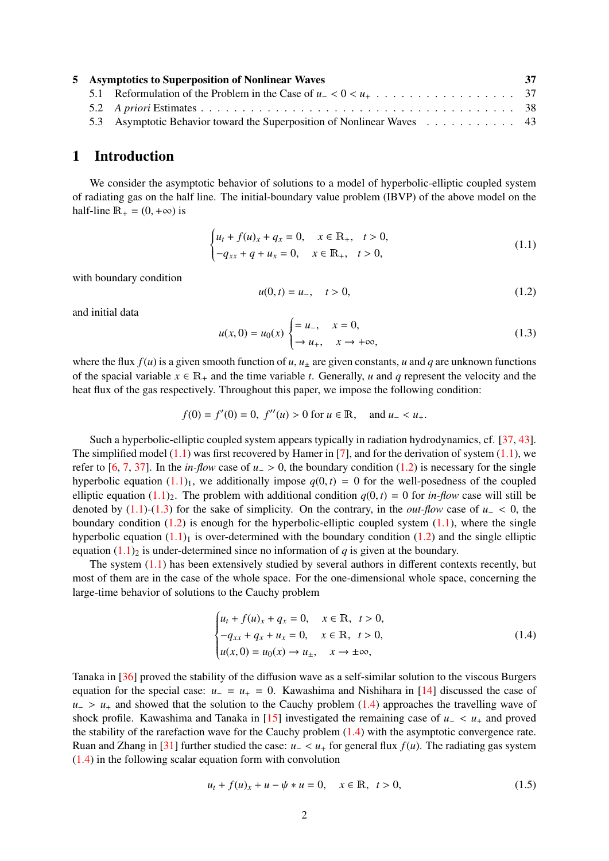| 5 Asymptotics to Superposition of Nonlinear Waves |                                                                        |  |
|---------------------------------------------------|------------------------------------------------------------------------|--|
|                                                   |                                                                        |  |
|                                                   |                                                                        |  |
|                                                   | 5.3 Asymptotic Behavior toward the Superposition of Nonlinear Waves 43 |  |

# <span id="page-1-0"></span>1 Introduction

We consider the asymptotic behavior of solutions to a model of hyperbolic-elliptic coupled system of radiating gas on the half line. The initial-boundary value problem (IBVP) of the above model on the half-line  $\mathbb{R}_+ = (0, +\infty)$  is

<span id="page-1-1"></span>
$$
\begin{cases} u_t + f(u)_x + q_x = 0, & x \in \mathbb{R}_+, \quad t > 0, \\ -q_{xx} + q + u_x = 0, & x \in \mathbb{R}_+, \quad t > 0, \end{cases}
$$
 (1.1)

with boundary condition

<span id="page-1-2"></span>
$$
u(0,t) = u_-, \quad t > 0,
$$
\n(1.2)

and initial data

<span id="page-1-3"></span>
$$
u(x,0) = u_0(x) \begin{cases} = u_-, & x = 0, \\ \to u_+, & x \to +\infty, \end{cases}
$$
 (1.3)

where the flux  $f(u)$  is a given smooth function of  $u$ ,  $u_{\pm}$  are given constants,  $u$  and  $q$  are unknown functions of the spacial variable  $x \in \mathbb{R}_+$  and the time variable *t*. Generally, *u* and *q* represent the velocity and the heat flux of the gas respectively. Throughout this paper, we impose the following condition:

$$
f(0) = f'(0) = 0
$$
,  $f''(u) > 0$  for  $u \in \mathbb{R}$ , and  $u_- < u_+$ .

Such a hyperbolic-elliptic coupled system appears typically in radiation hydrodynamics, cf. [\[37,](#page-45-0) [43\]](#page-45-1). The simplified model [\(1.1\)](#page-1-1) was first recovered by Hamer in [\[7\]](#page-43-0), and for the derivation of system [\(1.1\)](#page-1-1), we refer to [\[6,](#page-43-1) [7,](#page-43-0) [37\]](#page-45-0). In the *in-flow* case of  $u > 0$ , the boundary condition [\(1.2\)](#page-1-2) is necessary for the single hyperbolic equation  $(1.1)_1$  $(1.1)_1$ , we additionally impose  $q(0, t) = 0$  for the well-posedness of the coupled elliptic equation  $(1.1)_2$  $(1.1)_2$ . The problem with additional condition  $q(0, t) = 0$  for *in-flow* case will still be denoted by  $(1.1)-(1.3)$  $(1.1)-(1.3)$  $(1.1)-(1.3)$  for the sake of simplicity. On the contrary, in the *out-flow* case of  $u<sub>−</sub> < 0$ , the boundary condition  $(1.2)$  is enough for the hyperbolic-elliptic coupled system  $(1.1)$ , where the single hyperbolic equation  $(1.1)<sub>1</sub>$  $(1.1)<sub>1</sub>$  is over-determined with the boundary condition [\(1.2\)](#page-1-2) and the single elliptic equation  $(1.1)_2$  $(1.1)_2$  is under-determined since no information of *q* is given at the boundary.

The system  $(1.1)$  has been extensively studied by several authors in different contexts recently, but most of them are in the case of the whole space. For the one-dimensional whole space, concerning the large-time behavior of solutions to the Cauchy problem

<span id="page-1-4"></span>
$$
\begin{cases} u_t + f(u)_x + q_x = 0, & x \in \mathbb{R}, \ t > 0, \\ -q_{xx} + q_x + u_x = 0, & x \in \mathbb{R}, \ t > 0, \\ u(x, 0) = u_0(x) \to u_{\pm}, & x \to \pm \infty, \end{cases}
$$
(1.4)

Tanaka in [\[36\]](#page-45-2) proved the stability of the diffusion wave as a self-similar solution to the viscous Burgers equation for the special case:  $u_-=u_+=0$ . Kawashima and Nishihara in [\[14\]](#page-44-0) discussed the case of  $u_$  >  $u_+$  and showed that the solution to the Cauchy problem [\(1.4\)](#page-1-4) approaches the travelling wave of shock profile. Kawashima and Tanaka in [\[15\]](#page-44-1) investigated the remaining case of *<sup>u</sup>*<sup>−</sup> <sup>&</sup>lt; *<sup>u</sup>*<sup>+</sup> and proved the stability of the rarefaction wave for the Cauchy problem  $(1.4)$  with the asymptotic convergence rate. Ruan and Zhang in [\[31\]](#page-44-2) further studied the case:  $u<sub>−</sub> < u<sub>+</sub>$  for general flux  $f(u)$ . The radiating gas system [\(1.4\)](#page-1-4) in the following scalar equation form with convolution

<span id="page-1-5"></span>
$$
u_t + f(u)_x + u - \psi * u = 0, \quad x \in \mathbb{R}, \ t > 0,
$$
 (1.5)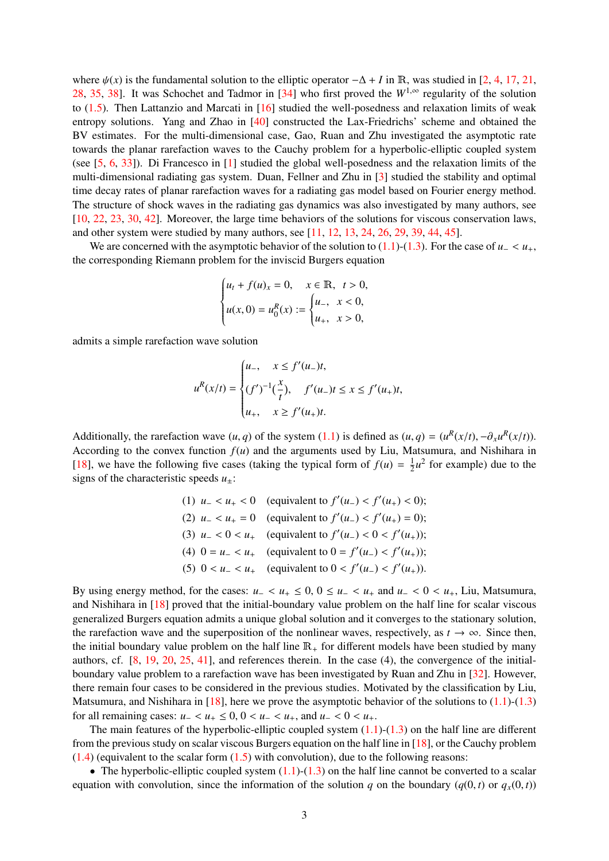where  $\psi(x)$  is the fundamental solution to the elliptic operator  $-\Delta + I$  in R, was studied in [\[2,](#page-43-2) [4,](#page-43-3) [17,](#page-44-3) [21,](#page-44-4) [28,](#page-44-5) [35,](#page-45-3) [38\]](#page-45-4). It was Schochet and Tadmor in [\[34\]](#page-45-5) who first proved the  $W^{1,\infty}$  regularity of the solution to [\(1.5\)](#page-1-5). Then Lattanzio and Marcati in [\[16\]](#page-44-6) studied the well-posedness and relaxation limits of weak entropy solutions. Yang and Zhao in [\[40\]](#page-45-6) constructed the Lax-Friedrichs' scheme and obtained the BV estimates. For the multi-dimensional case, Gao, Ruan and Zhu investigated the asymptotic rate towards the planar rarefaction waves to the Cauchy problem for a hyperbolic-elliptic coupled system (see [\[5,](#page-43-4) [6,](#page-43-1) [33\]](#page-45-7)). Di Francesco in [\[1\]](#page-43-5) studied the global well-posedness and the relaxation limits of the multi-dimensional radiating gas system. Duan, Fellner and Zhu in [\[3\]](#page-43-6) studied the stability and optimal time decay rates of planar rarefaction waves for a radiating gas model based on Fourier energy method. The structure of shock waves in the radiating gas dynamics was also investigated by many authors, see [\[10,](#page-43-7) [22,](#page-44-7) [23,](#page-44-8) [30,](#page-44-9) [42\]](#page-45-8). Moreover, the large time behaviors of the solutions for viscous conservation laws, and other system were studied by many authors, see  $[11, 12, 13, 24, 26, 29, 39, 44, 45]$  $[11, 12, 13, 24, 26, 29, 39, 44, 45]$  $[11, 12, 13, 24, 26, 29, 39, 44, 45]$  $[11, 12, 13, 24, 26, 29, 39, 44, 45]$  $[11, 12, 13, 24, 26, 29, 39, 44, 45]$  $[11, 12, 13, 24, 26, 29, 39, 44, 45]$  $[11, 12, 13, 24, 26, 29, 39, 44, 45]$  $[11, 12, 13, 24, 26, 29, 39, 44, 45]$  $[11, 12, 13, 24, 26, 29, 39, 44, 45]$  $[11, 12, 13, 24, 26, 29, 39, 44, 45]$  $[11, 12, 13, 24, 26, 29, 39, 44, 45]$  $[11, 12, 13, 24, 26, 29, 39, 44, 45]$  $[11, 12, 13, 24, 26, 29, 39, 44, 45]$  $[11, 12, 13, 24, 26, 29, 39, 44, 45]$  $[11, 12, 13, 24, 26, 29, 39, 44, 45]$  $[11, 12, 13, 24, 26, 29, 39, 44, 45]$  $[11, 12, 13, 24, 26, 29, 39, 44, 45]$ .

We are concerned with the asymptotic behavior of the solution to  $(1.1)-(1.3)$  $(1.1)-(1.3)$  $(1.1)-(1.3)$ . For the case of *u*<sub>−</sub>  $\lt u_+$ , the corresponding Riemann problem for the inviscid Burgers equation

$$
\begin{cases} u_t + f(u)_x = 0, & x \in \mathbb{R}, \ t > 0, \\ u(x, 0) = u_0^R(x) := \begin{cases} u_-, & x < 0, \\ u_+, & x > 0, \end{cases} \end{cases}
$$

admits a simple rarefaction wave solution

$$
u^{R}(x/t) = \begin{cases} u_{-}, & x \le f'(u_{-})t, \\ (f')^{-1}(\frac{x}{t}), & f'(u_{-})t \le x \le f'(u_{+})t, \\ u_{+}, & x \ge f'(u_{+})t. \end{cases}
$$

Additionally, the rarefaction wave  $(u, q)$  of the system [\(1.1\)](#page-1-1) is defined as  $(u, q) = (u^R(x/t), -\partial_x u^R(x/t))$ .<br>According to the convex function  $f(u)$  and the arguments used by Liu Matsumura, and Nishihara in According to the convex function  $f(u)$  and the arguments used by Liu, Matsumura, and Nishihara in [\[18\]](#page-44-14), we have the following five cases (taking the typical form of  $f(u) = \frac{1}{2}$  $\frac{1}{2}u^2$  for example) due to the signs of the characteristic speeds  $u_{+}$ :

\n- (1) 
$$
u_{-} < u_{+} < 0
$$
 (equivalent to  $f'(u_{-}) < f'(u_{+}) < 0)$ ;
\n- (2)  $u_{-} < u_{+} = 0$  (equivalent to  $f'(u_{-}) < f'(u_{+}) = 0)$ ;
\n- (3)  $u_{-} < 0 < u_{+}$  (equivalent to  $f'(u_{-}) < 0 < f'(u_{+})$ );
\n- (4)  $0 = u_{-} < u_{+}$  (equivalent to  $0 = f'(u_{-}) < f'(u_{+})$ );
\n- (5)  $0 < u_{-} < u_{+}$  (equivalent to  $0 < f'(u_{-}) < f'(u_{+})$ ).
\n

By using energy method, for the cases:  $u_- < u_+ \le 0$ ,  $0 \le u_- < u_+$  and  $u_- < 0 < u_+$ , Liu, Matsumura, and Nishihara in [\[18\]](#page-44-14) proved that the initial-boundary value problem on the half line for scalar viscous generalized Burgers equation admits a unique global solution and it converges to the stationary solution, the rarefaction wave and the superposition of the nonlinear waves, respectively, as  $t \to \infty$ . Since then, the initial boundary value problem on the half line  $\mathbb{R}_+$  for different models have been studied by many authors, cf. [\[8,](#page-43-10) [19,](#page-44-15) [20,](#page-44-16) [25,](#page-44-17) [41\]](#page-45-12), and references therein. In the case (4), the convergence of the initialboundary value problem to a rarefaction wave has been investigated by Ruan and Zhu in [\[32\]](#page-44-18). However, there remain four cases to be considered in the previous studies. Motivated by the classification by Liu, Matsumura, and Nishihara in  $[18]$ , here we prove the asymptotic behavior of the solutions to  $(1.1)-(1.3)$  $(1.1)-(1.3)$  $(1.1)-(1.3)$ for all remaining cases:  $u_+ < u_+ \leq 0$ ,  $0 < u_- < u_+$ , and  $u_- < 0 < u_+$ .

The main features of the hyperbolic-elliptic coupled system  $(1.1)-(1.3)$  $(1.1)-(1.3)$  $(1.1)-(1.3)$  on the half line are different from the previous study on scalar viscous Burgers equation on the half line in [\[18\]](#page-44-14), or the Cauchy problem  $(1.4)$  (equivalent to the scalar form  $(1.5)$  with convolution), due to the following reasons:

• The hyperbolic-elliptic coupled system  $(1.1)$ - $(1.3)$  on the half line cannot be converted to a scalar equation with convolution, since the information of the solution *q* on the boundary  $(q(0, t)$  or  $q_x(0, t)$ )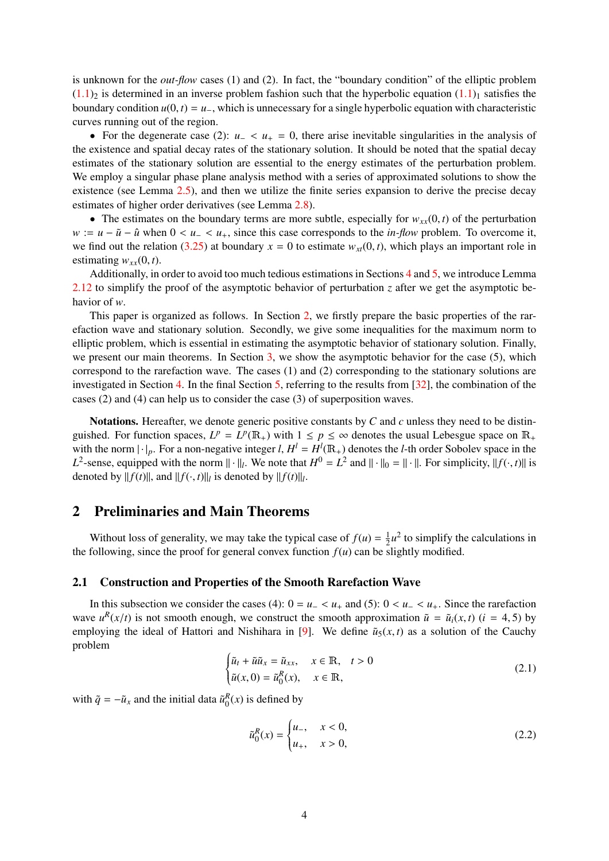is unknown for the *out-flow* cases (1) and (2). In fact, the "boundary condition" of the elliptic problem  $(1.1)$ <sub>2</sub> is determined in an inverse problem fashion such that the hyperbolic equation  $(1.1)$ <sub>1</sub> satisfies the boundary condition  $u(0, t) = u_-\$ , which is unnecessary for a single hyperbolic equation with characteristic curves running out of the region.

• For the degenerate case (2): *<sup>u</sup>*<sup>−</sup> <sup>&</sup>lt; *<sup>u</sup>*<sup>+</sup> <sup>=</sup> 0, there arise inevitable singularities in the analysis of the existence and spatial decay rates of the stationary solution. It should be noted that the spatial decay estimates of the stationary solution are essential to the energy estimates of the perturbation problem. We employ a singular phase plane analysis method with a series of approximated solutions to show the existence (see Lemma [2.5\)](#page-6-0), and then we utilize the finite series expansion to derive the precise decay estimates of higher order derivatives (see Lemma [2.8\)](#page-11-0).

• The estimates on the boundary terms are more subtle, especially for  $w_{xx}(0, t)$  of the perturbation  $w := u - \tilde{u} - \hat{u}$  when  $0 < u - \langle u_+, \text{ since this case corresponds to the *in-flow* problem. To overcome it,$ we find out the relation [\(3.25\)](#page-27-0) at boundary  $x = 0$  to estimate  $w_{xt}(0, t)$ , which plays an important role in estimating  $w_{xx}(0, t)$ .

Additionally, in order to avoid too much tedious estimations in Sections [4](#page-31-0) and [5,](#page-36-0) we introduce Lemma [2.12](#page-19-0) to simplify the proof of the asymptotic behavior of perturbation *z* after we get the asymptotic behavior of *w*.

This paper is organized as follows. In Section [2,](#page-3-0) we firstly prepare the basic properties of the rarefaction wave and stationary solution. Secondly, we give some inequalities for the maximum norm to elliptic problem, which is essential in estimating the asymptotic behavior of stationary solution. Finally, we present our main theorems. In Section [3,](#page-22-0) we show the asymptotic behavior for the case (5), which correspond to the rarefaction wave. The cases (1) and (2) corresponding to the stationary solutions are investigated in Section [4.](#page-31-0) In the final Section [5,](#page-36-0) referring to the results from [\[32\]](#page-44-18), the combination of the cases (2) and (4) can help us to consider the case (3) of superposition waves.

Notations. Hereafter, we denote generic positive constants by *C* and *c* unless they need to be distinguished. For function spaces,  $L^p = L^p(\mathbb{R}_+)$  with  $1 \leq p \leq \infty$  denotes the usual Lebesgue space on  $\mathbb{R}_+$ with the norm  $|\cdot|_p$ . For a non-negative integer *l*,  $H^l = H^l(\mathbb{R}_+)$  denotes the *l*-th order Sobolev space in the *L*<sup>2</sup>-sense, equipped with the norm  $\|\cdot\|_l$ . We note that  $H^0 = L^2$  and  $\|\cdot\|_0 = \|\cdot\|$ . For simplicity,  $\|f(\cdot, t)\|$  is denoted by  $\|f(t)\|$ . denoted by  $||f(t)||$ , and  $||f(\cdot, t)||_l$  is denoted by  $||f(t)||_l$ .

# <span id="page-3-0"></span>2 Preliminaries and Main Theorems

Without loss of generality, we may take the typical case of  $f(u) = \frac{1}{2}$  $\frac{1}{2}u^2$  to simplify the calculations in the following, since the proof for general convex function  $f(u)$  can be slightly modified.

## <span id="page-3-1"></span>2.1 Construction and Properties of the Smooth Rarefaction Wave

In this subsection we consider the cases (4):  $0 = u_0 < u_+$  and (5):  $0 < u_- < u_+$ . Since the rarefaction wave  $u^R(x/t)$  is not smooth enough, we construct the smooth approximation  $\tilde{u} = \tilde{u}_i(x, t)$  ( $i = 4, 5$ ) by employing the ideal of Hattori and Nishibara in [9]. We define  $\tilde{u}_i(x, t)$  as a solution of the Cauchy employing the ideal of Hattori and Nishihara in [\[9\]](#page-43-11). We define  $\tilde{u}_5(x, t)$  as a solution of the Cauchy problem

<span id="page-3-2"></span>
$$
\begin{cases} \tilde{u}_t + \tilde{u}\tilde{u}_x = \tilde{u}_{xx}, & x \in \mathbb{R}, \quad t > 0 \\ \tilde{u}(x, 0) = \tilde{u}_0^R(x), & x \in \mathbb{R}, \end{cases}
$$
 (2.1)

with  $\tilde{q} = -\tilde{u}_x$  and the initial data  $\tilde{u}_0^R(x)$  is defined by

<span id="page-3-3"></span>
$$
\tilde{u}_0^R(x) = \begin{cases} u_-, & x < 0, \\ u_+, & x > 0, \end{cases}
$$
\n(2.2)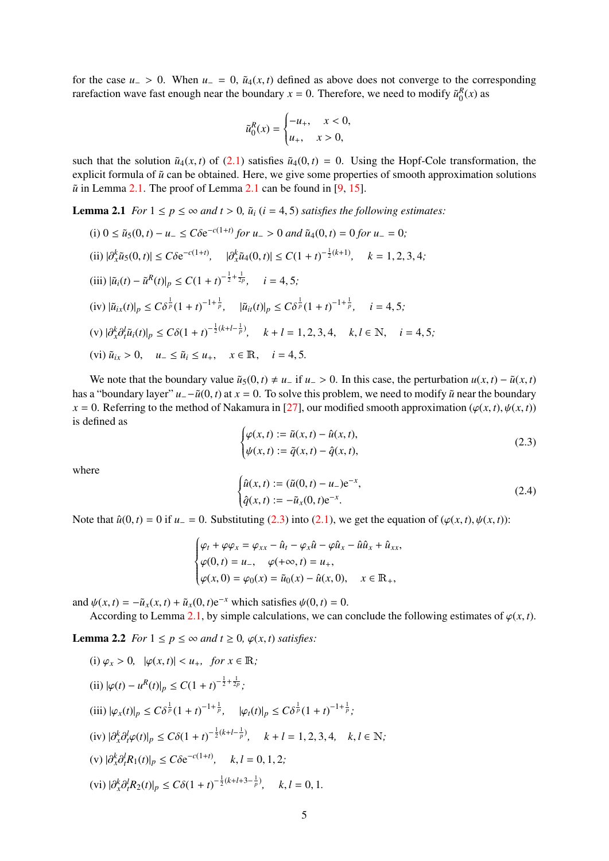for the case  $u_$  > 0. When  $u_$  = 0,  $\tilde{u}_4(x,t)$  defined as above does not converge to the corresponding rarefaction wave fast enough near the boundary  $x = 0$ . Therefore, we need to modify  $\tilde{u}_0^R(x)$  as

$$
\tilde{u}_0^R(x) = \begin{cases} -u_+, & x < 0, \\ u_+, & x > 0, \end{cases}
$$

such that the solution  $\tilde{u}_4(x, t)$  of [\(2.1\)](#page-3-2) satisfies  $\tilde{u}_4(0, t) = 0$ . Using the Hopf-Cole transformation, the explicit formula of  $\tilde{u}$  can be obtained. Here, we give some properties of smooth approximation solutions  $\tilde{u}$  in Lemma [2.1.](#page-4-0) The proof of Lemma [2.1](#page-4-0) can be found in [\[9,](#page-43-11) [15\]](#page-44-1).

<span id="page-4-0"></span>**Lemma 2.1** *For*  $1 \leq p \leq \infty$  *and*  $t > 0$ ,  $\tilde{u}_i$  ( $i = 4, 5$ ) *satisfies the following estimates:* 

(i) 0 ≤  $\tilde{u}_5(0, t) - u_-\leq C\delta e^{-c(1+t)}$  *for*  $u_-\geq 0$  *and*  $\tilde{u}_4(0, t) = 0$  *for*  $u_-\geq 0$ *;*  $| \partial_x^k \tilde{u}_5(0, t) | \leq C \delta e^{-c(1+t)}, \quad |\partial_x^k \tilde{u}_4(0, t) | \leq C(1+t)^{-\frac{1}{2}(k+1)}, \quad k = 1, 2, 3, 4;$  $(iii)$   $|\tilde{u}_i(t) - \tilde{u}^R(t)|_p \leq C(1+t)^{-\frac{1}{2} + \frac{1}{2p}}, \quad i = 4, 5;$  $(iv)$   $|\tilde{u}_{ix}(t)|_p \leq C\delta^{\frac{1}{p}}(1+t)^{-1+\frac{1}{p}}, \quad |\tilde{u}_{it}(t)|_p \leq C\delta^{\frac{1}{p}}(1+t)^{-1+\frac{1}{p}}, \quad i=4,5;$ (v)  $|\partial_x^k \partial_t^l \tilde{u}_i(t)|_p \leq C\delta(1+t)^{-\frac{1}{2}(k+l-\frac{1}{p})}, \quad k+l=1,2,3,4, \quad k,l \in \mathbb{N}, \quad i=4,5;$ (vi)  $\tilde{u}_{ix} > 0$ ,  $u_{-} \le \tilde{u}_i \le u_+$ ,  $x \in \mathbb{R}$ ,  $i = 4, 5$ .

We note that the boundary value  $\tilde{u}_5(0, t) \neq u_0$  if  $u_0 > 0$ . In this case, the perturbation  $u(x, t) - \tilde{u}(x, t)$ has a "boundary layer"  $u_-\tilde{u}(0, t)$  at  $x = 0$ . To solve this problem, we need to modify  $\tilde{u}$  near the boundary  $x = 0$ . Referring to the method of Nakamura in [\[27\]](#page-44-19), our modified smooth approximation ( $\varphi(x, t)$ ,  $\psi(x, t)$ ) is defined as

<span id="page-4-1"></span>
$$
\begin{cases}\n\varphi(x,t) := \tilde{u}(x,t) - \hat{u}(x,t), \\
\psi(x,t) := \tilde{q}(x,t) - \hat{q}(x,t),\n\end{cases}
$$
\n(2.3)

where

$$
\begin{cases}\n\hat{u}(x,t) := (\tilde{u}(0,t) - u_{-})e^{-x}, \\
\hat{q}(x,t) := -\tilde{u}_{x}(0,t)e^{-x}.\n\end{cases}
$$
\n(2.4)

Note that  $\hat{u}(0, t) = 0$  if  $u_0 = 0$ . Substituting [\(2.3\)](#page-4-1) into [\(2.1\)](#page-3-2), we get the equation of ( $\varphi(x, t), \psi(x, t)$ ):

$$
\begin{cases} \varphi_t + \varphi \varphi_x = \varphi_{xx} - \hat{u}_t - \varphi_x \hat{u} - \varphi \hat{u}_x - \hat{u} \hat{u}_x + \hat{u}_{xx}, \\ \varphi(0, t) = u_-, \quad \varphi(+\infty, t) = u_+, \\ \varphi(x, 0) = \varphi_0(x) = \tilde{u}_0(x) - \hat{u}(x, 0), \quad x \in \mathbb{R}_+, \end{cases}
$$

and  $\psi(x, t) = -\tilde{u}_x(x, t) + \tilde{u}_x(0, t)e^{-x}$  which satisfies  $\psi(0, t) = 0$ .

According to Lemma [2.1,](#page-4-0) by simple calculations, we can conclude the following estimates of  $\varphi(x, t)$ .

<span id="page-4-2"></span>**Lemma 2.2** *For*  $1 \leq p \leq \infty$  *and*  $t \geq 0$ *,*  $\varphi(x, t)$  *satisfies:* 

(i) 
$$
\varphi_x > 0
$$
,  $|\varphi(x, t)| < u_+$ , for  $x \in \mathbb{R}$ ;  
\n(ii)  $|\varphi(t) - u^R(t)|_p \le C(1 + t)^{-\frac{1}{2} + \frac{1}{2p}}$ ;  
\n(iii)  $|\varphi_x(t)|_p \le C\delta^{\frac{1}{p}}(1 + t)^{-1 + \frac{1}{p}}$ ,  $|\varphi_t(t)|_p \le C\delta^{\frac{1}{p}}(1 + t)^{-1 + \frac{1}{p}}$ ;  
\n(iv)  $|\partial_x^k \partial_t^l \varphi(t)|_p \le C\delta(1 + t)^{-\frac{1}{2}(k + l - \frac{1}{p})}$ ,  $k + l = 1, 2, 3, 4$ ,  $k, l \in \mathbb{N}$ ;  
\n(v)  $|\partial_x^k \partial_t^l R_1(t)|_p \le C\delta e^{-c(1+t)}$ ,  $k, l = 0, 1, 2$ ;  
\n(vi)  $|\partial_x^k \partial_t^l R_2(t)|_p \le C\delta(1 + t)^{-\frac{1}{2}(k + l + 3 - \frac{1}{p})}$ ,  $k, l = 0, 1$ .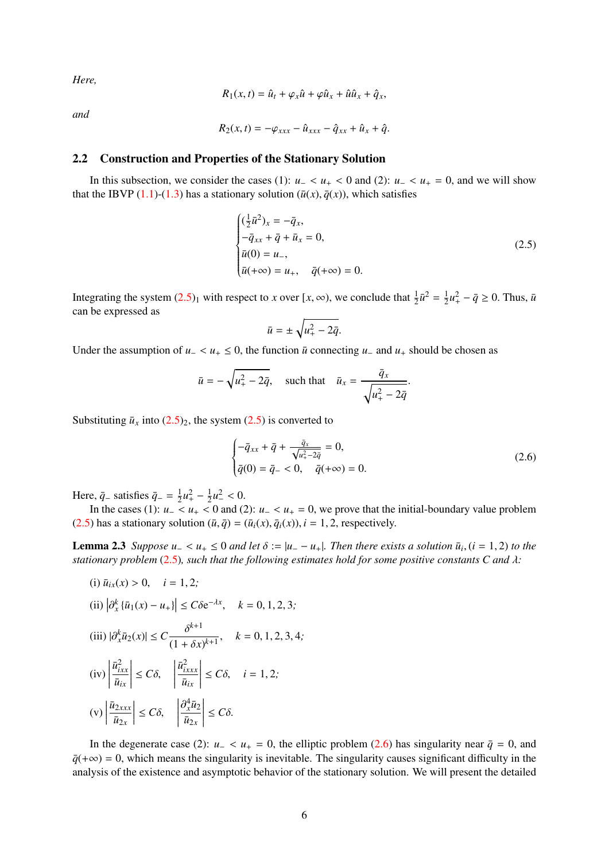*Here,*

$$
R_1(x,t) = \hat{u}_t + \varphi_x \hat{u} + \varphi \hat{u}_x + \hat{u} \hat{u}_x + \hat{q}_x,
$$

*and*

$$
R_2(x,t)=-\varphi_{xxx}-\hat{u}_{xxx}-\hat{q}_{xx}+\hat{u}_x+\hat{q}.
$$

## <span id="page-5-0"></span>2.2 Construction and Properties of the Stationary Solution

In this subsection, we consider the cases (1):  $u- < u<sub>+</sub> < 0$  and (2):  $u- < u<sub>+</sub> = 0$ , and we will show that the IBVP [\(1.1\)](#page-1-1)-[\(1.3\)](#page-1-3) has a stationary solution ( $\bar{u}(x)$ ,  $\bar{q}(x)$ ), which satisfies

<span id="page-5-1"></span>
$$
\begin{cases}\n(\frac{1}{2}\bar{u}^2)_x = -\bar{q}_x, \\
-\bar{q}_{xx} + \bar{q} + \bar{u}_x = 0, \\
\bar{u}(0) = u_-, \\
\bar{u}(+\infty) = u_+, \quad \bar{q}(+\infty) = 0.\n\end{cases}
$$
\n(2.5)

Integrating the system  $(2.5)_1$  $(2.5)_1$  with respect to *x* over  $[x, \infty)$ , we conclude that  $\frac{1}{2}\bar{u}^2 = \frac{1}{2}$  $\frac{1}{2}u_+^2 - \bar{q} \ge 0$ . Thus,  $\bar{u}$ can be expressed as

$$
\bar{u} = \pm \sqrt{u_+^2 - 2\bar{q}}.
$$

Under the assumption of  $u$  − <  $u$  + ≤ 0, the function  $\bar{u}$  connecting  $u$  and  $u$  + should be chosen as

$$
\bar{u} = -\sqrt{u_+^2 - 2\bar{q}}, \quad \text{such that} \quad \bar{u}_x = \frac{\bar{q}_x}{\sqrt{u_+^2 - 2\bar{q}}}.
$$

Substituting  $\bar{u}_x$  into  $(2.5)_2$  $(2.5)_2$ , the system  $(2.5)$  is converted to

<span id="page-5-2"></span>
$$
\begin{cases}\n-\bar{q}_{xx} + \bar{q} + \frac{\bar{q}_x}{\sqrt{u_+^2 - 2\bar{q}}} = 0, \\
\bar{q}(0) = \bar{q}_- < 0, \quad \bar{q}(+\infty) = 0.\n\end{cases}
$$
\n(2.6)

Here,  $\bar{q}_-$  satisfies  $\bar{q}_- = \frac{1}{2}$  $rac{1}{2}u_+^2 - \frac{1}{2}$  $\frac{1}{2}u^2 < 0.$ <br>c 0 and (

In the cases (1):  $u_-\leq u_+\leq 0$  and (2):  $u_-\leq u_+=0$ , we prove that the initial-boundary value problem [\(2.5\)](#page-5-1) has a stationary solution  $(\bar{u}, \bar{q}) = (\bar{u}_i(x), \bar{q}_i(x))$ ,  $i = 1, 2$ , respectively.

<span id="page-5-3"></span>**Lemma 2.3** Suppose  $u_− < u_+ ≤ 0$  and let  $\delta := |u_− u_+|$ . Then there exists a solution  $\bar{u}_i$ ,  $(i = 1, 2)$  to the stationary problem (2.5), such that the following estimates hold for some positive constants  $C$  and  $\lambda$ *stationary problem* [\(2.5\)](#page-5-1)*, such that the following estimates hold for some positive constants C and* λ*:*

(i) 
$$
\bar{u}_{ix}(x) > 0
$$
,  $i = 1, 2$ ;  
\n(ii)  $|\partial_x^k \{\bar{u}_1(x) - u_+\}| \le C\delta e^{-\lambda x}$ ,  $k = 0, 1, 2, 3$ ;  
\n(iii)  $|\partial_x^k \bar{u}_2(x)| \le C \frac{\delta^{k+1}}{(1 + \delta x)^{k+1}}$ ,  $k = 0, 1, 2, 3, 4$ ;  
\n(iv)  $\left|\frac{\bar{u}_{ixx}^2}{\bar{u}_{ix}}\right| \le C\delta$ ,  $\left|\frac{\bar{u}_{ixxx}^2}{\bar{u}_{ix}}\right| \le C\delta$ ,  $i = 1, 2$ ;  
\n(v)  $\left|\frac{\bar{u}_{2xxx}}{\bar{u}_{2x}}\right| \le C\delta$ ,  $\left|\frac{\partial_x^4 \bar{u}_2}{\bar{u}_{2x}}\right| \le C\delta$ .

In the degenerate case (2): *u*<sub>−</sub> < *u*<sub>+</sub> = 0, the elliptic problem [\(2.6\)](#page-5-2) has singularity near  $\bar{q}$  = 0, and  $q^{\prime}$  = 0, which means the singularity is inevitable. The singularity causes significant difficulty in the analysis of the existence and asymptotic behavior of the stationary solution. We will present the detailed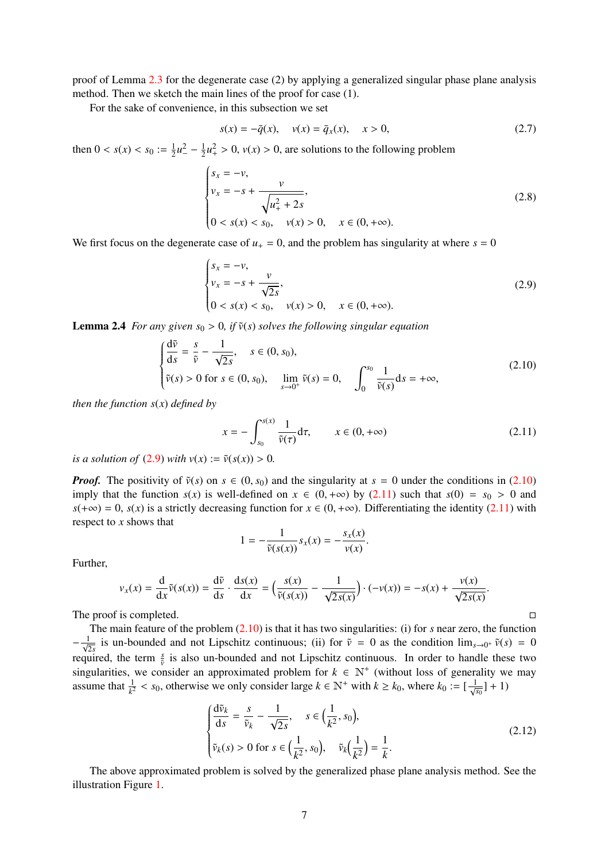proof of Lemma [2.3](#page-5-3) for the degenerate case (2) by applying a generalized singular phase plane analysis method. Then we sketch the main lines of the proof for case (1).

For the sake of convenience, in this subsection we set

$$
s(x) = -\bar{q}(x), \quad v(x) = \bar{q}_x(x), \quad x > 0,
$$
\n(2.7)

then  $0 < s(x) < s_0 := \frac{1}{2}$  $rac{1}{2}u^2 - \frac{1}{2}$  $\frac{1}{2}u_+^2 > 0$ ,  $v(x) > 0$ , are solutions to the following problem

<span id="page-6-6"></span>
$$
\begin{cases}\ns_x = -\nu, \\
\nu_x = -s + \frac{\nu}{\sqrt{u_+^2 + 2s}}, \\
0 < s(x) < s_0, \quad \nu(x) > 0, \quad x \in (0, +\infty).\n\end{cases} \tag{2.8}
$$

We first focus on the degenerate case of  $u_{+} = 0$ , and the problem has singularity at where  $s = 0$ 

<span id="page-6-1"></span>
$$
\begin{cases}\ns_x = -\nu, \\
\nu_x = -s + \frac{\nu}{\sqrt{2s}}, \\
0 < s(x) < s_0, \quad \nu(x) > 0, \quad x \in (0, +\infty).\n\end{cases} \tag{2.9}
$$

<span id="page-6-5"></span>**Lemma 2.4** *For any given*  $s_0 > 0$ , *if*  $\tilde{v}(s)$  *solves the following singular equation* 

<span id="page-6-2"></span>
$$
\begin{cases}\n\frac{d\tilde{v}}{ds} = \frac{s}{\tilde{v}} - \frac{1}{\sqrt{2s}}, \quad s \in (0, s_0), \\
\tilde{v}(s) > 0 \text{ for } s \in (0, s_0), \quad \lim_{s \to 0^+} \tilde{v}(s) = 0, \quad \int_0^{s_0} \frac{1}{\tilde{v}(s)} ds = +\infty,\n\end{cases}
$$
\n(2.10)

*then the function s*(*x*) *defined by*

<span id="page-6-3"></span>
$$
x = -\int_{s_0}^{s(x)} \frac{1}{\tilde{\nu}(\tau)} d\tau, \qquad x \in (0, +\infty)
$$
 (2.11)

*is a solution of* [\(2.9\)](#page-6-1) *with*  $v(x) := \tilde{v}(s(x)) > 0$ .

*Proof.* The positivity of  $\tilde{v}(s)$  on  $s \in (0, s_0)$  and the singularity at  $s = 0$  under the conditions in [\(2.10\)](#page-6-2) imply that the function  $s(x)$  is well-defined on  $x \in (0, +\infty)$  by [\(2.11\)](#page-6-3) such that  $s(0) = s_0 > 0$  and  $s(+\infty) = 0$ ,  $s(x)$  is a strictly decreasing function for  $x \in (0, +\infty)$ . Differentiating the identity [\(2.11\)](#page-6-3) with respect to *x* shows that

$$
1 = -\frac{1}{\tilde{\nu}(s(x))} s_x(x) = -\frac{s_x(x)}{\nu(x)}
$$

Further,

$$
v_x(x) = \frac{d}{dx}\tilde{v}(s(x)) = \frac{d\tilde{v}}{ds} \cdot \frac{ds(x)}{dx} = \left(\frac{s(x)}{\tilde{v}(s(x))} - \frac{1}{\sqrt{2s(x)}}\right) \cdot (-v(x)) = -s(x) + \frac{v(x)}{\sqrt{2s(x)}}.
$$

The proof is completed.

The main feature of the problem [\(2.10\)](#page-6-2) is that it has two singularities: (i) for *s* near zero, the function  $-\frac{1}{\sqrt{2s}}$  is un-bounded and not Lipschitz continuous; (ii) for  $\tilde{v} = 0$  as the condition  $\lim_{s\to 0^+} \tilde{v}(s) = 0$ required, the term  $\frac{s}{\tilde{v}}$  is also un-bounded and not Lipschitz continuous. In order to handle these two singularities, we consider an approximated problem for  $k \in N^+$  (without loss of generality we may assume that  $\frac{1}{k^2} < s_0$ , otherwise we only consider large  $k \in \mathbb{N}^+$  with  $k \ge k_0$ , where  $k_0 := [\frac{1}{\sqrt{s_0}}] + 1$ 

<span id="page-6-4"></span>
$$
\begin{cases}\n\frac{\mathrm{d}\tilde{v}_k}{\mathrm{d}s} = \frac{s}{\tilde{v}_k} - \frac{1}{\sqrt{2s}}, \quad s \in \left(\frac{1}{k^2}, s_0\right), \\
\tilde{v}_k(s) > 0 \text{ for } s \in \left(\frac{1}{k^2}, s_0\right), \quad \tilde{v}_k\left(\frac{1}{k^2}\right) = \frac{1}{k}.\n\end{cases} \tag{2.12}
$$

<span id="page-6-0"></span>The above approximated problem is solved by the generalized phase plane analysis method. See the illustration Figure [1.](#page-7-0)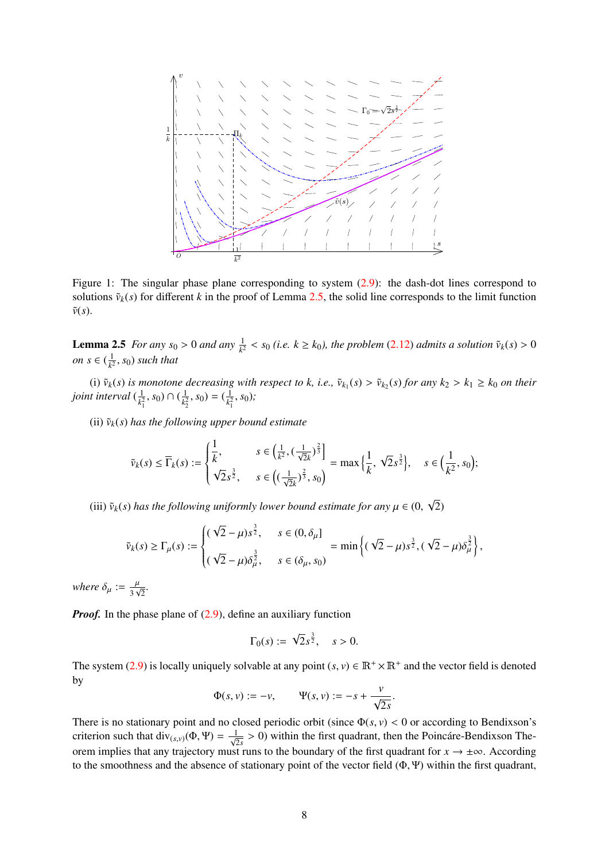

<span id="page-7-0"></span>Figure 1: The singular phase plane corresponding to system [\(2.9\)](#page-6-1): the dash-dot lines correspond to solutions  $\tilde{v}_k(s)$  for different *k* in the proof of Lemma [2.5,](#page-6-0) the solid line corresponds to the limit function  $\tilde{v}(s)$ .

**Lemma 2.5** *For any*  $s_0 > 0$  *and any*  $\frac{1}{k^2} < s_0$  (*i.e.*  $k \ge k_0$ *), the problem* [\(2.12\)](#page-6-4) *admits a solution*  $\tilde{v}_k(s) > 0$ *on*  $s \in (\frac{1}{k^2})$  $\frac{1}{k^2}$ , *s*<sub>0</sub>) *such that* 

(i)  $\tilde{v}_k(s)$  is monotone decreasing with respect to k, i.e.,  $\tilde{v}_{k_1}(s) > \tilde{v}_{k_2}(s)$  for any  $k_2 > k_1 \ge k_0$  on their joint interval  $(\frac{1}{k^2}, s_0) \cap (\frac{1}{k^2}, s_0) = (\frac{1}{k^2}, s_0)$ ;  $\frac{1}{k_1^2}$ , *s*<sub>0</sub>) ∩ ( $\frac{1}{k_2^2}$  $\frac{1}{k_2^2}$ ,  $s_0$ ) =  $\left(\frac{1}{k_1^2}\right)$  $\frac{1}{k_1^2}$ ,  $s_0$ );

(ii)  $\tilde{v}_k(s)$  *has the following upper bound estimate* 

$$
\tilde{\nu}_{k}(s) \leq \overline{\Gamma}_{k}(s) := \begin{cases} \frac{1}{k}, & s \in \left(\frac{1}{k^{2}}, \left(\frac{1}{\sqrt{2}k}\right)^{\frac{2}{3}}\right] \\ \sqrt{2}s^{\frac{3}{2}}, & s \in \left(\left(\frac{1}{\sqrt{2}k}\right)^{\frac{2}{3}}, s_{0}\right) \end{cases} = \max\left\{\frac{1}{k}, \sqrt{2}s^{\frac{3}{2}}\right\}, \quad s \in \left(\frac{1}{k^{2}}, s_{0}\right);
$$

(iii)  $\tilde{v}_k(s)$  *has the following uniformly lower bound estimate for any*  $\mu \in (0, 1)$ √ 2)

$$
\tilde{v}_k(s) \ge \Gamma_\mu(s) := \begin{cases} (\sqrt{2} - \mu)s^{\frac{3}{2}}, & s \in (0, \delta_\mu] \\ (\sqrt{2} - \mu)\delta_\mu^{\frac{3}{2}}, & s \in (\delta_\mu, s_0) \end{cases} = \min \left\{ (\sqrt{2} - \mu)s^{\frac{3}{2}}, (\sqrt{2} - \mu)\delta_\mu^{\frac{3}{2}} \right\},
$$

*where*  $\delta_{\mu} := \frac{\mu}{3\sqrt{2}}$ .

*Proof.* In the phase plane of [\(2.9\)](#page-6-1), define an auxiliary function

$$
\Gamma_0(s) := \sqrt{2} s^{\frac{3}{2}}, \quad s > 0.
$$

The system [\(2.9\)](#page-6-1) is locally uniquely solvable at any point  $(s, v) \in \mathbb{R}^+ \times \mathbb{R}^+$  and the vector field is denoted by by

$$
\Phi(s,v):=-v,\qquad \Psi(s,v):=-s+\frac{v}{\sqrt{2s}}.
$$

There is no stationary point and no closed periodic orbit (since  $\Phi(s, y) < 0$  or according to Bendixson's criterion such that dive  $\phi(\Phi, \Psi) = 1$ ,  $\geq 0$ ) within the first quadrant, then the Boincáre Bendixson The criterion such that  $div_{(s,v)}(\Phi, \Psi) = \frac{1}{\sqrt{2s}} > 0$ ) within the first quadrant, then the Poincare-Bendixson Theorem implies that any trajectory must runs to the boundary of the first quadrant for  $x \to \pm \infty$ . According to the smoothness and the absence of stationary point of the vector field (Φ, <sup>Ψ</sup>) within the first quadrant,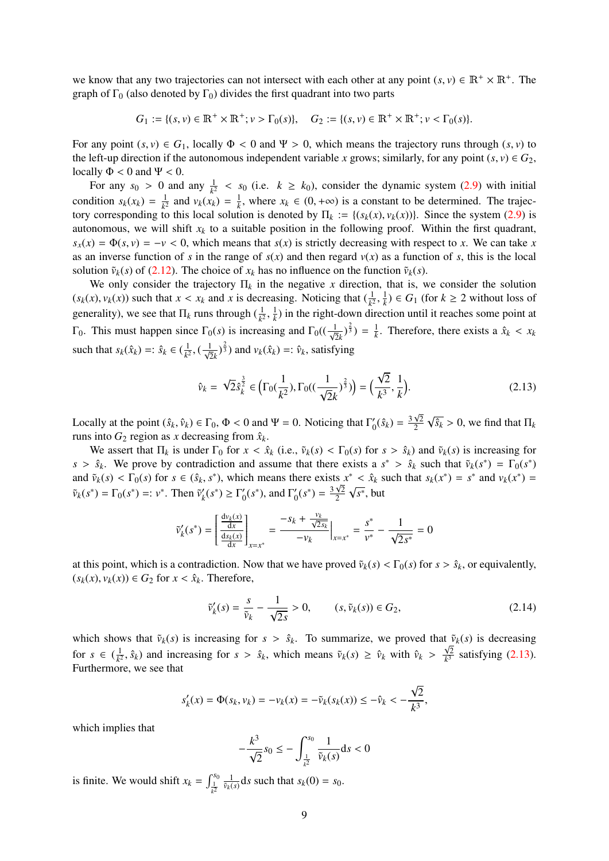we know that any two trajectories can not intersect with each other at any point  $(s, v) \in \mathbb{R}^+ \times \mathbb{R}^+$ . The graph of  $\Gamma_0$  (also denoted by  $\Gamma_0$ ) divides the first quadrant into two parts graph of  $\Gamma_0$  (also denoted by  $\Gamma_0$ ) divides the first quadrant into two parts

*G*<sub>1</sub> := { $(s, v) \in \mathbb{R}^+ \times \mathbb{R}^+; v > \Gamma_0(s)$ }, *G*<sub>2</sub> := { $(s, v) \in \mathbb{R}^+ \times \mathbb{R}^+; v < \Gamma_0(s)$ }.

For any point  $(s, v) \in G_1$ , locally  $\Phi < 0$  and  $\Psi > 0$ , which means the trajectory runs through  $(s, v)$  to the left-up direction if the autonomous independent variable *x* grows; similarly, for any point  $(s, v) \in G_2$ , locally  $\Phi < 0$  and  $\Psi < 0$ .

For any  $s_0 > 0$  and any  $\frac{1}{k^2} < s_0$  (i.e.  $k \ge k_0$ ), consider the dynamic system [\(2.9\)](#page-6-1) with initial condition  $s_k(x_k) = \frac{1}{k^2}$  and  $v_k(x_k) = \frac{1}{k}$ , where  $x_k \in (0, +\infty)$  is a constant to be determined. The trajec- $\frac{1}{k^2}$  and *v*<sub>*k*</sub>(*x<sub>k</sub>*) =  $\frac{1}{k}$ , where *x<sub>k</sub>* ∈ (0, +∞) is a constant to be determined. The trajector is denoted by  $\Pi_k := f(s_k(x), y_k(x))$ . Since the system (2,0) is tory corresponding to this local solution is denoted by  $\Pi_k := \{(s_k(x), v_k(x))\}$ . Since the system [\(2.9\)](#page-6-1) is autonomous, we will shift  $x_k$  to a suitable position in the following proof. Within the first quadrant,  $s_x(x) = \Phi(s, y) = -y < 0$ , which means that  $s(x)$  is strictly decreasing with respect to *x*. We can take *x* as an inverse function of *s* in the range of  $s(x)$  and then regard  $v(x)$  as a function of *s*, this is the local solution  $\tilde{v}_k(s)$  of [\(2.12\)](#page-6-4). The choice of  $x_k$  has no influence on the function  $\tilde{v}_k(s)$ .

We only consider the trajectory  $\Pi_k$  in the negative *x* direction, that is, we consider the solution  $(s_k(x), v_k(x))$  such that  $x < x_k$  and  $x$  is decreasing. Noticing that  $(\frac{1}{k^2}, \frac{1}{k}) \in G_1$  (for  $k \ge 2$  without loss of generality), we see that  $\Pi_k$  runs through  $(\frac{1}{k^2}, \frac{1}{k})$  in the right-down direction until it reaches some point at  $\Gamma_0$ . This must happen since  $\Gamma_0(s)$  is increasing and  $\Gamma_0((\frac{1}{\sqrt{2}k})^{\frac{2}{3}}) = \frac{1}{k}$ . Therefore, there exists a  $\hat{x}_k < x_k$ such that  $s_k(\hat{x}_k) =: \hat{s}_k \in (\frac{1}{k^2})$  $\frac{1}{k^2}$ ,  $(\frac{1}{\sqrt{2}k})^{\frac{2}{3}}$  and  $v_k(\hat{x}_k) =: \hat{v}_k$ , satisfying

<span id="page-8-0"></span>
$$
\hat{v}_k = \sqrt{2}\hat{s}_k^{\frac{3}{2}} \in \left(\Gamma_0(\frac{1}{k^2}), \Gamma_0((\frac{1}{\sqrt{2}k})^{\frac{2}{3}})\right) = \left(\frac{\sqrt{2}}{k^3}, \frac{1}{k}\right). \tag{2.13}
$$

Locally at the point  $(\hat{s}_k, \hat{v}_k) \in \Gamma_0$ ,  $\Phi < 0$  and  $\Psi = 0$ . Noticing that  $\Gamma'_0$ <br>runs into  $G_2$  region as *x* decreasing from  $\hat{s}_1$ .  $y'_0(\hat{s}_k) = \frac{3\sqrt{2}}{2}$ 2 √  $\sqrt{\hat{s}_k} > 0$ , we find that  $\Pi_k$ runs into  $G_2$  region as *x* decreasing from  $\hat{x}_k$ .

We assert that  $\Pi_k$  is under  $\Gamma_0$  for  $x < \hat{x}_k$  (i.e.,  $\tilde{v}_k(s) < \Gamma_0(s)$  for  $s > \hat{s}_k$ ) and  $\tilde{v}_k(s)$  is increasing for *s* >  $\hat{s}_k$ . We prove by contradiction and assume that there exists a  $s^*$  >  $\hat{s}_k$  such that  $\tilde{v}_k(s^*) = \Gamma_0(s^*)$ <br>and  $\tilde{v}_k(s)$  <  $\Gamma_0(s)$  for  $s \in (\hat{s}_k, s^*)$  which means there exists  $s^* < \hat{s}_k$  such that  $s_k(s^*) = s^$ and  $\tilde{v}_k(s) < \Gamma_0(s)$  for  $s \in (\hat{s}_k, s^*)$ , which means there exists  $x^* < \hat{x}_k$  such that  $s_k(x^*) = s^*$  and  $v_k(x^*) = \tilde{v}_k(s^*) - \Gamma_k(s^*) - \Gamma_k(s^*) - \Gamma_k(s^*) - \Gamma_k(s^*) - \Gamma_k(s^*) - \Gamma_k(s^*) - \Gamma_k(s^*) - \Gamma_k(s^*) - \Gamma_k(s^*) - \Gamma_k(s^*) - \Gamma_k(s^*) - \Gamma_k(s^*) - \Gamma_k(s^*) - \Gamma_k(s^*)$  $\tilde{v}_k(s^*) = \Gamma_0(s^*) =: v^*$ . Then  $\tilde{v}'_k$  $\binom{1}{k}(s^*) \geq \Gamma_0'$  $\int_0^t$  (s<sup>\*</sup>), and  $\Gamma'_0$  $y'_0(s^*) = \frac{3\sqrt{2}}{2}$  $\frac{\sqrt{2}}{2} \sqrt{s^*}$ , but

$$
\tilde{v}'_k(s^*) = \left[\frac{\frac{dv_k(x)}{dx}}{\frac{ds_k(x)}{dx}}\right]_{x=x^*} = \frac{-s_k + \frac{v_k}{\sqrt{2s_k}}}{-v_k}\Big|_{x=x^*} = \frac{s^*}{v^*} - \frac{1}{\sqrt{2s^*}} = 0
$$

at this point, which is a contradiction. Now that we have proved  $\tilde{v}_k(s) < \Gamma_0(s)$  for  $s > \hat{s}_k$ , or equivalently,  $(s_k(x), v_k(x)) \in G_2$  for  $x < \hat{x}_k$ . Therefore,

<span id="page-8-1"></span>
$$
\tilde{v}'_k(s) = \frac{s}{\tilde{v}_k} - \frac{1}{\sqrt{2s}} > 0, \qquad (s, \tilde{v}_k(s)) \in G_2,\tag{2.14}
$$

which shows that  $\tilde{v}_k(s)$  is increasing for  $s > \hat{s}_k$ . To summarize, we proved that  $\tilde{v}_k(s)$  is decreasing for  $s \in (\frac{1}{k^2})$  $\frac{1}{k^2}$ ,  $\hat{s}_k$ ) and increasing for  $s > \hat{s}_k$ , which means  $\tilde{v}_k(s) \ge \hat{v}_k$  with  $\hat{v}_k > \frac{\sqrt{2}}{k^3}$  $\frac{\mathsf{Y}2}{k^3}$  satisfying [\(2.13\)](#page-8-0). Furthermore, we see that

$$
s'_{k}(x) = \Phi(s_{k}, v_{k}) = -v_{k}(x) = -\tilde{v}_{k}(s_{k}(x)) \le -\hat{v}_{k} < -\frac{\sqrt{2}}{k^{3}},
$$

which implies that

$$
-\frac{k^3}{\sqrt{2}}s_0 \le -\int_{\frac{1}{k^2}}^{s_0} \frac{1}{\tilde{\nu}_k(s)} ds < 0
$$

is finite. We would shift  $x_k = \int_{\frac{1}{k^2}}^{s_0}$  $\frac{1}{\tilde{v}_k(s)}$ d*s* such that  $s_k(0) = s_0$ .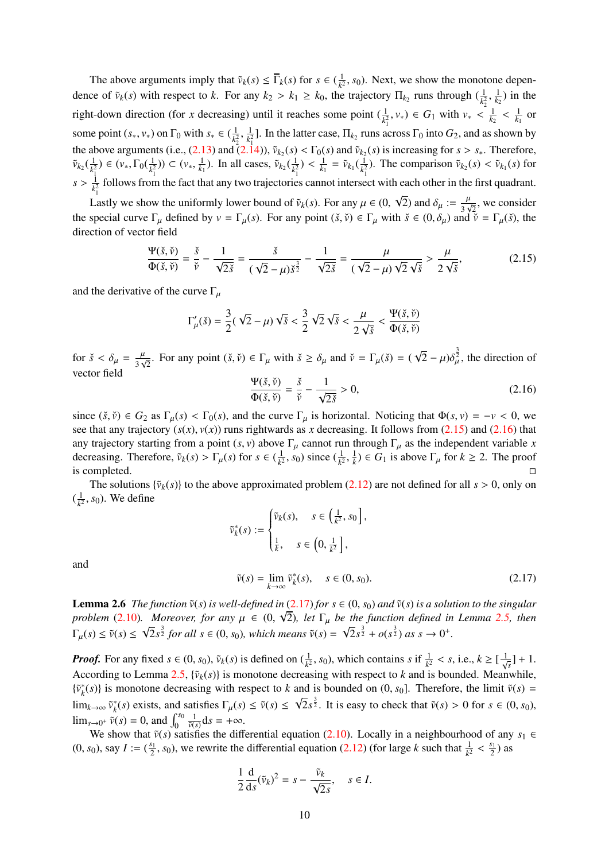The above arguments imply that  $\tilde{v}_k(s) \leq \overline{\Gamma}_k(s)$  for  $s \in (\frac{1}{k^2})$  $\frac{1}{k^2}$ , *s*<sub>0</sub>). Next, we show the monotone dependence of  $\tilde{v}_k(s)$  with respect to *k*. For any  $k_2 > k_1 \ge k_0$ , the trajectory  $\Pi_{k_2}$  runs through  $(\frac{1}{k_2^2},$  $\frac{1}{k_2}$ ) in the right-down direction (for *x* decreasing) until it reaches some point  $(\frac{1}{k_1^2}, v_*) \in G_1$  with  $v_* < \frac{1}{k_2}$  $\frac{1}{k_1}$  or some point  $(s_*, v_*)$  on  $\Gamma_0$  with  $s_* \in (\frac{1}{k^2})$  $\frac{1}{k_2^2}, \frac{1}{k_1^2}$ the above arguments (i.e., [\(2.13\)](#page-8-0) and [\(2.14\)](#page-8-1)),  $\tilde{v}_{k_2}(s) < \Gamma_0(s)$  and  $\tilde{v}_{k_2}(s)$  is increasing for  $s > s_*$ . Therefore,<br>  $\tilde{v}_{k_2}(\frac{1}{k^2}) \in (v_*, \Gamma_0(\frac{1}{k^2})) \subset (v_*, \frac{1}{k_1})$ . In all cases,  $\tilde{v}_{k_2}(\frac{1}{k^2}) < \frac{$  $\frac{1}{k_1^2}$ ]. In the latter case,  $\Pi_{k_2}$  runs across  $\Gamma_0$  into  $G_2$ , and as shown by  $(\frac{1}{k_1^2}) \in (\nu_*, \Gamma_0(\frac{1}{k_1^2}))$  $\frac{1}{k_1^2}$ )) ⊂ (*v*<sub>∗</sub>,  $\frac{1}{k_1}$ ). In all cases,  $\tilde{v}_{k_2}$ ( $\frac{1}{k_1^2}$  $\frac{1}{k_1^2}$ ) <  $\frac{1}{k_1} = \tilde{v}_{k_1}(\frac{1}{k_1^2})$  $\frac{1}{k_1^2}$ ). The comparison  $\tilde{v}_{k_2}(s) < \tilde{v}_{k_1}(s)$  for  $s > \frac{1}{k_1^2}$  $\frac{1}{k_1^2}$  follows from the fact that any two trajectories cannot intersect with each other in the first quadrant. √

Lastly we show the uniformly lower bound of  $\tilde{v}_k(s)$ . For any  $\mu \in (0, \infty)$  and  $\mu \in (0, \infty)$ 2) and  $\delta_{\mu} := \frac{\mu}{3\sqrt{2}}$ , we consider the special curve  $\Gamma_{\mu}$  defined by  $v = \Gamma_{\mu}(s)$ . For any point  $(\check{s}, \check{v}) \in \Gamma_{\mu}$  with  $\check{s} \in (0, \delta_{\mu})$  and  $\check{v} = \Gamma_{\mu}(\check{s})$ , the direction of vector field

<span id="page-9-0"></span>
$$
\frac{\Psi(\check{s},\check{\nu})}{\Phi(\check{s},\check{\nu})} = \frac{\check{s}}{\check{\nu}} - \frac{1}{\sqrt{2\check{s}}} = \frac{\check{s}}{(\sqrt{2}-\mu)\check{s}^{\frac{3}{2}}} - \frac{1}{\sqrt{2\check{s}}} = \frac{\mu}{(\sqrt{2}-\mu)\sqrt{2}\sqrt{\check{s}}} > \frac{\mu}{2\sqrt{\check{s}}},\tag{2.15}
$$

and the derivative of the curve  $\Gamma_{\mu}$ 

$$
\Gamma'_{\mu}(\check{s}) = \frac{3}{2}(\sqrt{2} - \mu)\sqrt{\check{s}} < \frac{3}{2}\sqrt{2}\sqrt{\check{s}} < \frac{\mu}{2\sqrt{\check{s}}} < \frac{\Psi(\check{s},\check{v})}{\Phi(\check{s},\check{v})}
$$

for  $\check{s} < \delta_\mu = \frac{\mu}{3\sqrt{2}}$ . For any point  $(\check{s}, \check{v}) \in \Gamma_\mu$  with  $\check{s} \ge \delta_\mu$  and  $\check{v} = \Gamma_\mu(\check{s}) = ($ √  $\sqrt{2} - \mu \delta_{\mu}^{\frac{3}{2}}$ , the direction of vector field

<span id="page-9-1"></span>
$$
\frac{\Psi(\check{s},\check{\nu})}{\Phi(\check{s},\check{\nu})} = \frac{\check{s}}{\check{\nu}} - \frac{1}{\sqrt{2\check{s}}} > 0,
$$
\n(2.16)

since  $(\check{s}, \check{v}) \in G_2$  as  $\Gamma_\mu(s) < \Gamma_0(s)$ , and the curve  $\Gamma_\mu$  is horizontal. Noticing that  $\Phi(s, v) = -v < 0$ , we see that any trajectory  $(s(x), v(x))$  runs rightwards as *x* decreasing. It follows from  $(2.15)$  and  $(2.16)$  that any trajectory starting from a point  $(s, v)$  above  $\Gamma_{\mu}$  cannot run through  $\Gamma_{\mu}$  as the independent variable *x* decreasing. Therefore,  $\tilde{v}_k(s) > \Gamma_{\mu}(s)$  for  $s \in (\frac{1}{k^2})$  $\frac{1}{k^2}$ , *s*<sub>0</sub>) since  $(\frac{1}{k^2})$ ,  $\frac{1}{k}$ )  $\in G_1$  is above  $\Gamma_\mu$  for  $k \ge 2$ . The proof is completed.  $\Box$ 

The solutions  $\{\tilde{v}_k(s)\}$  to the above approximated problem [\(2.12\)](#page-6-4) are not defined for all  $s > 0$ , only on  $(\frac{1}{\nu^2})$  $\frac{1}{k^2}$ , *s*<sub>0</sub>). We define

$$
\widetilde{v}_k^*(s) := \begin{cases} \widetilde{v}_k(s), & s \in \left(\frac{1}{k^2}, s_0\right], \\ \frac{1}{k}, & s \in \left(0, \frac{1}{k^2}\right], \end{cases}
$$

and

<span id="page-9-2"></span>
$$
\tilde{v}(s) = \lim_{k \to \infty} \tilde{v}_k^*(s), \quad s \in (0, s_0). \tag{2.17}
$$

<span id="page-9-3"></span>**Lemma 2.6** *The function*  $\tilde{v}(s)$  *is well-defined in* [\(2.17\)](#page-9-2) *for*  $s \in (0, s_0)$  *and*  $\tilde{v}(s)$  *is a solution to the singular*<br>*problem* (2.10) *Moreover*, for any  $u \in (0, \sqrt{2})$  let  $\Gamma$ , he the function defined in *problem* [\(2.10\)](#page-6-2)*. Moreover, for any*  $\mu \in (0, \sqrt{2})$ *, let*  $\Gamma_{\mu}$  *be the function defined in Lemma [2.5,](#page-6-0) then*  $\Gamma_{\mu}(s) \leq \tilde{v}(s) \leq \sqrt{2}s^{\frac{3}{2}}$  *for all*  $s \in (0, s_0)$ *, which means*  $\tilde{v}(s) = \sqrt{2}s^{\frac{3}{2}} + o(s^{\frac{3}{2}})$  *as*  $s \to 0^+$ *.* 

*Proof.* For any fixed  $s \in (0, s_0)$ ,  $\tilde{v}_k(s)$  is defined on  $(\frac{1}{k^2}, s_0)$ , which contains *s* if  $\frac{1}{k^2} < s$ , i.e.,  $k \geq [\frac{1}{\sqrt{s}}] + 1$ . According to Lemma [2.5,](#page-6-0)  $\{\tilde{v}_k(s)\}$  is monotone decreasing with respect to *k* and is bounded. Meanwhile,  $\{\tilde{v}_k^*(s)\}$  is monotone decreasing with respect to *k* and is bounded on  $(0, s_0]$ . Therefore, the limit  $\tilde{v}(s) =$ *k* lim<sub>*k→∞*</sub>  $\tilde{v}_k^*$  $h_k^*(s)$  exists, and satisfies  $\Gamma_\mu(s) \le \tilde{\nu}(s) \le$ √ lim<sub>*s*→∞</sub>  $\tilde{v}_k^*(s)$  exists, and satisfies  $\Gamma_\mu(s) \le \tilde{v}(s) \le \sqrt{2}s^{\frac{3}{2}}$ . It is easy to check that  $\tilde{v}(s) > 0$  for  $s \in (0, s_0)$ ,  $\lim_{s\to 0^+} \tilde{v}(s) = 0$ , and  $\int_0^{s_0} \frac{1}{\tilde{v}(s)} ds = +\infty$ .  $\frac{1}{\tilde{v}(s)}$ **d***s* = +∞.

We show that  $\tilde{v}(s)$  satisfies the differential equation [\(2.10\)](#page-6-2). Locally in a neighbourhood of any  $s_1 \in$ (0,  $s_0$ ), say  $I := (\frac{s_1}{2}, s_0)$ , we rewrite the differential equation [\(2.12\)](#page-6-4) (for large *k* such that  $\frac{1}{k^2}$  <  $\frac{s_1}{2}$ ) as

$$
\frac{1}{2}\frac{d}{ds}(\tilde{v}_k)^2 = s - \frac{\tilde{v}_k}{\sqrt{2s}}, \quad s \in I.
$$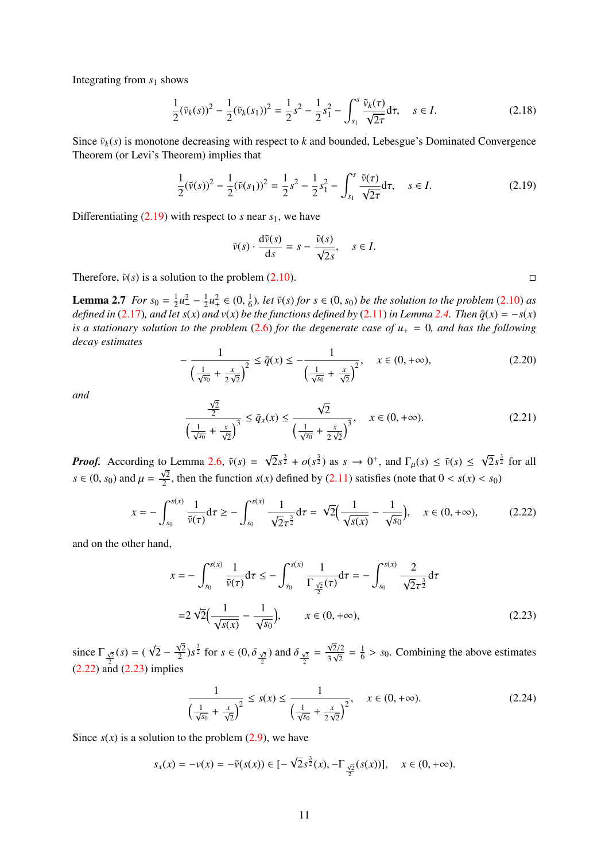Integrating from  $s_1$  shows

$$
\frac{1}{2}(\tilde{\nu}_k(s))^2 - \frac{1}{2}(\tilde{\nu}_k(s_1))^2 = \frac{1}{2}s^2 - \frac{1}{2}s_1^2 - \int_{s_1}^s \frac{\tilde{\nu}_k(\tau)}{\sqrt{2\tau}}d\tau, \quad s \in I.
$$
\n(2.18)

Since  $\tilde{v}_k(s)$  is monotone decreasing with respect to *k* and bounded, Lebesgue's Dominated Convergence Theorem (or Levi's Theorem) implies that

<span id="page-10-0"></span>
$$
\frac{1}{2}(\tilde{v}(s))^2 - \frac{1}{2}(\tilde{v}(s_1))^2 = \frac{1}{2}s^2 - \frac{1}{2}s_1^2 - \int_{s_1}^s \frac{\tilde{v}(\tau)}{\sqrt{2\tau}}d\tau, \quad s \in I.
$$
 (2.19)

Differentiating  $(2.19)$  with respect to *s* near  $s<sub>1</sub>$ , we have

$$
\tilde{v}(s) \cdot \frac{\mathrm{d}\tilde{v}(s)}{\mathrm{d}s} = s - \frac{\tilde{v}(s)}{\sqrt{2s}}, \quad s \in I.
$$

<span id="page-10-3"></span>Therefore,  $\tilde{v}(s)$  is a solution to the problem [\(2.10\)](#page-6-2).

**Lemma 2.7** *For*  $s_0 = \frac{1}{2}$  $rac{1}{2}u^2 - \frac{1}{2}$  $\frac{1}{2}u_+^2 \in (0, \frac{1}{6})$ **Lemma 2.7** For  $s_0 = \frac{1}{2}u^2 - \frac{1}{2}u^2 + \in (0, \frac{1}{6})$ , let  $\tilde{v}(s)$  for  $s \in (0, s_0)$  be the solution to the problem [\(2.10\)](#page-6-2) as defined in [\(2.17\)](#page-9-2), and let  $s(x)$  and  $v(x)$  be the functions defined by [\(2.11\)](#page-6-3) in Lemma 2.4 *is a stationary solution to the problem* [\(2.6\)](#page-5-2) *for the degenerate case of*  $u_+ = 0$ *, and has the following decay estimates*

<span id="page-10-5"></span>
$$
-\frac{1}{\left(\frac{1}{\sqrt{s_0}} + \frac{x}{2\sqrt{2}}\right)^2} \le \bar{q}(x) \le -\frac{1}{\left(\frac{1}{\sqrt{s_0}} + \frac{x}{\sqrt{2}}\right)^2}, \quad x \in (0, +\infty),\tag{2.20}
$$

*and*

<span id="page-10-6"></span>
$$
\frac{\frac{\sqrt{2}}{2}}{\left(\frac{1}{\sqrt{s_0}} + \frac{x}{\sqrt{2}}\right)^3} \le \bar{q}_x(x) \le \frac{\sqrt{2}}{\left(\frac{1}{\sqrt{s_0}} + \frac{x}{2\sqrt{2}}\right)^3}, \quad x \in (0, +\infty). \tag{2.21}
$$

*Proof.* According to Lemma [2.6,](#page-9-3)  $\tilde{v}(s)$  = √  $\sqrt{2s^{\frac{3}{2}}} + o(s^{\frac{3}{2}})$  as  $s \to 0^+$ , and  $\Gamma_{\mu}(s) \le \tilde{v}(s) \le$ √  $\sqrt{2}s^{\frac{3}{2}}$  for all  $s \in (0, s_0)$  and  $\mu =$ √ 2  $\frac{\sqrt{2}}{2}$ , then the function *s*(*x*) defined by [\(2.11\)](#page-6-3) satisfies (note that  $0 < s(x) < s_0$ )

<span id="page-10-1"></span>
$$
x = -\int_{s_0}^{s(x)} \frac{1}{\tilde{v}(\tau)} d\tau \ge -\int_{s_0}^{s(x)} \frac{1}{\sqrt{2}\tau^{\frac{3}{2}}} d\tau = \sqrt{2} \Big( \frac{1}{\sqrt{s(x)}} - \frac{1}{\sqrt{s_0}} \Big), \quad x \in (0, +\infty), \tag{2.22}
$$

and on the other hand,

$$
x = -\int_{s_0}^{s(x)} \frac{1}{\tilde{v}(\tau)} d\tau \le -\int_{s_0}^{s(x)} \frac{1}{\Gamma_{\frac{\sqrt{2}}{2}}(\tau)} d\tau = -\int_{s_0}^{s(x)} \frac{2}{\sqrt{2}\tau^{\frac{3}{2}}} d\tau
$$
  
=2\sqrt{2}\Big(\frac{1}{\sqrt{s(x)}} - \frac{1}{\sqrt{s\_0}}\Big), \qquad x \in (0, +\infty), (2.23)

since  $\Gamma_{\sqrt{2}}(s) =$  ( 2 [\(2.22\)](#page-10-1) and [\(2.23\)](#page-10-2) implies √  $2 \sqrt{2}$  $\frac{\sqrt{2}}{2}$ )*s*<sup> $\frac{3}{2}$ </sup> for *s*  $\in (0, \delta_{\frac{\sqrt{2}}{2}})$  and  $\delta_{\frac{\sqrt{2}}{2}}$  =  $rac{\sqrt{2}/2}{3\sqrt{2}} = \frac{1}{6}$  $\frac{1}{6}$  > *s*<sub>0</sub>. Combining the above estimates

<span id="page-10-4"></span>
$$
\frac{1}{\left(\frac{1}{\sqrt{s_0}} + \frac{x}{\sqrt{2}}\right)^2} \le s(x) \le \frac{1}{\left(\frac{1}{\sqrt{s_0}} + \frac{x}{2\sqrt{2}}\right)^2}, \quad x \in (0, +\infty). \tag{2.24}
$$

Since  $s(x)$  is a solution to the problem  $(2.9)$ , we have

$$
s_x(x) = -\nu(x) = -\tilde{\nu}(s(x)) \in [-\sqrt{2}s^{\frac{3}{2}}(x), -\Gamma_{\frac{\sqrt{2}}{2}}(s(x))], \quad x \in (0, +\infty).
$$

<span id="page-10-2"></span>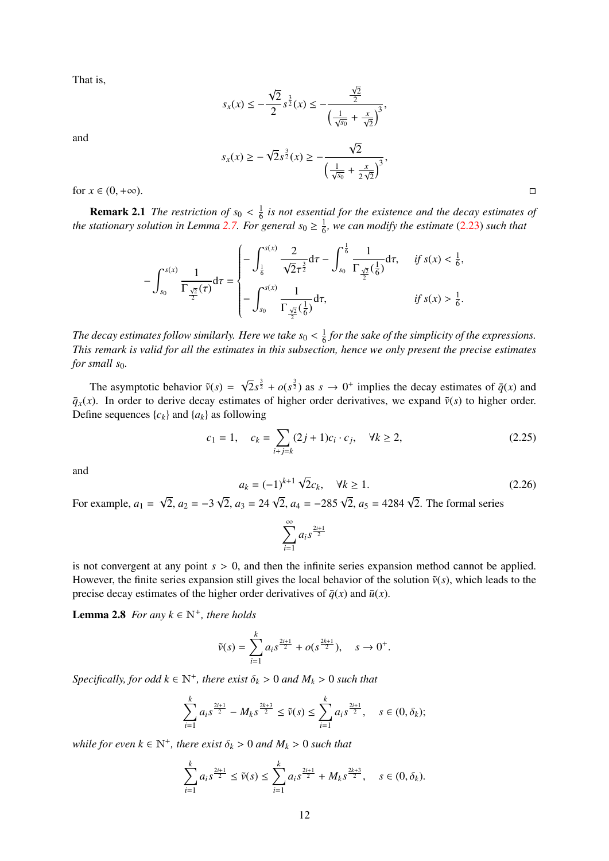That is,

$$
s_x(x) \le -\frac{\sqrt{2}}{2} s^{\frac{3}{2}}(x) \le -\frac{\frac{\sqrt{2}}{2}}{\left(\frac{1}{\sqrt{s_0}} + \frac{x}{\sqrt{2}}\right)^3},
$$
  

$$
s_x(x) \ge -\sqrt{2} s^{\frac{3}{2}}(x) \ge -\frac{\sqrt{2}}{\left(\frac{1}{\sqrt{s_0}} + \frac{x}{2\sqrt{2}}\right)^3},
$$

and

for  $x \in (0, +\infty)$ .

**Remark 2.1** *The restriction of*  $s_0 < \frac{1}{6}$ <br>stationary solution in Lemma 2.7. For  $\frac{1}{6}$  is not essential for the existence and the decay estimates of *the stationary solution in Lemma [2.7.](#page-10-3) For general*  $s_0 \geq \frac{1}{6}$  $\frac{1}{6}$ , we can modify the estimate [\(2.23\)](#page-10-2) such that

$$
-\int_{s_0}^{s(x)} \frac{1}{\Gamma_{\frac{\sqrt{2}}{2}}(\tau)} d\tau = \begin{cases} -\int_{\frac{1}{6}}^{s(x)} \frac{2}{\sqrt{2}\tau^{\frac{3}{2}}} d\tau - \int_{s_0}^{\frac{1}{6}} \frac{1}{\Gamma_{\frac{\sqrt{2}}{2}}(\frac{1}{6})} d\tau, & \text{if } s(x) < \frac{1}{6}, \\ -\int_{s_0}^{s(x)} \frac{1}{\Gamma_{\frac{\sqrt{2}}{2}}(\frac{1}{6})} d\tau, & \text{if } s(x) > \frac{1}{6}. \end{cases}
$$

*The decay estimates follow similarly. Here we take s*<sub>0</sub>  $< \frac{1}{6}$ <br>*This remark is valid for all the estimates in this subsection*  $\frac{1}{6}$  for the sake of the simplicity of the expressions. *This remark is valid for all the estimates in this subsection, hence we only present the precise estimates for small s*<sub>0</sub>*.* 

The asymptotic behavior  $\tilde{v}(s)$  = √  $\sqrt{2}s^{\frac{3}{2}} + o(s^{\frac{3}{2}})$  as  $s \to 0^+$  implies the decay estimates of  $\bar{q}(x)$  and  $\bar{q}_x(x)$ . In order to derive decay estimates of higher order derivatives, we expand  $\tilde{v}(s)$  to higher order. Define sequences  ${c_k}$  and  ${a_k}$  as following

$$
c_1 = 1, \quad c_k = \sum_{i+j=k} (2j+1)c_i \cdot c_j, \quad \forall k \ge 2,
$$
 (2.25)

 $rac{x}{2\sqrt{2}}$ 

and

$$
a_k = (-1)^{k+1} \sqrt{2}c_k, \quad \forall k \ge 1.
$$
 (2.26)

For example,  $a_1$  = √  $2, a_2 = -3$  $\sqrt{2}$ ,  $a_3 = 24\sqrt{2}$ ,  $a_4 = -285\sqrt{2}$ ,  $a_5 = 4284\sqrt{2}$ . The formal series

$$
\sum_{i=1}^{\infty} a_i s^{\frac{2i+1}{2}}
$$

is not convergent at any point  $s > 0$ , and then the infinite series expansion method cannot be applied. However, the finite series expansion still gives the local behavior of the solution  $\tilde{v}(s)$ , which leads to the precise decay estimates of the higher order derivatives of  $\bar{q}(x)$  and  $\bar{u}(x)$ .

<span id="page-11-0"></span>**Lemma 2.8** *For any*  $k \in \mathbb{N}^+$ *, there holds* 

$$
\tilde{v}(s) = \sum_{i=1}^{k} a_i s^{\frac{2i+1}{2}} + o(s^{\frac{2k+1}{2}}), \quad s \to 0^+.
$$

 $Specifically, for odd  $k \in \mathbb{N}^+$ , there exist  $\delta_k > 0$  and  $M_k > 0$  such that$ 

$$
\sum_{i=1}^k a_i s^{\frac{2i+1}{2}} - M_k s^{\frac{2k+3}{2}} \leq \tilde{v}(s) \leq \sum_{i=1}^k a_i s^{\frac{2i+1}{2}}, \quad s \in (0, \delta_k);
$$

*while for even*  $k \in \mathbb{N}^+$ , there exist  $\delta_k > 0$  and  $M_k > 0$  such that

$$
\sum_{i=1}^k a_i s^{\frac{2i+1}{2}} \leq \tilde{v}(s) \leq \sum_{i=1}^k a_i s^{\frac{2i+1}{2}} + M_k s^{\frac{2k+3}{2}}, \quad s \in (0, \delta_k).
$$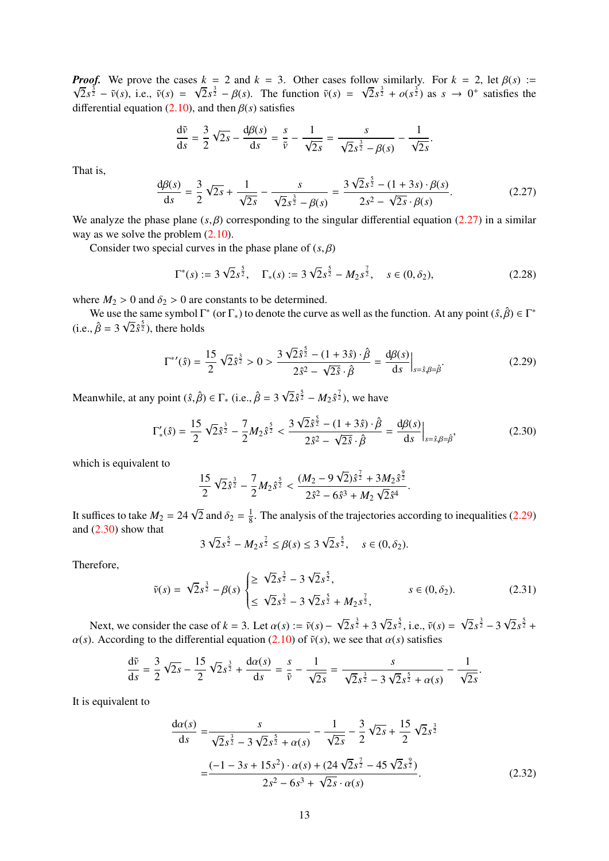*Proof.* We prove the cases  $k = 2$  and  $k = 3$ . Other cases follow similarly. For  $k = 2$ , let  $\beta(s) := \sqrt{2} s^{\frac{3}{2}} - \beta(s) - \sqrt{2} s^{\frac{3}{2}} - \beta(s)$ . The function  $\tilde{v}(s) = \sqrt{2} s^{\frac{3}{2}} + \beta(s^{\frac{3}{2}})$  as  $s \to 0^+$  satisfies the  $2s^{\frac{3}{2}} - \tilde{v}(s)$ , i.e.,  $\tilde{v}(s) = \sqrt{2s^{\frac{3}{2}}} - \beta(s)$ . The function  $\tilde{v}(s) = \sqrt{2s^{\frac{3}{2}}} + o(s^{\frac{3}{2}})$  as  $s \to 0^+$  satisfies the function  $(2, 10)$  and then  $\beta(s)$  satisfies differential equation [\(2.10\)](#page-6-2), and then β(*s*) satisfies

$$
\frac{d\tilde{v}}{ds} = \frac{3}{2}\sqrt{2s} - \frac{d\beta(s)}{ds} = \frac{s}{\tilde{v}} - \frac{1}{\sqrt{2s}} = \frac{s}{\sqrt{2s^{\frac{3}{2}}} - \beta(s)} - \frac{1}{\sqrt{2s}}
$$

That is,

<span id="page-12-0"></span>
$$
\frac{d\beta(s)}{ds} = \frac{3}{2}\sqrt{2s} + \frac{1}{\sqrt{2s}} - \frac{s}{\sqrt{2s^{\frac{3}{2}} - \beta(s)}} = \frac{3\sqrt{2s^{\frac{5}{2}} - (1+3s) \cdot \beta(s)}}{2s^2 - \sqrt{2s} \cdot \beta(s)}.
$$
(2.27)

We analyze the phase plane  $(s, \beta)$  corresponding to the singular differential equation [\(2.27\)](#page-12-0) in a similar way as we solve the problem (2.10) way as we solve the problem  $(2.10)$ .

Consider two special curves in the phase plane of  $(s, \beta)$ 

$$
\Gamma^*(s) := 3\sqrt{2}s^{\frac{5}{2}}, \quad \Gamma_*(s) := 3\sqrt{2}s^{\frac{5}{2}} - M_2s^{\frac{7}{2}}, \quad s \in (0, \delta_2), \tag{2.28}
$$

where  $M_2 > 0$  and  $\delta_2 > 0$  are constants to be determined.<br>We use the same symbol  $\Gamma^*$  (or  $\Gamma_*$ ) to denote the curve as well as the function. At any point  $(\hat{s}, \hat{\beta}) \in \Gamma^*$ <br> $\hat{s} = 2 \sqrt{2} \hat{s}_2^{\frac{5}{2}}$ , there holds  $(i.e.,  $\hat{\beta} = 3\sqrt{2}\hat{s}^{\frac{5}{2}})$ , there holds$ 

<span id="page-12-1"></span>
$$
\Gamma^{*'}(\hat{s}) = \frac{15}{2} \sqrt{2} \hat{s}^{\frac{3}{2}} > 0 > \frac{3 \sqrt{2} \hat{s}^{\frac{5}{2}} - (1 + 3\hat{s}) \cdot \hat{\beta}}{2 \hat{s}^2 - \sqrt{2} \hat{s} \cdot \hat{\beta}} = \frac{d\beta(s)}{ds}\Big|_{s = \hat{s}, \beta = \hat{\beta}}.
$$
 (2.29)

Meanwhile, at any point  $(\hat{s}, \hat{\beta}) \in \Gamma_*$  (i.e.,  $\hat{\beta} = 3 \sqrt{3}$  $\sqrt{2}\hat{s}^{\frac{5}{2}} - M_2 \hat{s}^{\frac{7}{2}}$ , we have

<span id="page-12-2"></span>
$$
\Gamma'_{*}(\hat{s}) = \frac{15}{2} \sqrt{2} \hat{s}^{\frac{3}{2}} - \frac{7}{2} M_{2} \hat{s}^{\frac{5}{2}} < \frac{3 \sqrt{2} \hat{s}^{\frac{5}{2}} - (1 + 3 \hat{s}) \cdot \hat{\beta}}{2 \hat{s}^{2} - \sqrt{2 \hat{s}} \cdot \hat{\beta}} = \frac{d\beta(s)}{ds} \Big|_{s = \hat{s}, \beta = \hat{\beta}},
$$
(2.30)

which is equivalent to

$$
\frac{15}{2}\sqrt{2}\hat{s}^{\frac{3}{2}}-\frac{7}{2}M_2\hat{s}^{\frac{5}{2}}<\frac{(M_2-9\sqrt{2})\hat{s}^{\frac{7}{2}}+3M_2\hat{s}^{\frac{9}{2}}}{2\hat{s}^2-6\hat{s}^3+M_2\sqrt{2}\hat{s}^4}
$$

It suffices to take  $M_2 = 24\sqrt{2}$  and  $\delta_2 = \frac{1}{8}$ <br>and  $(2, 30)$  show that  $\frac{1}{8}$ . The analysis of the trajectories according to inequalities [\(2.29\)](#page-12-1) and [\(2.30\)](#page-12-2) show that √ √

$$
3\sqrt{2}s^{\frac{5}{2}} - M_2s^{\frac{7}{2}} \leq \beta(s) \leq 3\sqrt{2}s^{\frac{5}{2}}, \quad s \in (0, \delta_2).
$$

Therefore,

<span id="page-12-4"></span>
$$
\tilde{v}(s) = \sqrt{2}s^{\frac{3}{2}} - \beta(s) \begin{cases} \geq \sqrt{2}s^{\frac{3}{2}} - 3\sqrt{2}s^{\frac{5}{2}}, \\ \leq \sqrt{2}s^{\frac{3}{2}} - 3\sqrt{2}s^{\frac{5}{2}} + M_2s^{\frac{7}{2}}, \end{cases} \qquad s \in (0, \delta_2). \tag{2.31}
$$

Next, we consider the case of  $k = 3$ . Let  $\alpha(s) := \tilde{v}(s) - \lambda$  coording to the differential equation (2.10) of  $\tilde{v}(s)$ √  $2s^{\frac{3}{2}}+3$ √  $\sqrt{2}s^{\frac{5}{2}}$ , i.e.,  $\tilde{v}(s) =$ √  $2s^{\frac{3}{2}} - 3$ √  $2s^{\frac{5}{2}} +$  $\alpha(s)$ . According to the differential equation [\(2.10\)](#page-6-2) of  $\tilde{v}(s)$ , we see that  $\alpha(s)$  satisfies

$$
\frac{d\tilde{v}}{ds} = \frac{3}{2}\sqrt{2s} - \frac{15}{2}\sqrt{2s^{\frac{3}{2}}} + \frac{d\alpha(s)}{ds} = \frac{s}{\tilde{v}} - \frac{1}{\sqrt{2s}} = \frac{s}{\sqrt{2s^{\frac{3}{2}}} - 3\sqrt{2s^{\frac{5}{2}}} + \alpha(s)} - \frac{1}{\sqrt{2s}}.
$$

It is equivalent to

<span id="page-12-3"></span>
$$
\frac{d\alpha(s)}{ds} = \frac{s}{\sqrt{2}s^{\frac{3}{2}} - 3\sqrt{2}s^{\frac{5}{2}} + \alpha(s)} - \frac{1}{\sqrt{2s}} - \frac{3}{2}\sqrt{2s} + \frac{15}{2}\sqrt{2s^{\frac{3}{2}}}
$$

$$
= \frac{(-1 - 3s + 15s^{2}) \cdot \alpha(s) + (24\sqrt{2s^{\frac{7}{2}}} - 45\sqrt{2s^{\frac{9}{2}}})}{2s^{2} - 6s^{3} + \sqrt{2s} \cdot \alpha(s)}.
$$
(2.32)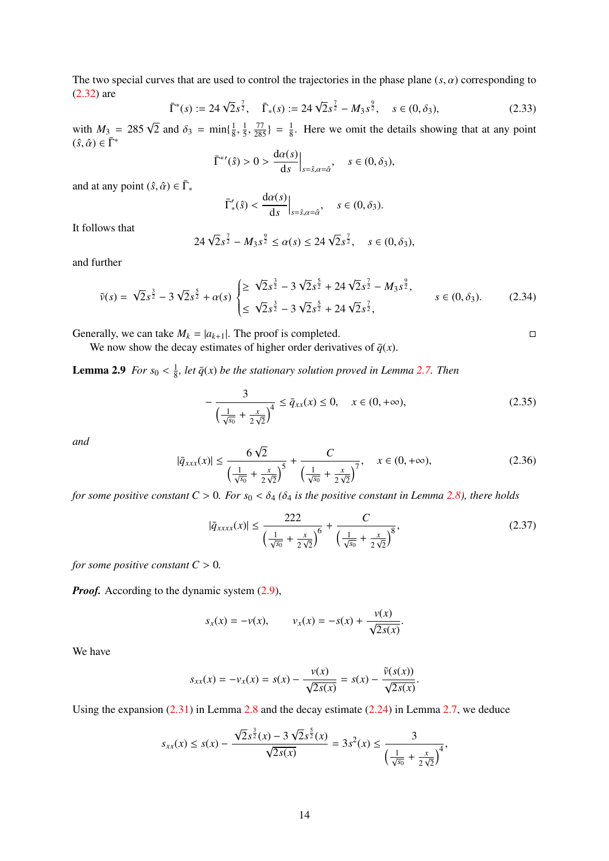The two special curves that are used to control the trajectories in the phase plane  $(s, \alpha)$  corresponding to [\(2.32\)](#page-12-3) are

$$
\bar{\Gamma}^*(s) := 24\sqrt{2}s^{\frac{7}{2}}, \quad \bar{\Gamma}_*(s) := 24\sqrt{2}s^{\frac{7}{2}} - M_3s^{\frac{9}{2}}, \quad s \in (0, \delta_3), \tag{2.33}
$$

with  $M_3 = 285\sqrt{2}$  and  $\delta_3 = \min\{\frac{1}{8}$ 8 , 1 5 ,  $\frac{77}{285}$ } =  $\frac{1}{8}$  $\frac{1}{8}$ . Here we omit the details showing that at any point  $(\hat{s}, \hat{\alpha}) \in \overline{\Gamma}^*$  $d_{\alpha}(s)$ 

$$
\bar{\Gamma}^{\ast\prime}(\hat{s}) > 0 > \frac{d\alpha(s)}{ds}\Big|_{s=\hat{s}, \alpha=\hat{\alpha}}, \quad s \in (0, \delta_3),
$$

and at any point  $(\hat{s}, \hat{\alpha}) \in \bar{\Gamma}_*$ 

$$
\bar{\Gamma}'_*(\hat{s}) < \frac{\mathrm{d}\alpha(s)}{\mathrm{d}s}\Big|_{s=\hat{s},\alpha=\hat{\alpha}}, \quad s \in (0,\delta_3).
$$

It follows that

$$
24\sqrt{2}s^{\frac{7}{2}} - M_3s^{\frac{9}{2}} \le \alpha(s) \le 24\sqrt{2}s^{\frac{7}{2}}, \quad s \in (0, \delta_3),
$$

and further

<span id="page-13-0"></span>
$$
\tilde{v}(s) = \sqrt{2}s^{\frac{3}{2}} - 3\sqrt{2}s^{\frac{5}{2}} + \alpha(s) \begin{cases} \geq \sqrt{2}s^{\frac{3}{2}} - 3\sqrt{2}s^{\frac{5}{2}} + 24\sqrt{2}s^{\frac{7}{2}} - M_3s^{\frac{9}{2}}, \\ \leq \sqrt{2}s^{\frac{3}{2}} - 3\sqrt{2}s^{\frac{5}{2}} + 24\sqrt{2}s^{\frac{7}{2}}, \end{cases} \qquad s \in (0, \delta_3). \tag{2.34}
$$

Generally, we can take  $M_k = |a_{k+1}|$ . The proof is completed.

We now show the decay estimates of higher order derivatives of  $\bar{q}(x)$ .

<span id="page-13-4"></span>**Lemma 2.9** *For*  $s_0 < \frac{1}{8}$  $\frac{1}{8}$ , let  $\bar{q}(x)$  be the stationary solution proved in Lemma [2.7.](#page-10-3) Then

<span id="page-13-1"></span>
$$
-\frac{3}{\left(\frac{1}{\sqrt{s_0}} + \frac{x}{2\sqrt{2}}\right)^4} \le \bar{q}_{xx}(x) \le 0, \quad x \in (0, +\infty),\tag{2.35}
$$

*and*

<span id="page-13-2"></span>
$$
|\bar{q}_{xxx}(x)| \le \frac{6\sqrt{2}}{\left(\frac{1}{\sqrt{s_0}} + \frac{x}{2\sqrt{2}}\right)^5} + \frac{C}{\left(\frac{1}{\sqrt{s_0}} + \frac{x}{2\sqrt{2}}\right)^7}, \quad x \in (0, +\infty),
$$
\n(2.36)

*for some positive constant C > 0. For*  $s_0 < \delta_4$  *(* $\delta_4$  *is the positive constant in Lemma [2.8\)](#page-11-0), there holds* 

<span id="page-13-3"></span>
$$
|\bar{q}_{xxxx}(x)| \le \frac{222}{\left(\frac{1}{\sqrt{s_0}} + \frac{x}{2\sqrt{2}}\right)^6} + \frac{C}{\left(\frac{1}{\sqrt{s_0}} + \frac{x}{2\sqrt{2}}\right)^8},\tag{2.37}
$$

*for some positive constant*  $C > 0$ *.* 

*Proof.* According to the dynamic system  $(2.9)$ ,

$$
s_x(x) = -v(x)
$$
,  $v_x(x) = -s(x) + \frac{v(x)}{\sqrt{2s(x)}}$ 

We have

$$
s_{xx}(x) = -v_x(x) = s(x) - \frac{v(x)}{\sqrt{2s(x)}} = s(x) - \frac{\tilde{v}(s(x))}{\sqrt{2s(x)}}
$$

Using the expansion [\(2.31\)](#page-12-4) in Lemma [2.8](#page-11-0) and the decay estimate [\(2.24\)](#page-10-4) in Lemma [2.7,](#page-10-3) we deduce

$$
s_{xx}(x) \leq s(x) - \frac{\sqrt{2}s^{\frac{3}{2}}(x) - 3\sqrt{2}s^{\frac{5}{2}}(x)}{\sqrt{2s(x)}} = 3s^2(x) \leq \frac{3}{\left(\frac{1}{\sqrt{s_0}} + \frac{x}{2\sqrt{2}}\right)^4},
$$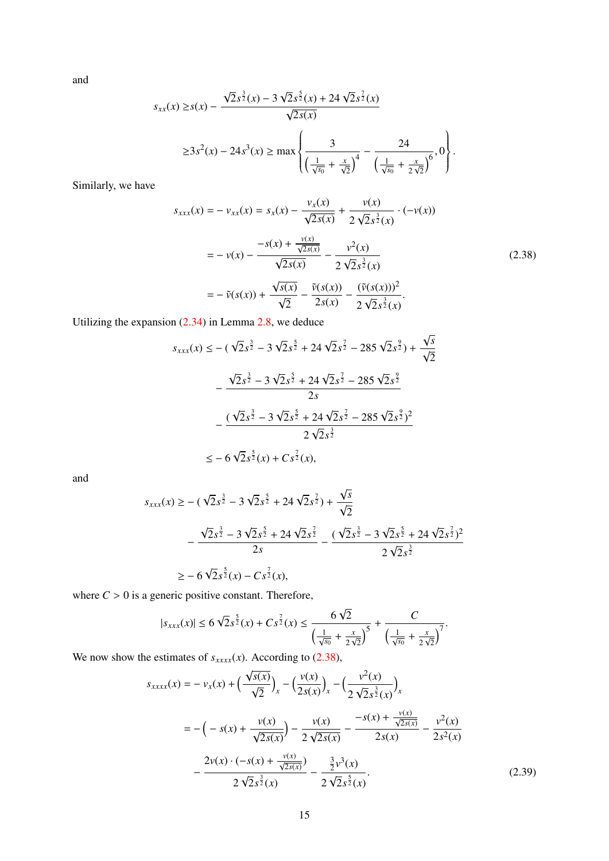and

$$
s_{xx}(x) \ge s(x) - \frac{\sqrt{2}s^{\frac{3}{2}}(x) - 3\sqrt{2}s^{\frac{5}{2}}(x) + 24\sqrt{2}s^{\frac{7}{2}}(x)}{\sqrt{2s(x)}} \n\ge 3s^2(x) - 24s^3(x) \ge \max\left\{\frac{3}{\left(\frac{1}{\sqrt{s_0}} + \frac{x}{\sqrt{2}}\right)^4} - \frac{24}{\left(\frac{1}{\sqrt{s_0}} + \frac{x}{2\sqrt{2}}\right)^6}, 0\right\}.
$$

Similarly, we have

<span id="page-14-0"></span>
$$
s_{xxx}(x) = -v_{xx}(x) = s_x(x) - \frac{v_x(x)}{\sqrt{2s(x)}} + \frac{v(x)}{2\sqrt{2s^2}(x)} \cdot (-v(x))
$$
  

$$
= -v(x) - \frac{-s(x) + \frac{v(x)}{\sqrt{2s(x)}}}{\sqrt{2s(x)}} - \frac{v^2(x)}{2\sqrt{2s^2}(x)}
$$
  

$$
= -\tilde{v}(s(x)) + \frac{\sqrt{s(x)}}{\sqrt{2}} - \frac{\tilde{v}(s(x))}{2s(x)} - \frac{(\tilde{v}(s(x)))^2}{2\sqrt{2s^2}(x)}.
$$
 (2.38)

Utilizing the expansion [\(2.34\)](#page-13-0) in Lemma [2.8,](#page-11-0) we deduce

$$
s_{xxx}(x) \le -(\sqrt{2}s^{\frac{3}{2}} - 3\sqrt{2}s^{\frac{5}{2}} + 24\sqrt{2}s^{\frac{7}{2}} - 285\sqrt{2}s^{\frac{9}{2}}) + \frac{\sqrt{s}}{\sqrt{2}}
$$

$$
-\frac{\sqrt{2}s^{\frac{3}{2}} - 3\sqrt{2}s^{\frac{5}{2}} + 24\sqrt{2}s^{\frac{7}{2}} - 285\sqrt{2}s^{\frac{9}{2}}}{2s}
$$

$$
-\frac{(\sqrt{2}s^{\frac{3}{2}} - 3\sqrt{2}s^{\frac{5}{2}} + 24\sqrt{2}s^{\frac{7}{2}} - 285\sqrt{2}s^{\frac{9}{2}})^{2}}{2\sqrt{2}s^{\frac{3}{2}}}
$$

$$
\le -6\sqrt{2}s^{\frac{5}{2}}(x) + Cs^{\frac{7}{2}}(x),
$$

and

$$
s_{xxx}(x) \ge -(\sqrt{2}s^{\frac{3}{2}} - 3\sqrt{2}s^{\frac{5}{2}} + 24\sqrt{2}s^{\frac{7}{2}}) + \frac{\sqrt{s}}{\sqrt{2}}
$$
  
 
$$
-\frac{\sqrt{2}s^{\frac{3}{2}} - 3\sqrt{2}s^{\frac{5}{2}} + 24\sqrt{2}s^{\frac{7}{2}}}{2s} - \frac{(\sqrt{2}s^{\frac{3}{2}} - 3\sqrt{2}s^{\frac{5}{2}} + 24\sqrt{2}s^{\frac{7}{2}})^2}{2\sqrt{2}s^{\frac{3}{2}}}
$$
  
\n
$$
\ge -6\sqrt{2}s^{\frac{5}{2}}(x) - Cs^{\frac{7}{2}}(x),
$$

where  $C > 0$  is a generic positive constant. Therefore,

$$
|s_{xxx}(x)| \le 6\sqrt{2}s^{\frac{5}{2}}(x) + Cs^{\frac{7}{2}}(x) \le \frac{6\sqrt{2}}{\left(\frac{1}{\sqrt{s_0}} + \frac{x}{2\sqrt{2}}\right)^5} + \frac{C}{\left(\frac{1}{\sqrt{s_0}} + \frac{x}{2\sqrt{2}}\right)^7}.
$$

We now show the estimates of  $s_{xxxx}(x)$ . According to [\(2.38\)](#page-14-0),

<span id="page-14-1"></span>
$$
s_{xxxx}(x) = -v_x(x) + \left(\frac{\sqrt{s(x)}}{\sqrt{2}}\right)_x - \left(\frac{v(x)}{2s(x)}\right)_x - \left(\frac{v^2(x)}{2\sqrt{2s^{\frac{3}{2}}(x)}}\right)_x
$$
  

$$
= -\left(-s(x) + \frac{v(x)}{\sqrt{2s(x)}}\right) - \frac{v(x)}{2\sqrt{2s(x)}} - \frac{-s(x) + \frac{v(x)}{\sqrt{2s(x)}}}{2s(x)} - \frac{v^2(x)}{2s^2(x)}
$$
  

$$
- \frac{2v(x) \cdot (-s(x) + \frac{v(x)}{\sqrt{2s(x)}})}{2\sqrt{2s^{\frac{3}{2}}(x)}} - \frac{\frac{3}{2}v^3(x)}{2\sqrt{2s^{\frac{5}{2}}(x)}}.
$$
(2.39)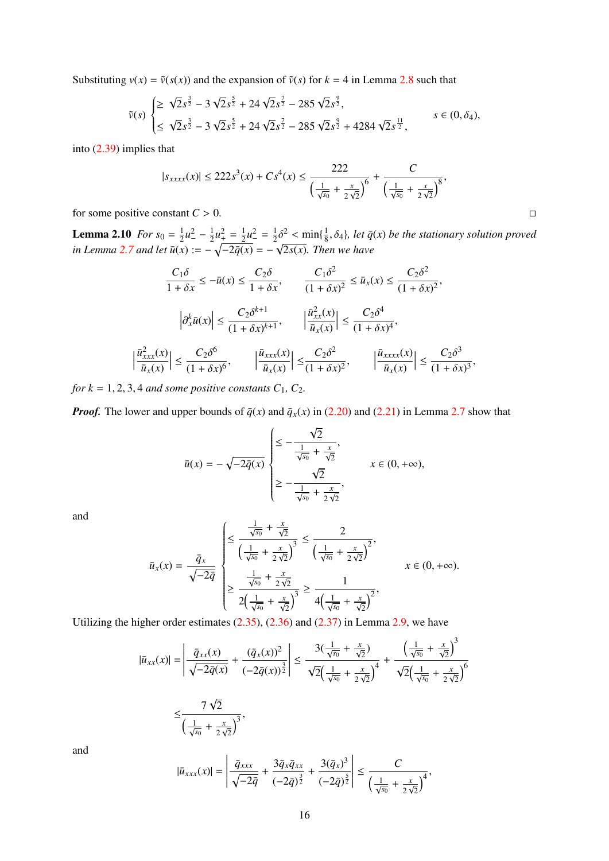Substituting  $v(x) = \tilde{v}(s(x))$  and the expansion of  $\tilde{v}(s)$  for  $k = 4$  in Lemma [2.8](#page-11-0) such that

$$
\tilde{v}(s) \begin{cases} \geq \sqrt{2}s^{\frac{3}{2}} - 3\sqrt{2}s^{\frac{5}{2}} + 24\sqrt{2}s^{\frac{7}{2}} - 285\sqrt{2}s^{\frac{9}{2}},\\ \leq \sqrt{2}s^{\frac{3}{2}} - 3\sqrt{2}s^{\frac{5}{2}} + 24\sqrt{2}s^{\frac{7}{2}} - 285\sqrt{2}s^{\frac{9}{2}} + 4284\sqrt{2}s^{\frac{11}{2}}, \end{cases} s \in (0, \delta_4),
$$

into [\(2.39\)](#page-14-1) implies that

$$
|s_{xxxx}(x)| \le 222s^3(x) + Cs^4(x) \le \frac{222}{\left(\frac{1}{\sqrt{s_0}} + \frac{x}{2\sqrt{2}}\right)^6} + \frac{C}{\left(\frac{1}{\sqrt{s_0}} + \frac{x}{2\sqrt{2}}\right)^8},
$$

for some positive constant  $C > 0$ .

 $\begin{array}{c} \hline \end{array}$ 

<span id="page-15-0"></span>**Lemma 2.10** *For*  $s_0 = \frac{1}{2}$  $rac{1}{2}u^2 - \frac{1}{2}$  $\frac{1}{2}u_+^2 = \frac{1}{2}$  $\frac{1}{2}u^2 = \frac{1}{2}$  $\frac{1}{2}\delta^2 < \min\{\frac{1}{8} \times \sqrt{2\pi\epsilon} \}$  $\lim_{x \to \infty}$  *in Lemma* [2.7](#page-10-3) *and let*  $\bar{u}(x) := -\sqrt{-2\bar{q}(x)} = -\sqrt{2s(x)}$ . Then we have  $\frac{1}{2}\delta^2$  < min $\{\frac{1}{8}, \delta_4\}$ , let  $\bar{q}(x)$  be the stationary solution proved

$$
\frac{C_1 \delta}{1 + \delta x} \le -\bar{u}(x) \le \frac{C_2 \delta}{1 + \delta x}, \qquad \frac{C_1 \delta^2}{(1 + \delta x)^2} \le \bar{u}_x(x) \le \frac{C_2 \delta^2}{(1 + \delta x)^2},
$$

$$
\left| \partial_x^k \bar{u}(x) \right| \le \frac{C_2 \delta^{k+1}}{(1 + \delta x)^{k+1}}, \qquad \left| \frac{\bar{u}_{xx}^2(x)}{\bar{u}_x(x)} \right| \le \frac{C_2 \delta^4}{(1 + \delta x)^4},
$$

$$
\frac{\bar{u}_{xxx}^2(x)}{\bar{u}_x(x)} \le \frac{C_2 \delta^6}{(1 + \delta x)^6}, \qquad \left| \frac{\bar{u}_{xxx}(x)}{\bar{u}_x(x)} \right| \le \frac{C_2 \delta^2}{(1 + \delta x)^2}, \qquad \left| \frac{\bar{u}_{xxxx}(x)}{\bar{u}_x(x)} \right| \le \frac{C_2 \delta^3}{(1 + \delta x)^3},
$$

*for k* = 1, 2, 3, 4 *and some positive constants*  $C_1$ *,*  $C_2$ *.* 

*Proof.* The lower and upper bounds of  $\bar{q}(x)$  and  $\bar{q}_x(x)$  in [\(2.20\)](#page-10-5) and [\(2.21\)](#page-10-6) in Lemma [2.7](#page-10-3) show that

$$
\bar{u}(x) = -\sqrt{-2\bar{q}(x)} \begin{cases} \leq -\frac{\sqrt{2}}{\frac{1}{\sqrt{s_0}} + \frac{x}{\sqrt{2}}}, \\ \geq -\frac{\sqrt{2}}{\frac{1}{\sqrt{s_0}} + \frac{x}{2\sqrt{2}}}, \end{cases} x \in (0, +\infty),
$$

and

$$
\bar{u}_x(x) = \frac{\bar{q}_x}{\sqrt{-2\bar{q}}} \begin{cases} \leq \frac{\frac{1}{\sqrt{s_0}} + \frac{x}{\sqrt{2}}}{\left(\frac{1}{\sqrt{s_0}} + \frac{x}{2\sqrt{2}}\right)^3} \leq \frac{2}{\left(\frac{1}{\sqrt{s_0}} + \frac{x}{2\sqrt{2}}\right)^2}, \\ \geq \frac{\frac{1}{\sqrt{s_0}} + \frac{x}{2\sqrt{2}}}{2\left(\frac{1}{\sqrt{s_0}} + \frac{x}{\sqrt{2}}\right)^3} \geq \frac{1}{4\left(\frac{1}{\sqrt{s_0}} + \frac{x}{\sqrt{2}}\right)^2}, \\ & (3.85) \cdot (3.86) = 1.323 \cdot 10^{-3} \end{cases} x \in (0, +\infty).
$$

Utilizing the higher order estimates [\(2.35\)](#page-13-1), [\(2.36\)](#page-13-2) and [\(2.37\)](#page-13-3) in Lemma [2.9,](#page-13-4) we have

 $\left(\frac{1}{\sqrt{s_0}}+\frac{x}{2}\right)$  $rac{x}{2\sqrt{2}}$  $\big)^3$ 

$$
|\bar{u}_{xx}(x)| = \left| \frac{\bar{q}_{xx}(x)}{\sqrt{-2\bar{q}(x)}} + \frac{(\bar{q}_x(x))^2}{(-2\bar{q}(x))^{\frac{3}{2}}} \right| \le \frac{3(\frac{1}{\sqrt{s_0}} + \frac{x}{\sqrt{2}})}{\sqrt{2}(\frac{1}{\sqrt{s_0}} + \frac{x}{2\sqrt{2}})^4} + \frac{(\frac{1}{\sqrt{s_0}} + \frac{x}{\sqrt{2}})^3}{\sqrt{2}(\frac{1}{\sqrt{s_0}} + \frac{x}{2\sqrt{2}})^6}
$$

$$
\le \frac{7\sqrt{2}}{\sqrt{2}(\frac{1}{\sqrt{s_0}} + \frac{x}{2\sqrt{2}})^3},
$$

and

$$
|\bar{u}_{xxx}(x)| = \left| \frac{\bar{q}_{xxx}}{\sqrt{-2\bar{q}}} + \frac{3\bar{q}_x\bar{q}_{xx}}{(-2\bar{q})^{\frac{3}{2}}} + \frac{3(\bar{q}_x)^3}{(-2\bar{q})^{\frac{5}{2}}} \right| \leq \frac{C}{\left(\frac{1}{\sqrt{s_0}} + \frac{x}{2\sqrt{2}}\right)^4},
$$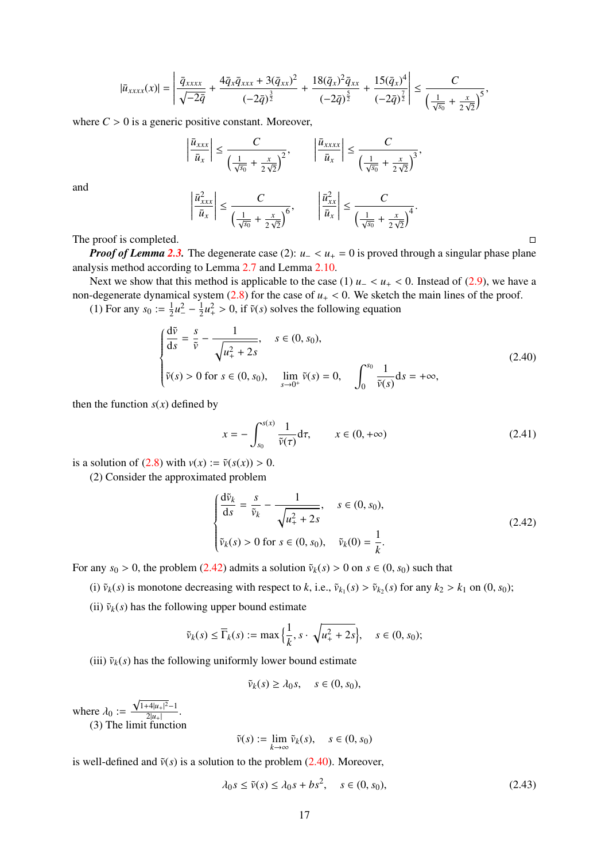$$
|\bar{u}_{xxxx}(x)|=\left|\frac{\bar{q}_{xxxx}}{\sqrt{-2\bar{q}}}+\frac{4\bar{q}_x\bar{q}_{xxx}+3(\bar{q}_{xx})^2}{(-2\bar{q})^{\frac{3}{2}}}+\frac{18(\bar{q}_x)^2\bar{q}_{xx}}{(-2\bar{q})^{\frac{5}{2}}}+\frac{15(\bar{q}_x)^4}{(-2\bar{q})^{\frac{7}{2}}}\right|\leq \frac{C}{\left(\frac{1}{\sqrt{s_0}}+\frac{x}{2\sqrt{2}}\right)^5},
$$

where  $C > 0$  is a generic positive constant. Moreover,

 $\overline{\phantom{a}}$ I I ╎  $\overline{a}$ 

$$
\left| \frac{\bar{u}_{xxx}}{\bar{u}_x} \right| \le \frac{C}{\left(\frac{1}{\sqrt{s_0}} + \frac{x}{2\sqrt{2}}\right)^2}, \qquad \left| \frac{\bar{u}_{xxxx}}{\bar{u}_x} \right| \le \frac{C}{\left(\frac{1}{\sqrt{s_0}} + \frac{x}{2\sqrt{2}}\right)^3}
$$

and

$$
\left|\frac{\bar{u}_{xxx}^2}{\bar{u}_x}\right| \leq \frac{C}{\left(\frac{1}{\sqrt{s_0}} + \frac{x}{2\sqrt{2}}\right)^6}, \qquad \left|\frac{\bar{u}_{xx}^2}{\bar{u}_x}\right| \leq \frac{C}{\left(\frac{1}{\sqrt{s_0}} + \frac{x}{2\sqrt{2}}\right)^4}.
$$

The proof is completed.

*Proof of Lemma [2.3.](#page-5-3)* The degenerate case (2):  $u_+ < u_+ = 0$  is proved through a singular phase plane analysis method according to Lemma [2.7](#page-10-3) and Lemma [2.10.](#page-15-0)

Next we show that this method is applicable to the case (1)  $u- < u+ < 0$ . Instead of [\(2.9\)](#page-6-1), we have a non-degenerate dynamical system  $(2.8)$  for the case of  $u_{+} < 0$ . We sketch the main lines of the proof.

(1) For any  $s_0 := \frac{1}{2}$  $\frac{1}{2}u^2 - \frac{1}{2}$  $\frac{1}{2}u_+^2 > 0$ , if  $\tilde{v}(s)$  solves the following equation

<span id="page-16-1"></span>
$$
\begin{cases}\n\frac{d\tilde{v}}{ds} = \frac{s}{\tilde{v}} - \frac{1}{\sqrt{u_+^2 + 2s}}, & s \in (0, s_0), \\
\tilde{v}(s) > 0 \text{ for } s \in (0, s_0), & \lim_{s \to 0^+} \tilde{v}(s) = 0, \quad \int_0^{s_0} \frac{1}{\tilde{v}(s)} ds = +\infty,\n\end{cases}
$$
\n(2.40)

then the function  $s(x)$  defined by

<span id="page-16-3"></span>
$$
x = -\int_{s_0}^{s(x)} \frac{1}{\tilde{\nu}(\tau)} d\tau, \qquad x \in (0, +\infty)
$$
 (2.41)

,

is a solution of [\(2.8\)](#page-6-6) with  $v(x) := \tilde{v}(s(x)) > 0$ .

(2) Consider the approximated problem

<span id="page-16-0"></span>
$$
\begin{cases}\n\frac{d\tilde{v}_k}{ds} = \frac{s}{\tilde{v}_k} - \frac{1}{\sqrt{u_+^2 + 2s}}, & s \in (0, s_0), \\
\tilde{v}_k(s) > 0 \text{ for } s \in (0, s_0), & \tilde{v}_k(0) = \frac{1}{k}.\n\end{cases}
$$
\n(2.42)

For any  $s_0 > 0$ , the problem [\(2.42\)](#page-16-0) admits a solution  $\tilde{v}_k(s) > 0$  on  $s \in (0, s_0)$  such that

(i)  $\tilde{v}_k(s)$  is monotone decreasing with respect to *k*, i.e.,  $\tilde{v}_{k_1}(s) > \tilde{v}_{k_2}(s)$  for any  $k_2 > k_1$  on  $(0, s_0)$ ;

(ii)  $\tilde{v}_k(s)$  has the following upper bound estimate

$$
\tilde{v}_k(s) \le \overline{\Gamma}_k(s) := \max\left\{\frac{1}{k}, s \cdot \sqrt{u_+^2 + 2s}\right\}, \quad s \in (0, s_0);
$$

(iii)  $\tilde{v}_k(s)$  has the following uniformly lower bound estimate

$$
\tilde{v}_k(s) \ge \lambda_0 s, \quad s \in (0, s_0),
$$

where  $\lambda_0 :=$ <br>(3) The √ 1+4|*u*+| <sup>2</sup>−1  $\frac{1}{2|u_+|}$ .

(3) The limit function

$$
\tilde{v}(s) := \lim_{k \to \infty} \tilde{v}_k(s), \quad s \in (0, s_0)
$$

is well-defined and  $\tilde{v}(s)$  is a solution to the problem  $(2.40)$ . Moreover,

<span id="page-16-2"></span>
$$
\lambda_0 s \le \tilde{v}(s) \le \lambda_0 s + b s^2, \quad s \in (0, s_0), \tag{2.43}
$$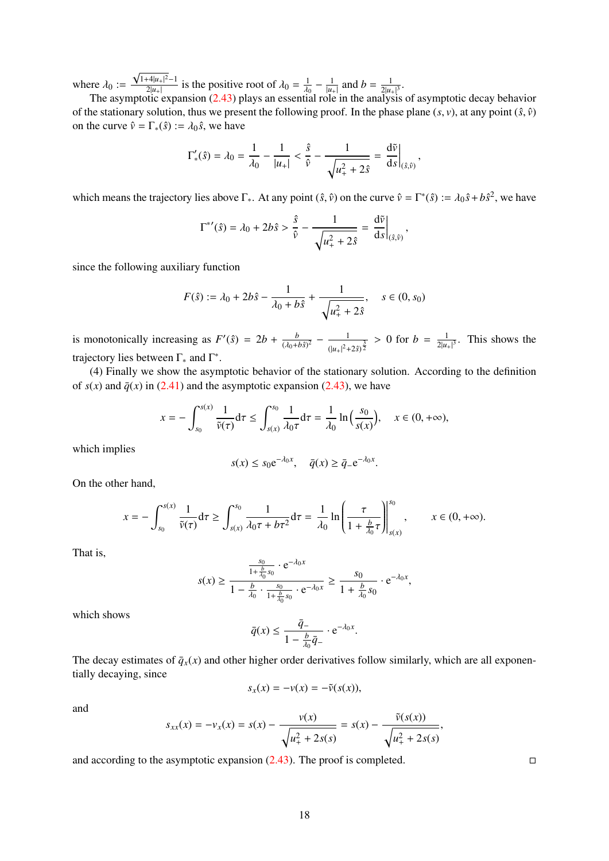where  $\lambda_0 :=$ <br>The assu √  $1+4|u_+|^2-1$  $\frac{2|u_+|^2-1}{2|u_+|}$  is the positive root of  $\lambda_0 = \frac{1}{\lambda_0}$ λ0<br>his  $-\frac{1}{|u_+|}$  and  $b = \frac{1}{2|u_-|}$  $\frac{1}{2|u_{+}|^{3}}$ .

The asymptotic expansion [\(2.43\)](#page-16-2) plays an essential role in the analysis of asymptotic decay behavior of the stationary solution, thus we present the following proof. In the phase plane  $(s, v)$ , at any point  $(\hat{s}, \hat{v})$ on the curve  $\hat{v} = \Gamma_*(\hat{s}) := \lambda_0 \hat{s}$ , we have

$$
\Gamma'_{*}(\hat{s}) = \lambda_0 = \frac{1}{\lambda_0} - \frac{1}{|u_{+}|} < \frac{\hat{s}}{\hat{v}} - \frac{1}{\sqrt{u_{+}^2 + 2\hat{s}}} = \left. \frac{d\tilde{v}}{ds} \right|_{(\hat{s},\hat{v})}
$$

,

which means the trajectory lies above  $\Gamma_*$ . At any point  $(\hat{s}, \hat{v})$  on the curve  $\hat{v} = \Gamma^*(\hat{s}) := \lambda_0 \hat{s} + b\hat{s}^2$ , we have

$$
\Gamma^{*'}(\hat{s}) = \lambda_0 + 2b\hat{s} > \frac{\hat{s}}{\hat{v}} - \frac{1}{\sqrt{u_+^2 + 2\hat{s}}} = \frac{d\tilde{v}}{ds}\Big|_{(\hat{s},\hat{v})},
$$

since the following auxiliary function

$$
F(\hat{s}) := \lambda_0 + 2b\hat{s} - \frac{1}{\lambda_0 + b\hat{s}} + \frac{1}{\sqrt{u_+^2 + 2\hat{s}}}, \quad s \in (0, s_0)
$$

is monotonically increasing as  $F'(\hat{s}) = 2b + \frac{b}{\sqrt{b^2 + 4}}$  $rac{b}{(\lambda_0+b\hat{s})^2} - \frac{1}{(\vert u_+\vert^2 + \cdots)}$  $\frac{1}{(|u_+|^2 + 2\hat{s})^{\frac{3}{2}}}$  > 0 for  $b = \frac{1}{2|u_+|^2}$  $\frac{1}{2|u_{+}|^3}$ . This shows the trajectory lies between  $\Gamma_*$  and  $\Gamma^*$ .

(4) Finally we show the asymptotic behavior of the stationary solution. According to the definition of  $s(x)$  and  $\bar{q}(x)$  in [\(2.41\)](#page-16-3) and the asymptotic expansion [\(2.43\)](#page-16-2), we have

$$
x = -\int_{s_0}^{s(x)} \frac{1}{\tilde{\nu}(\tau)} d\tau \le \int_{s(x)}^{s_0} \frac{1}{\lambda_0 \tau} d\tau = \frac{1}{\lambda_0} \ln\left(\frac{s_0}{s(x)}\right), \quad x \in (0, +\infty),
$$

which implies

$$
s(x) \le s_0 e^{-\lambda_0 x}, \quad \bar{q}(x) \ge \bar{q}_- e^{-\lambda_0 x}
$$

On the other hand,

$$
x = -\int_{s_0}^{s(x)} \frac{1}{\tilde{\nu}(\tau)} d\tau \ge \int_{s(x)}^{s_0} \frac{1}{\lambda_0 \tau + b\tau^2} d\tau = \frac{1}{\lambda_0} \ln \left( \frac{\tau}{1 + \frac{b}{\lambda_0} \tau} \right) \Big|_{s(x)}^{s_0}, \qquad x \in (0, +\infty).
$$

That is,

$$
s(x) \ge \frac{\frac{s_0}{1 + \frac{b}{\lambda_0} s_0} \cdot e^{-\lambda_0 x}}{1 - \frac{b}{\lambda_0} \cdot \frac{s_0}{1 + \frac{b}{\lambda_0} s_0} \cdot e^{-\lambda_0 x}} \ge \frac{s_0}{1 + \frac{b}{\lambda_0} s_0} \cdot e^{-\lambda_0 x},
$$

which shows

$$
\bar{q}(x) \le \frac{\bar{q}_-}{1 - \frac{b}{\lambda_0} \bar{q}_-} \cdot e^{-\lambda_0 x}.
$$

The decay estimates of  $\bar{q}_x(x)$  and other higher order derivatives follow similarly, which are all exponentially decaying, since

$$
s_x(x) = -v(x) = -\tilde{v}(s(x)),
$$

and

$$
s_{xx}(x) = -v_x(x) = s(x) - \frac{v(x)}{\sqrt{u_+^2 + 2s(s)}} = s(x) - \frac{\tilde{v}(s(x))}{\sqrt{u_+^2 + 2s(s)}},
$$

and according to the asymptotic expansion  $(2.43)$ . The proof is completed.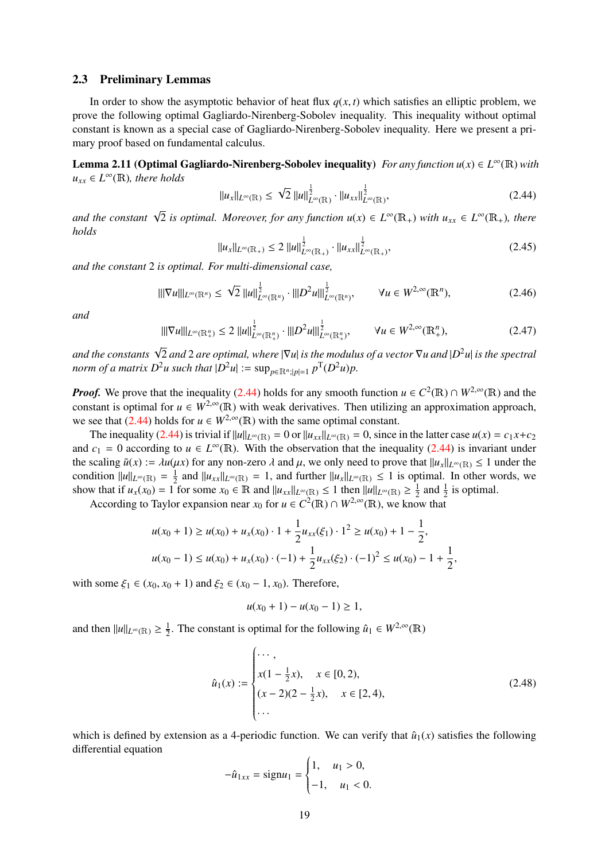#### <span id="page-18-0"></span>2.3 Preliminary Lemmas

In order to show the asymptotic behavior of heat flux  $q(x, t)$  which satisfies an elliptic problem, we prove the following optimal Gagliardo-Nirenberg-Sobolev inequality. This inequality without optimal constant is known as a special case of Gagliardo-Nirenberg-Sobolev inequality. Here we present a primary proof based on fundamental calculus.

<span id="page-18-4"></span>**Lemma 2.11 (Optimal Gagliardo-Nirenberg-Sobolev inequality)** *For any function*  $u(x) \in L^{\infty}(\mathbb{R})$  *with*  $u_{xx} \in L^{\infty}(\mathbb{R})$ *, there holds* 

<span id="page-18-1"></span>
$$
||u_{x}||_{L^{\infty}(\mathbb{R})} \leq \sqrt{2} ||u||_{L^{\infty}(\mathbb{R})}^{\frac{1}{2}} \cdot ||u_{xx}||_{L^{\infty}(\mathbb{R})}^{\frac{1}{2}},
$$
\n(2.44)

and the constant  $\sqrt{2}$  is optimal. Moreover, for any function  $u(x) \in L^{\infty}(\mathbb{R}_{+})$  with  $u_{xx} \in L^{\infty}(\mathbb{R}_{+})$ , there *holds*

<span id="page-18-2"></span>
$$
||u_x||_{L^{\infty}(\mathbb{R}_+)} \le 2 ||u||_{L^{\infty}(\mathbb{R}_+)}^{\frac{1}{2}} \cdot ||u_{xx}||_{L^{\infty}(\mathbb{R}_+)}^{\frac{1}{2}},
$$
\n(2.45)

*and the constant* 2 *is optimal. For multi-dimensional case,*

<span id="page-18-3"></span>
$$
\|\nabla u\|_{L^{\infty}(\mathbb{R}^n)} \leq \sqrt{2} \|u\|_{L^{\infty}(\mathbb{R}^n)}^{\frac{1}{2}} \cdot \|\|D^2 u\|_{L^{\infty}(\mathbb{R}^n)}^{\frac{1}{2}}, \qquad \forall u \in W^{2,\infty}(\mathbb{R}^n), \tag{2.46}
$$

*and*

$$
\|\nabla u\|_{L^{\infty}(\mathbb{R}^n_+)} \le 2 \|u\|_{L^{\infty}(\mathbb{R}^n_+)}^{\frac{1}{2}} \cdot \|\nabla^2 u\|_{L^{\infty}(\mathbb{R}^n_+)}^{\frac{1}{2}}, \qquad \forall u \in W^{2,\infty}(\mathbb{R}^n_+), \tag{2.47}
$$

*and the constants* <sup>√</sup> 2 *and* 2 *are optimal, where* |∇*u*| *is the modulus of a vector* ∇*u and* |*D* <sup>2</sup>*u*| *is the spectral norm of a matrix D*<sup>2</sup>*u* such that  $|D^2u| := \sup_{p \in \mathbb{R}^n : |p| = 1} p^T(D^2u)p$ .

*Proof.* We prove that the inequality [\(2.44\)](#page-18-1) holds for any smooth function  $u \in C^2(\mathbb{R}) \cap W^{2,\infty}(\mathbb{R})$  and the constant is optimal for  $u \in W^{2,\infty}(\mathbb{R})$  with weak derivatives. Then utilizing an approximation approach, we see that [\(2.44\)](#page-18-1) holds for  $u \in W^{2,\infty}(\mathbb{R})$  with the same optimal constant.

The inequality [\(2.44\)](#page-18-1) is trivial if  $||u||_{L^\infty(\mathbb{R})} = 0$  or  $||u_{xx}||_{L^\infty(\mathbb{R})} = 0$ , since in the latter case  $u(x) = c_1x + c_2$ and  $c_1 = 0$  according to  $u \in L^{\infty}(\mathbb{R})$ . With the observation that the inequality [\(2.44\)](#page-18-1) is invariant under the scaling  $\tilde{u}(x) := \lambda u(\mu x)$  for any non-zero  $\lambda$  and  $\mu$ , we only need to prove that  $||u_x||_{L^\infty(\mathbb{R})} \le 1$  under the condition  $||u||_{L^{\infty}(\mathbb{R})} = \frac{1}{2}$  $\frac{1}{2}$  and  $||u_{xx}||_{L^{\infty}(\mathbb{R})} = 1$ , and further  $||u_x||_{L^{\infty}(\mathbb{R})} \le 1$  is optimal. In other words, we show that if  $u_x(x_0) = 1$  for some  $x_0 \in \mathbb{R}$  and  $||u_{xx}||_{L^\infty(\mathbb{R})} \le 1$  then  $||u||_{L^\infty(\mathbb{R})} \ge \frac{1}{2}$  $\frac{1}{2}$  and  $\frac{1}{2}$  is optimal.

According to Taylor expansion near  $x_0$  for  $u \in C^2(\mathbb{R}) \cap W^{2,\infty}(\mathbb{R})$ , we know that

$$
u(x_0 + 1) \ge u(x_0) + u_x(x_0) \cdot 1 + \frac{1}{2} u_{xx}(\xi_1) \cdot 1^2 \ge u(x_0) + 1 - \frac{1}{2},
$$
  

$$
u(x_0 - 1) \le u(x_0) + u_x(x_0) \cdot (-1) + \frac{1}{2} u_{xx}(\xi_2) \cdot (-1)^2 \le u(x_0) - 1 + \frac{1}{2},
$$

with some  $\xi_1$  ∈ ( $x_0$ ,  $x_0$  + 1) and  $\xi_2$  ∈ ( $x_0$  − 1,  $x_0$ ). Therefore,

$$
u(x_0+1)-u(x_0-1)\geq 1,
$$

and then  $||u||_{L^{\infty}(\mathbb{R})} \geq \frac{1}{2}$  $\frac{1}{2}$ . The constant is optimal for the following  $\hat{u}_1 \in W^{2,\infty}(\mathbb{R})$ 

$$
\hat{u}_1(x) := \begin{cases}\n\cdots, \\
x(1 - \frac{1}{2}x), & x \in [0, 2), \\
(x - 2)(2 - \frac{1}{2}x), & x \in [2, 4), \\
\cdots\n\end{cases}
$$
\n(2.48)

which is defined by extension as a 4-periodic function. We can verify that  $\hat{u}_1(x)$  satisfies the following differential equation

$$
-\hat{u}_{1xx} = \text{sign}u_1 = \begin{cases} 1, & u_1 > 0, \\ -1, & u_1 < 0. \end{cases}
$$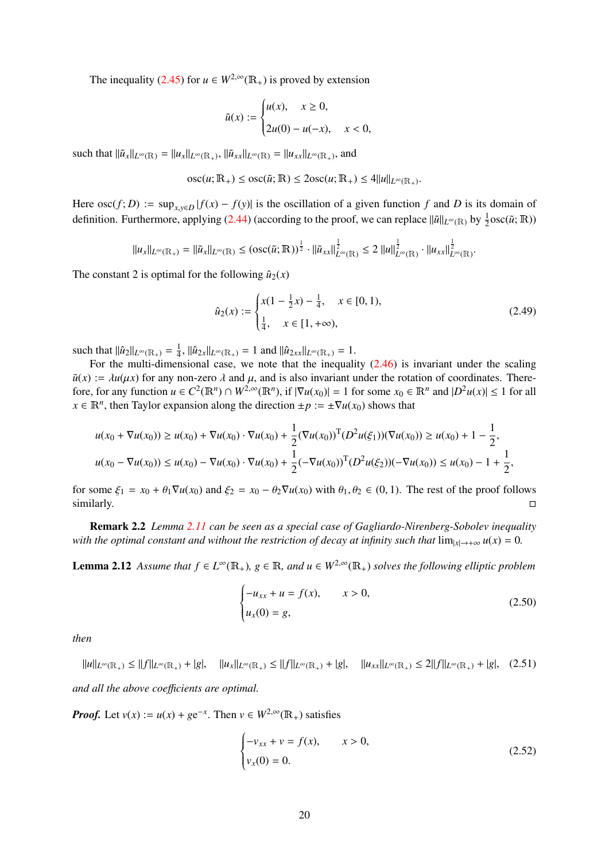The inequality [\(2.45\)](#page-18-2) for  $u \in W^{2,\infty}(\mathbb{R}_+)$  is proved by extension

$$
\tilde{u}(x) := \begin{cases} u(x), & x \ge 0, \\ 2u(0) - u(-x), & x < 0, \end{cases}
$$

such that  $\|\tilde{u}_x\|_{L^\infty(\mathbb{R})} = \|u_x\|_{L^\infty(\mathbb{R}_+)}$ ,  $\|\tilde{u}_{xx}\|_{L^\infty(\mathbb{R})} = \|u_{xx}\|_{L^\infty(\mathbb{R}_+)}$ , and

$$
\operatorname{osc}(u; \mathbb{R}_+) \leq \operatorname{osc}(\tilde{u}; \mathbb{R}) \leq 2 \operatorname{osc}(u; \mathbb{R}_+) \leq 4||u||_{L^{\infty}(\mathbb{R}_+)}.
$$

Here  $\operatorname{osc}(f; D) := \sup_{x,y \in D} |f(x) - f(y)|$  is the oscillation of a given function *f* and *D* is its domain of definition. Furthermore, applying [\(2.44\)](#page-18-1) (according to the proof, we can replace  $\|\tilde{u}\|_{L^{\infty}(\mathbb{R})}$  by  $\frac{1}{2}$ osc( $\tilde{u}$ ; R))

$$
||u_x||_{L^{\infty}(\mathbb{R}_+)} = ||\tilde{u}_x||_{L^{\infty}(\mathbb{R})} \leq (\mathrm{osc}(\tilde{u}; \mathbb{R}))^{\frac{1}{2}} \cdot ||\tilde{u}_{xx}||_{L^{\infty}(\mathbb{R})}^{\frac{1}{2}} \leq 2 ||u||_{L^{\infty}(\mathbb{R})}^{\frac{1}{2}} \cdot ||u_{xx}||_{L^{\infty}(\mathbb{R})}^{\frac{1}{2}}.
$$

The constant 2 is optimal for the following  $\hat{u}_2(x)$ 

$$
\hat{u}_2(x) := \begin{cases} x(1 - \frac{1}{2}x) - \frac{1}{4}, & x \in [0, 1), \\ \frac{1}{4}, & x \in [1, +\infty), \end{cases}
$$
\n(2.49)

such that  $\|\hat{u}_2\|_{L^\infty(\mathbb{R}_+)} = \frac{1}{4}$  $\frac{1}{4}$ ,  $\|\hat{u}_{2x}\|_{L^{\infty}(\mathbb{R}_+)} = 1$  and  $\|\hat{u}_{2xx}\|_{L^{\infty}(\mathbb{R}_+)} = 1$ .

For the multi-dimensional case, we note that the inequality  $(2.46)$  is invariant under the scaling  $\tilde{u}(x) := \lambda u(\mu x)$  for any non-zero  $\lambda$  and  $\mu$ , and is also invariant under the rotation of coordinates. Therefore, for any function  $u \in C^2(\mathbb{R}^n) \cap W^{2,\infty}(\mathbb{R}^n)$ , if  $|\nabla u(x_0)| = 1$  for some  $x_0 \in \mathbb{R}^n$  and  $|D^2 u(x)| \le 1$  for all  $x \in \mathbb{R}^n$ , then Taylor expansion along the direction  $\pm p := \pm \nabla u(x_0)$  shows that

$$
u(x_0 + \nabla u(x_0)) \ge u(x_0) + \nabla u(x_0) \cdot \nabla u(x_0) + \frac{1}{2} (\nabla u(x_0))^T (D^2 u(\xi_1)) (\nabla u(x_0)) \ge u(x_0) + 1 - \frac{1}{2},
$$
  

$$
u(x_0 - \nabla u(x_0)) \le u(x_0) - \nabla u(x_0) \cdot \nabla u(x_0) + \frac{1}{2} (-\nabla u(x_0))^T (D^2 u(\xi_2)) (-\nabla u(x_0)) \le u(x_0) - 1 + \frac{1}{2},
$$

for some  $\xi_1 = x_0 + \theta_1 \nabla u(x_0)$  and  $\xi_2 = x_0 - \theta_2 \nabla u(x_0)$  with  $\theta_1, \theta_2 \in (0, 1)$ . The rest of the proof follows similarly.  $\Box$ similarly.

Remark 2.2 *Lemma [2.11](#page-18-4) can be seen as a special case of Gagliardo-Nirenberg-Sobolev inequality with the optimal constant and without the restriction of decay at infinity such that*  $\lim_{|x|\to+\infty} u(x) = 0$ *.* 

<span id="page-19-0"></span>**Lemma 2.12** *Assume that*  $f \in L^{\infty}(\mathbb{R}_+)$ ,  $g \in \mathbb{R}$ , and  $u \in W^{2,\infty}(\mathbb{R}_+)$  solves the following elliptic problem

<span id="page-19-1"></span>
$$
\begin{cases}\n-u_{xx} + u = f(x), & x > 0, \\
u_x(0) = g,\n\end{cases}
$$
\n(2.50)

*then*

<span id="page-19-3"></span> $||u||_{L^{\infty}(\mathbb{R}_+)} \leq ||f||_{L^{\infty}(\mathbb{R}_+)} + |g|, \quad ||u_x||_{L^{\infty}(\mathbb{R}_+)} \leq ||f||_{L^{\infty}(\mathbb{R}_+)} + |g|, \quad ||u_{xx}||_{L^{\infty}(\mathbb{R}_+)} \leq 2||f||_{L^{\infty}(\mathbb{R}_+)} + |g|, \quad (2.51)$ 

*and all the above coe*ffi*cients are optimal.*

*Proof.* Let  $v(x) := u(x) + ge^{-x}$ . Then  $v \in W^{2,\infty}(\mathbb{R}_+)$  satisfies

<span id="page-19-2"></span>
$$
\begin{cases}\n-v_{xx} + v = f(x), & x > 0, \\
v_x(0) = 0.\n\end{cases}
$$
\n(2.52)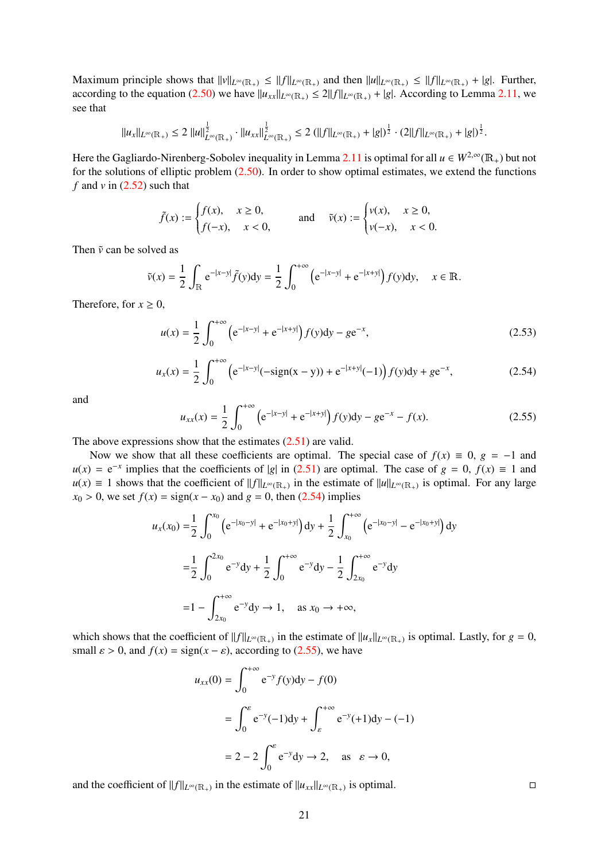Maximum principle shows that  $||v||_{L^{\infty}(\mathbb{R}_+)} \le ||f||_{L^{\infty}(\mathbb{R}_+)}$  and then  $||u||_{L^{\infty}(\mathbb{R}_+)} \le ||f||_{L^{\infty}(\mathbb{R}_+)} + |g|$ . Further, according to the equation [\(2.50\)](#page-19-1) we have  $||u_{xx}||_{L^{\infty}(\mathbb{R}_+)} \le 2||f||_{L^{\infty}(\mathbb{R}_+)} + |g|$ . According to Lemma [2.11,](#page-18-4) we see that

$$
||u_x||_{L^{\infty}(\mathbb{R}_+)} \leq 2 ||u||_{L^{\infty}(\mathbb{R}_+)}^{\frac{1}{2}} \cdot ||u_{xx}||_{L^{\infty}(\mathbb{R}_+)}^{\frac{1}{2}} \leq 2 (||f||_{L^{\infty}(\mathbb{R}_+)} + |g|)^{\frac{1}{2}} \cdot (2||f||_{L^{\infty}(\mathbb{R}_+)} + |g|)^{\frac{1}{2}}.
$$

Here the Gagliardo-Nirenberg-Sobolev inequality in Lemma [2.11](#page-18-4) is optimal for all  $u \in W^{2,\infty}(\mathbb{R}_+)$  but not for the solutions of elliptic problem  $(2.50)$ . In order to show optimal estimates, we extend the functions *f* and  $\nu$  in [\(2.52\)](#page-19-2) such that

$$
\tilde{f}(x) := \begin{cases} f(x), & x \ge 0, \\ f(-x), & x < 0, \end{cases} \quad \text{and} \quad \tilde{v}(x) := \begin{cases} v(x), & x \ge 0, \\ v(-x), & x < 0. \end{cases}
$$

Then  $\tilde{v}$  can be solved as

$$
\tilde{v}(x) = \frac{1}{2} \int_{\mathbb{R}} e^{-|x-y|} \tilde{f}(y) dy = \frac{1}{2} \int_0^{+\infty} \left( e^{-|x-y|} + e^{-|x+y|} \right) f(y) dy, \quad x \in \mathbb{R}.
$$

Therefore, for  $x \geq 0$ ,

$$
u(x) = \frac{1}{2} \int_0^{+\infty} \left( e^{-|x-y|} + e^{-|x+y|} \right) f(y) dy - g e^{-x}, \tag{2.53}
$$

$$
u_x(x) = \frac{1}{2} \int_0^{+\infty} \left( e^{-|x-y|} (-\text{sign}(x-y)) + e^{-|x+y|} (-1) \right) f(y) dy + g e^{-x}, \tag{2.54}
$$

and

<span id="page-20-1"></span><span id="page-20-0"></span>
$$
u_{xx}(x) = \frac{1}{2} \int_0^{+\infty} \left( e^{-|x-y|} + e^{-|x+y|} \right) f(y) dy - g e^{-x} - f(x).
$$
 (2.55)

The above expressions show that the estimates  $(2.51)$  are valid.

Now we show that all these coefficients are optimal. The special case of  $f(x) \equiv 0$ ,  $g = -1$  and  $u(x) = e^{-x}$  implies that the coefficients of |*g*| in [\(2.51\)](#page-19-3) are optimal. The case of  $g = 0$ ,  $f(x) \equiv 1$  and *u*(*x*) ≡ 1 shows that the coefficient of  $||f||_{L^\infty(\mathbb{R}_+)}$  in the estimate of  $||u||_{L^\infty(\mathbb{R}_+)}$  is optimal. For any large *x*<sub>0</sub> > 0, we set  $f(x) = sign(x - x_0)$  and  $g = 0$ , then [\(2.54\)](#page-20-0) implies

$$
u_x(x_0) = \frac{1}{2} \int_0^{x_0} \left( e^{-|x_0 - y|} + e^{-|x_0 + y|} \right) dy + \frac{1}{2} \int_{x_0}^{+\infty} \left( e^{-|x_0 - y|} - e^{-|x_0 + y|} \right) dy
$$
  

$$
= \frac{1}{2} \int_0^{2x_0} e^{-y} dy + \frac{1}{2} \int_0^{+\infty} e^{-y} dy - \frac{1}{2} \int_{2x_0}^{+\infty} e^{-y} dy
$$
  

$$
= 1 - \int_{2x_0}^{+\infty} e^{-y} dy \to 1, \text{ as } x_0 \to +\infty,
$$

which shows that the coefficient of  $||f||_{L^{\infty}(\mathbb{R}_+)}$  in the estimate of  $||u_x||_{L^{\infty}(\mathbb{R}_+)}$  is optimal. Lastly, for  $g = 0$ , small  $\varepsilon > 0$ , and  $f(x) = sign(x - \varepsilon)$ , according to [\(2.55\)](#page-20-1), we have

$$
u_{xx}(0) = \int_0^{+\infty} e^{-y} f(y) dy - f(0)
$$
  
= 
$$
\int_0^{\varepsilon} e^{-y} (-1) dy + \int_{\varepsilon}^{+\infty} e^{-y} (+1) dy - (-1)
$$
  
= 
$$
2 - 2 \int_0^{\varepsilon} e^{-y} dy \to 2, \text{ as } \varepsilon \to 0,
$$

and the coefficient of  $||f||_{L^{\infty}(\mathbb{R}_+)}$  in the estimate of  $||u_{xx}||_{L^{\infty}(\mathbb{R}_+)}$  is optimal.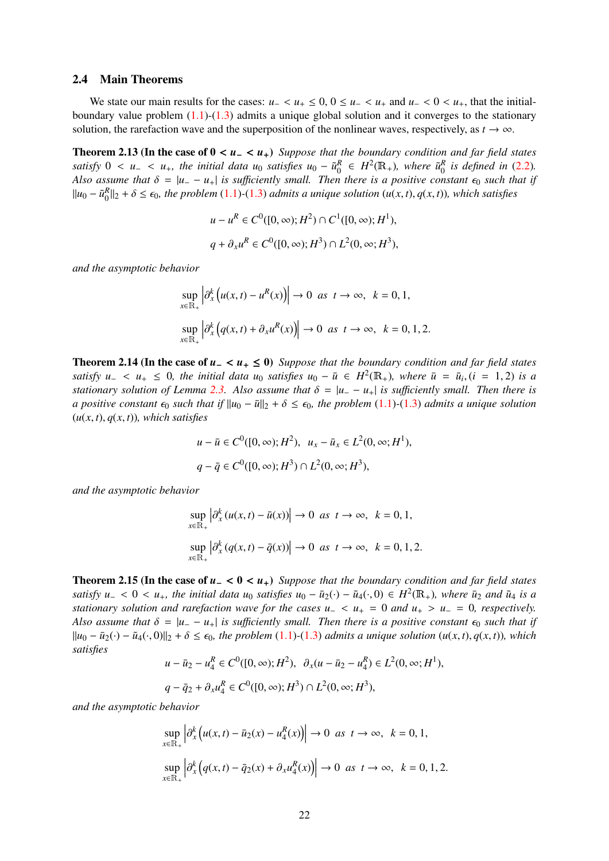#### <span id="page-21-0"></span>2.4 Main Theorems

We state our main results for the cases:  $u_+ < u_+ \leq 0$ ,  $0 \leq u_- < u_+$  and  $u_- < 0 < u_+$ , that the initialboundary value problem  $(1.1)-(1.3)$  $(1.1)-(1.3)$  $(1.1)-(1.3)$  admits a unique global solution and it converges to the stationary solution, the rarefaction wave and the superposition of the nonlinear waves, respectively, as  $t \to \infty$ .

Theorem 2.13 (In the case of  $0 < u< u<sub>+</sub>$ ) Suppose that the boundary condition and far field states *satisfy*  $0 < u_- < u_+$ *, the initial data*  $u_0$  *satisfies*  $u_0 - \tilde{u}_0^R \in H^2(\mathbb{R}_+)$ *, where*  $\tilde{u}_0^R$  *is defined in* [\(2.2\)](#page-3-3)*.*<br>Also assume that  $\delta = |u_0 - u_+|$  is sufficiently small. Then there is a positive constant *Also assume that*  $\delta = |u_--u_+|$  *is sufficiently small. Then there is a positive constant*  $\epsilon_0$  *such that if*  $||u_0 - \tilde{u}_0^R||_2 + \delta \leq \epsilon_0$ , the problem [\(1.1\)](#page-1-1)-[\(1.3\)](#page-1-3) admits a unique solution (*u*(*x*, *t*), *q*(*x*, *t*)), which satisfies

$$
u - u^{R} \in C^{0}([0, \infty); H^{2}) \cap C^{1}([0, \infty); H^{1}),
$$
  

$$
q + \partial_{x} u^{R} \in C^{0}([0, \infty); H^{3}) \cap L^{2}(0, \infty; H^{3}),
$$

*and the asymptotic behavior*

$$
\sup_{x \in \mathbb{R}_+} \left| \partial_x^k \left( u(x, t) - u^R(x) \right) \right| \to 0 \text{ as } t \to \infty, \ k = 0, 1,
$$
  

$$
\sup_{x \in \mathbb{R}_+} \left| \partial_x^k \left( q(x, t) + \partial_x u^R(x) \right) \right| \to 0 \text{ as } t \to \infty, \ k = 0, 1, 2.
$$

Theorem 2.14 (In the case of *<sup>u</sup>*<sup>−</sup> <sup>&</sup>lt; *<sup>u</sup>*<sup>+</sup> <sup>≤</sup> 0) *Suppose that the boundary condition and far field states satisfy*  $u_-\langle u_+\rangle \leq 0$ , the initial data  $u_0$  *satisfies*  $u_0 - \bar{u} \in H^2(\mathbb{R}_+)$ , where  $\bar{u} = \bar{u}_i$ ,  $(i = 1, 2)$  *is a stationary solution of Lamma* 2.3. Also assume that  $\delta = |u_-\rangle u$  is sufficiently small. Then t *stationary solution of Lemma* [2.3.](#page-5-3) Also assume that  $\delta = |u_ - u_+|$  *is sufficiently small. Then there is a positive constant*  $\epsilon_0$  *such that if*  $||u_0 - \bar{u}||_2 + \delta \leq \epsilon_0$ *, the problem* [\(1.1\)](#page-1-1) $\cdot$ [\(1.3\)](#page-1-3) *admits a unique solution*  $(u(x, t), q(x, t))$ *, which satisfies* 

$$
u - \bar{u} \in C^0([0, \infty); H^2), \ u_x - \bar{u}_x \in L^2(0, \infty; H^1),
$$
  

$$
q - \bar{q} \in C^0([0, \infty); H^3) \cap L^2(0, \infty; H^3),
$$

*and the asymptotic behavior*

$$
\sup_{x \in \mathbb{R}_+} \left| \partial_x^k (u(x, t) - \bar{u}(x)) \right| \to 0 \text{ as } t \to \infty, \ k = 0, 1,
$$
  

$$
\sup_{x \in \mathbb{R}_+} \left| \partial_x^k (q(x, t) - \bar{q}(x)) \right| \to 0 \text{ as } t \to \infty, \ k = 0, 1, 2.
$$

Theorem 2.15 (In the case of *<sup>u</sup>*<sup>−</sup> <sup>&</sup>lt; <sup>0</sup> <sup>&</sup>lt; *<sup>u</sup>*+) *Suppose that the boundary condition and far field states satisfy*  $u_- < 0 < u_+$ *, the initial data*  $u_0$  *satisfies*  $u_0 - \bar{u}_2(\cdot) - \tilde{u}_4(\cdot, 0) \in H^2(\mathbb{R}_+)$ *, where*  $\bar{u}_2$  *and*  $\tilde{u}_4$  *is a stationary solution and rarefaction wave for the cases*  $u_- < u_- = 0$  *and*  $u_- > u_$ *stationary solution and rarefaction wave for the cases*  $u$ *<sub>−</sub> <*  $u$ *<sub>+</sub> = 0 <i>and*  $u$ <sub>+</sub> >  $u$ <sub>−</sub> = 0*, respectively. Also assume that*  $\delta = |u_--u_+|$  *is sufficiently small. Then there is a positive constant*  $\epsilon_0$  *such that if*  $\|u_0 - \bar{u}_2(\cdot) - \tilde{u}_4(\cdot,0)\|_2 + \delta \leq \epsilon_0$ , the problem [\(1.1\)](#page-1-1)-[\(1.3\)](#page-1-3) *admits a unique solution* (*u*(*x*, *t*), *q*(*x*, *t*)), *which satisfies*

$$
u - \bar{u}_2 - u_4^R \in C^0([0, \infty); H^2), \ \ \partial_x(u - \bar{u}_2 - u_4^R) \in L^2(0, \infty; H^1),
$$
  

$$
q - \bar{q}_2 + \partial_x u_4^R \in C^0([0, \infty); H^3) \cap L^2(0, \infty; H^3),
$$

*and the asymptotic behavior*

$$
\sup_{x \in \mathbb{R}_+} \left| \partial_x^k \left( u(x, t) - \bar{u}_2(x) - u_4^R(x) \right) \right| \to 0 \text{ as } t \to \infty, \ k = 0, 1,
$$
  
\n
$$
\sup_{x \in \mathbb{R}_+} \left| \partial_x^k \left( q(x, t) - \bar{q}_2(x) + \partial_x u_4^R(x) \right) \right| \to 0 \text{ as } t \to \infty, \ k = 0, 1, 2.
$$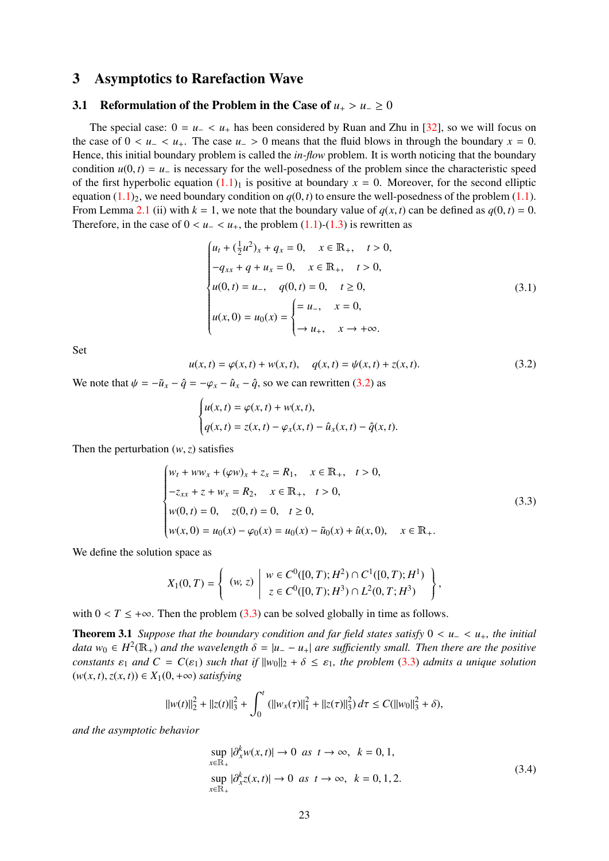# <span id="page-22-0"></span>3 Asymptotics to Rarefaction Wave

## <span id="page-22-1"></span>3.1 Reformulation of the Problem in the Case of  $u_+ > u_-\geq 0$

The special case:  $0 = u<sub>-</sub> < u<sub>+</sub>$  has been considered by Ruan and Zhu in [\[32\]](#page-44-18), so we will focus on the case of  $0 < u<sub>-</sub> < u<sub>+</sub>$ . The case  $u<sub>-</sub> > 0$  means that the fluid blows in through the boundary  $x = 0$ . Hence, this initial boundary problem is called the *in-flow* problem. It is worth noticing that the boundary condition  $u(0, t) = u_-\$  is necessary for the well-posedness of the problem since the characteristic speed of the first hyperbolic equation  $(1.1)$ <sub>1</sub> is positive at boundary  $x = 0$ . Moreover, for the second elliptic equation  $(1.1)$ <sub>2</sub>, we need boundary condition on  $q(0, t)$  to ensure the well-posedness of the problem  $(1.1)$ . From Lemma [2.1](#page-4-0) (ii) with  $k = 1$ , we note that the boundary value of  $q(x, t)$  can be defined as  $q(0, t) = 0$ . Therefore, in the case of  $0 < u<sub>-</sub> < u<sub>+</sub>$ , the problem [\(1.1\)](#page-1-1)-[\(1.3\)](#page-1-3) is rewritten as

$$
\begin{cases}\n u_t + (\frac{1}{2}u^2)_x + q_x = 0, & x \in \mathbb{R}_+, \quad t > 0, \\
 -q_{xx} + q + u_x = 0, & x \in \mathbb{R}_+, \quad t > 0, \\
 u(0, t) = u_-, & q(0, t) = 0, \quad t \ge 0, \\
 u(x, 0) = u_0(x) = \begin{cases}\n = u_-, & x = 0, \\
 \to u_+, & x \to +\infty.\n\end{cases}\n\end{cases}
$$
\n(3.1)

Set

<span id="page-22-2"></span>
$$
u(x,t) = \varphi(x,t) + w(x,t), \quad q(x,t) = \psi(x,t) + z(x,t).
$$
 (3.2)

We note that  $\psi = -\tilde{u}_x - \hat{q} = -\varphi_x - \hat{u}_x - \hat{q}$ , so we can rewritten [\(3.2\)](#page-22-2) as

$$
\begin{cases} u(x,t) = \varphi(x,t) + w(x,t), \\ q(x,t) = z(x,t) - \varphi_x(x,t) - \hat{u}_x(x,t) - \hat{q}(x,t). \end{cases}
$$

Then the perturbation  $(w, z)$  satisfies

<span id="page-22-3"></span>
$$
\begin{cases}\nw_t + ww_x + (\varphi w)_x + z_x = R_1, & x \in \mathbb{R}_+, \quad t > 0, \\
-z_{xx} + z + w_x = R_2, & x \in \mathbb{R}_+, \quad t > 0, \\
w(0, t) = 0, & z(0, t) = 0, \quad t \ge 0, \\
w(x, 0) = u_0(x) - \varphi_0(x) = u_0(x) - \tilde{u}_0(x) + \hat{u}(x, 0), \quad x \in \mathbb{R}_+.\n\end{cases}
$$
\n(3.3)

We define the solution space as

$$
X_1(0,T) = \left\{ \begin{array}{c} (w, z) \mid w \in C^0([0,T); H^2) \cap C^1([0,T); H^1) \\ z \in C^0([0,T); H^3) \cap L^2(0,T; H^3) \end{array} \right\},\,
$$

with  $0 < T \leq +\infty$ . Then the problem [\(3.3\)](#page-22-3) can be solved globally in time as follows.

<span id="page-22-4"></span>**Theorem 3.1** *Suppose that the boundary condition and far field states satisfy*  $0 < u_− < u_+$ *, the initial data*  $w_0 \in H^2(\mathbb{R}_+)$  *and the wavelength*  $\delta = |u_- - u_+|$  *are sufficiently small. Then there are the positive*<br>constants  $\infty$  and  $C = C(\infty)$  such that if  $||w_0||_2 + \delta \leq \infty$ , the problem (3.3) admits a unique solution *constants*  $\varepsilon_1$  *and*  $C = C(\varepsilon_1)$  *such that if*  $||w_0||_2 + \delta \leq \varepsilon_1$ *, the problem* [\(3.3\)](#page-22-3) *admits a unique solution*  $(w(x, t), z(x, t)) \in X_1(0, +\infty)$  *satisfying* 

$$
||w(t)||_2^2 + ||z(t)||_3^2 + \int_0^t (||w_x(\tau)||_1^2 + ||z(\tau)||_3^2) d\tau \leq C(||w_0||_3^2 + \delta),
$$

<span id="page-22-5"></span>*and the asymptotic behavior*

$$
\sup_{x \in \mathbb{R}_+} |\partial_x^k w(x, t)| \to 0 \text{ as } t \to \infty, \quad k = 0, 1,
$$
  
\n
$$
\sup_{x \in \mathbb{R}_+} |\partial_x^k z(x, t)| \to 0 \text{ as } t \to \infty, \quad k = 0, 1, 2.
$$
\n(3.4)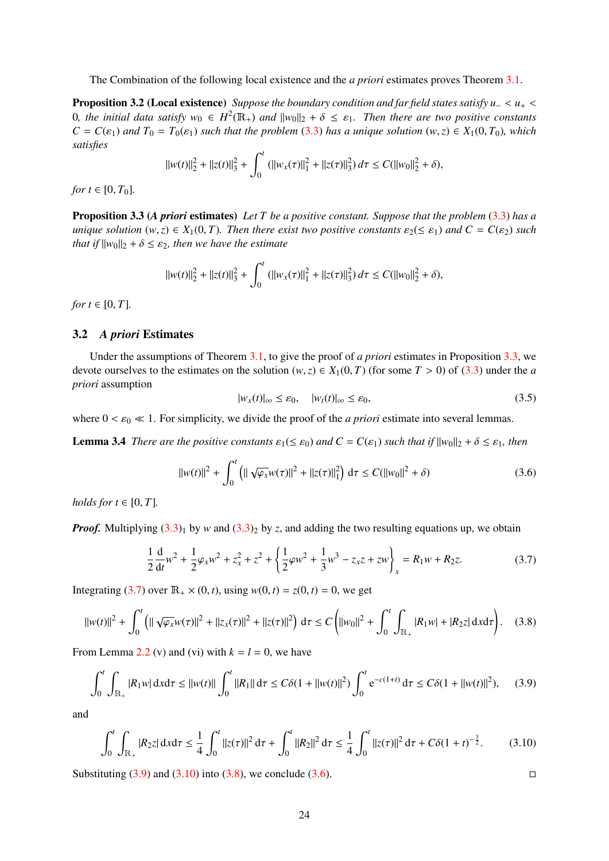The Combination of the following local existence and the *a priori* estimates proves Theorem [3.1.](#page-22-4)

<span id="page-23-10"></span>Proposition 3.2 (Local existence) *Suppose the boundary condition and far field states satisfy u*<sup>−</sup> <sup>&</sup>lt; *<sup>u</sup>*<sup>+</sup> <sup>&</sup>lt; 0*, the initial data satisfy*  $w_0$  ∈  $H^2(\mathbb{R}_+)$  *and*  $||w_0||_2 + \delta ≤ ε_1$ *. Then there are two positive constants*<br> $C = C(c_1)$  *and*  $T_2 = T_2(c_2)$  such that the problem (3.3) has a unique solution (w.z) ∈ X.(0, T<sub>2</sub>), whi  $C = C(\varepsilon_1)$  *and*  $T_0 = T_0(\varepsilon_1)$  *such that the problem* [\(3.3\)](#page-22-3) *has a unique solution*  $(w, z) \in X_1(0, T_0)$ *, which satisfies*

$$
||w(t)||_2^2 + ||z(t)||_3^2 + \int_0^t (||w_x(\tau)||_1^2 + ||z(\tau)||_3^2) d\tau \leq C(||w_0||_2^2 + \delta),
$$

*for*  $t \in [0, T_0]$ .

<span id="page-23-1"></span>Proposition 3.3 (*A priori* estimates) *Let T be a positive constant. Suppose that the problem* [\(3.3\)](#page-22-3) *has a unique solution*  $(w, z) \in X_1(0, T)$ *. Then there exist two positive constants*  $\varepsilon_2 \leq \varepsilon_1$ *) and*  $C = C(\varepsilon_2)$  *such that if*  $||w_0||_2 + \delta \leq \varepsilon_2$ *, then we have the estimate* 

$$
||w(t)||_2^2 + ||z(t)||_3^2 + \int_0^t (||w_x(\tau)||_1^2 + ||z(\tau)||_3^2) d\tau \leq C(||w_0||_2^2 + \delta),
$$

*for*  $t \in [0, T]$ *.* 

#### <span id="page-23-0"></span>3.2 *A priori* Estimates

Under the assumptions of Theorem [3.1,](#page-22-4) to give the proof of *a priori* estimates in Proposition [3.3,](#page-23-1) we devote ourselves to the estimates on the solution  $(w, z) \in X_1(0, T)$  (for some  $T > 0$ ) of [\(3.3\)](#page-22-3) under the *a priori* assumption

<span id="page-23-9"></span>
$$
|w_x(t)|_{\infty} \le \varepsilon_0, \quad |w_t(t)|_{\infty} \le \varepsilon_0,\tag{3.5}
$$

<span id="page-23-8"></span>where  $0 < \varepsilon_0 \ll 1$ . For simplicity, we divide the proof of the *a priori* estimate into several lemmas.

**Lemma 3.4** *There are the positive constants*  $\varepsilon_1 \leq \varepsilon_0$ *) and*  $C = C(\varepsilon_1)$  *such that if*  $||w_0||_2 + \delta \leq \varepsilon_1$ *, then* 

<span id="page-23-6"></span>
$$
||w(t)||^2 + \int_0^t \left( ||\sqrt{\varphi_x} w(\tau)||^2 + ||z(\tau)||_1^2 \right) d\tau \le C(||w_0||^2 + \delta)
$$
 (3.6)

*holds for*  $t \in [0, T]$ *.* 

*Proof.* Multiplying  $(3.3)_1$  $(3.3)_1$  by *w* and  $(3.3)_2$  by *z*, and adding the two resulting equations up, we obtain

<span id="page-23-2"></span>
$$
\frac{1}{2}\frac{d}{dt}w^2 + \frac{1}{2}\varphi_x w^2 + z_x^2 + z^2 + \left\{\frac{1}{2}\varphi w^2 + \frac{1}{3}w^3 - z_x z + zw\right\}_x = R_1 w + R_2 z.
$$
 (3.7)

Integrating [\(3.7\)](#page-23-2) over  $\mathbb{R}_{+} \times (0, t)$ , using  $w(0, t) = z(0, t) = 0$ , we get

<span id="page-23-5"></span>
$$
||w(t)||^2 + \int_0^t \left( ||\sqrt{\varphi_x} w(\tau)||^2 + ||z_x(\tau)||^2 + ||z(\tau)||^2 \right) d\tau \le C \left( ||w_0||^2 + \int_0^t \int_{\mathbb{R}_+} |R_1 w| + |R_2 z| d\tau \right). \tag{3.8}
$$

From Lemma [2.2](#page-4-2) (v) and (vi) with  $k = l = 0$ , we have

<span id="page-23-3"></span>
$$
\int_0^t \int_{\mathbb{R}_+} |R_1 w| \, \mathrm{d}x \mathrm{d}\tau \le ||w(t)|| \int_0^t ||R_1|| \, \mathrm{d}\tau \le C\delta(1 + ||w(t)||^2) \int_0^t e^{-c(1+t)} \, \mathrm{d}\tau \le C\delta(1 + ||w(t)||^2), \tag{3.9}
$$

and

<span id="page-23-4"></span>
$$
\int_0^t \int_{\mathbb{R}_+} |R_2 z| \, \mathrm{d}x \mathrm{d}\tau \le \frac{1}{4} \int_0^t \|z(\tau)\|^2 \, \mathrm{d}\tau + \int_0^t \|R_2\|^2 \, \mathrm{d}\tau \le \frac{1}{4} \int_0^t \|z(\tau)\|^2 \, \mathrm{d}\tau + C\delta (1+t)^{-\frac{3}{2}}. \tag{3.10}
$$

<span id="page-23-7"></span>Substituting  $(3.9)$  and  $(3.10)$  into  $(3.8)$ , we conclude  $(3.6)$ .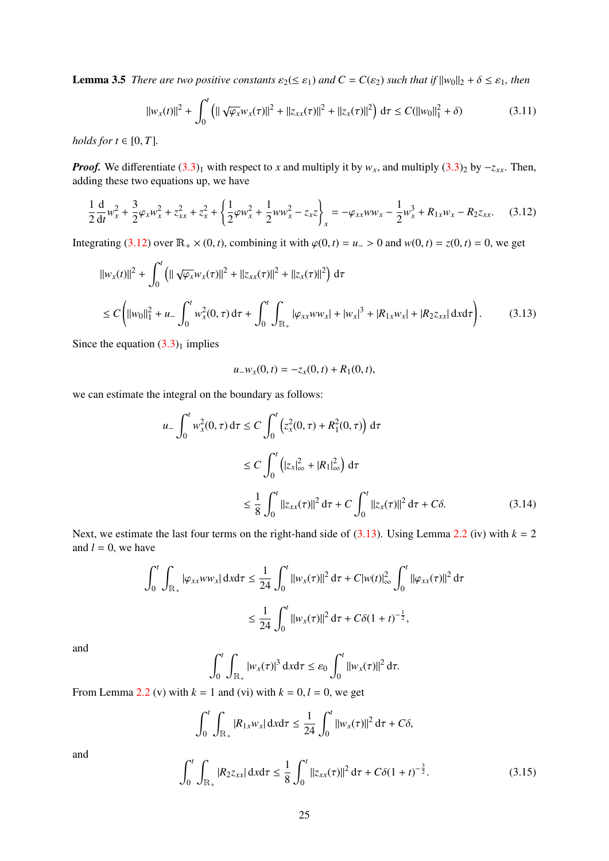**Lemma 3.5** *There are two positive constants*  $\varepsilon_2 (\leq \varepsilon_1)$  *and*  $C = C(\varepsilon_2)$  *such that if*  $||w_0||_2 + \delta \leq \varepsilon_1$ *, then* 

$$
||w_x(t)||^2 + \int_0^t \left( ||\sqrt{\varphi_x} w_x(\tau)||^2 + ||z_{xx}(\tau)||^2 + ||z_x(\tau)||^2 \right) d\tau \le C(||w_0||_1^2 + \delta)
$$
 (3.11)

*holds for*  $t \in [0, T]$ *.* 

*Proof.* We differentiate  $(3.3)_1$  $(3.3)_1$  with respect to *x* and multiply it by *w<sub>x</sub>*, and multiply  $(3.3)_2$  by  $-z_{xx}$ . Then, adding these two equations up, we have

<span id="page-24-0"></span>
$$
\frac{1}{2}\frac{d}{dt}w_x^2 + \frac{3}{2}\varphi_x w_x^2 + z_{xx}^2 + z_x^2 + \left\{\frac{1}{2}\varphi w_x^2 + \frac{1}{2}ww_x^2 - z_xz\right\}_x = -\varphi_{xx}ww_x - \frac{1}{2}w_x^3 + R_{1x}w_x - R_2z_{xx}.
$$
 (3.12)

Integrating [\(3.12\)](#page-24-0) over  $\mathbb{R}_+ \times (0, t)$ , combining it with  $\varphi(0, t) = u_0 > 0$  and  $w(0, t) = z(0, t) = 0$ , we get

<span id="page-24-1"></span>
$$
||w_x(t)||^2 + \int_0^t \left( ||\sqrt{\varphi_x} w_x(\tau)||^2 + ||z_{xx}(\tau)||^2 + ||z_x(\tau)||^2 \right) d\tau
$$
  
\n
$$
\leq C \left( ||w_0||_1^2 + u - \int_0^t w_x^2(0, \tau) d\tau + \int_0^t \int_{\mathbb{R}_+} |\varphi_{xx} w w_x| + |w_x|^3 + |R_{1x} w_x| + |R_{2} z_{xx}| d\tau \right).
$$
 (3.13)

Since the equation  $(3.3)<sub>1</sub>$  $(3.3)<sub>1</sub>$  implies

$$
u_{-}w_{x}(0,t)=-z_{x}(0,t)+R_{1}(0,t),
$$

we can estimate the integral on the boundary as follows:

$$
u_{-} \int_{0}^{t} w_{x}^{2}(0, \tau) d\tau \le C \int_{0}^{t} \left(z_{x}^{2}(0, \tau) + R_{1}^{2}(0, \tau)\right) d\tau
$$
  

$$
\le C \int_{0}^{t} \left( |z_{x}|_{\infty}^{2} + |R_{1}|_{\infty}^{2} \right) d\tau
$$
  

$$
\le \frac{1}{8} \int_{0}^{t} ||z_{xx}(\tau)||^{2} d\tau + C \int_{0}^{t} ||z_{x}(\tau)||^{2} d\tau + C\delta.
$$
 (3.14)

Next, we estimate the last four terms on the right-hand side of  $(3.13)$ . Using Lemma [2.2](#page-4-2) (iv) with  $k = 2$ and  $l = 0$ , we have

<span id="page-24-2"></span>
$$
\int_0^t \int_{\mathbb{R}_+} |\varphi_{xx} w w_x| \, \mathrm{d}x \mathrm{d}\tau \le \frac{1}{24} \int_0^t ||w_x(\tau)||^2 \, \mathrm{d}\tau + C|w(t)|_\infty^2 \int_0^t ||\varphi_{xx}(\tau)||^2 \, \mathrm{d}\tau
$$

$$
\le \frac{1}{24} \int_0^t ||w_x(\tau)||^2 \, \mathrm{d}\tau + C\delta(1+t)^{-\frac{1}{2}},
$$

and

$$
\int_0^t \int_{\mathbb{R}_+} |w_x(\tau)|^3 \, \mathrm{d}x \mathrm{d}\tau \leq \varepsilon_0 \int_0^t ||w_x(\tau)||^2 \, \mathrm{d}\tau.
$$

From Lemma [2.2](#page-4-2) (v) with  $k = 1$  and (vi) with  $k = 0, l = 0$ , we get

$$
\int_0^t \int_{\mathbb{R}_+} |R_{1x} w_x| \, \mathrm{d}x \mathrm{d}\tau \le \frac{1}{24} \int_0^t ||w_x(\tau)||^2 \, \mathrm{d}\tau + C\delta,
$$

and

<span id="page-24-3"></span>
$$
\int_0^t \int_{\mathbb{R}_+} |R_2 z_{xx}| \, \mathrm{d}x \mathrm{d}\tau \le \frac{1}{8} \int_0^t \|z_{xx}(\tau)\|^2 \, \mathrm{d}\tau + C\delta (1+t)^{-\frac{3}{2}}. \tag{3.15}
$$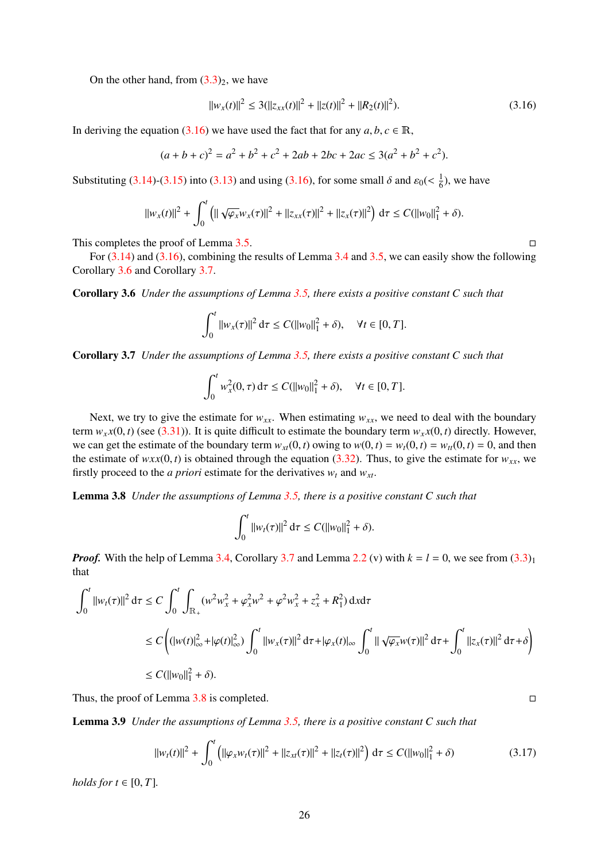On the other hand, from  $(3.3)_2$  $(3.3)_2$ , we have

<span id="page-25-0"></span>
$$
||w_x(t)||^2 \le 3(||z_{xx}(t)||^2 + ||z(t)||^2 + ||R_2(t)||^2). \tag{3.16}
$$

In deriving the equation [\(3.16\)](#page-25-0) we have used the fact that for any  $a, b, c \in \mathbb{R}$ ,

$$
(a+b+c)^2 = a^2 + b^2 + c^2 + 2ab + 2bc + 2ac \le 3(a^2 + b^2 + c^2).
$$

Substituting [\(3.14\)](#page-24-2)-[\(3.15\)](#page-24-3) into [\(3.13\)](#page-24-1) and using [\(3.16\)](#page-25-0), for some small  $\delta$  and  $\varepsilon_0 \ll \frac{1}{6}$  $\frac{1}{6}$ ), we have

$$
||w_x(t)||^2 + \int_0^t \left( ||\sqrt{\varphi_x} w_x(\tau)||^2 + ||z_{xx}(\tau)||^2 + ||z_x(\tau)||^2 \right) d\tau \leq C(||w_0||_1^2 + \delta).
$$

This completes the proof of Lemma [3.5.](#page-23-7)

For  $(3.14)$  and  $(3.16)$ , combining the results of Lemma [3.4](#page-23-8) and [3.5,](#page-23-7) we can easily show the following Corollary [3.6](#page-25-1) and Corollary [3.7.](#page-25-2)

<span id="page-25-1"></span>Corollary 3.6 *Under the assumptions of Lemma [3.5,](#page-23-7) there exists a positive constant C such that*

$$
\int_0^t \|w_x(\tau)\|^2 d\tau \le C(||w_0||_1^2 + \delta), \quad \forall t \in [0, T].
$$

<span id="page-25-2"></span>Corollary 3.7 *Under the assumptions of Lemma [3.5,](#page-23-7) there exists a positive constant C such that*

$$
\int_0^t w_x^2(0,\tau) d\tau \le C(||w_0||_1^2 + \delta), \quad \forall t \in [0,T].
$$

Next, we try to give the estimate for  $w_{xx}$ . When estimating  $w_{xx}$ , we need to deal with the boundary term  $w<sub>x</sub>x(0, t)$  (see [\(3.31\)](#page-28-0)). It is quite difficult to estimate the boundary term  $w<sub>x</sub>x(0, t)$  directly. However, we can get the estimate of the boundary term  $w_{xt}(0, t)$  owing to  $w(0, t) = w_t(0, t) = w_{tt}(0, t) = 0$ , and then the estimate of  $wxx(0, t)$  is obtained through the equation [\(3.32\)](#page-28-1). Thus, to give the estimate for  $w_{xx}$ , we firstly proceed to the *a priori* estimate for the derivatives  $w_t$  and  $w_{xt}$ .

<span id="page-25-3"></span>Lemma 3.8 *Under the assumptions of Lemma [3.5,](#page-23-7) there is a positive constant C such that*

$$
\int_0^t \|w_t(\tau)\|^2 d\tau \leq C(||w_0||_1^2 + \delta).
$$

*Proof.* With the help of Lemma [3.4,](#page-23-8) Corollary [3.7](#page-25-2) and Lemma [2.2](#page-4-2) (v) with  $k = l = 0$ , we see from  $(3.3)<sub>1</sub>$  $(3.3)<sub>1</sub>$ that

$$
\int_0^t ||w_t(\tau)||^2 d\tau \le C \int_0^t \int_{\mathbb{R}_+} (w^2 w_x^2 + \varphi_x^2 w^2 + \varphi^2 w_x^2 + z_x^2 + R_1^2) dxd\tau
$$
  
\n
$$
\le C \left( (|w(t)|_\infty^2 + |\varphi(t)|_\infty^2) \int_0^t ||w_x(\tau)||^2 d\tau + |\varphi_x(t)|_\infty \int_0^t ||\sqrt{\varphi_x} w(\tau)||^2 d\tau + \int_0^t ||z_x(\tau)||^2 d\tau + \delta \right)
$$
  
\n
$$
\le C (||w_0||_1^2 + \delta).
$$

<span id="page-25-5"></span>Thus, the proof of Lemma  $3.8$  is completed.

Lemma 3.9 *Under the assumptions of Lemma [3.5,](#page-23-7) there is a positive constant C such that*

<span id="page-25-4"></span>
$$
||w_t(t)||^2 + \int_0^t (||\varphi_x w_t(\tau)||^2 + ||z_{xt}(\tau)||^2 + ||z_t(\tau)||^2) d\tau \le C(||w_0||_1^2 + \delta)
$$
 (3.17)

*holds for*  $t \in [0, T]$ *.*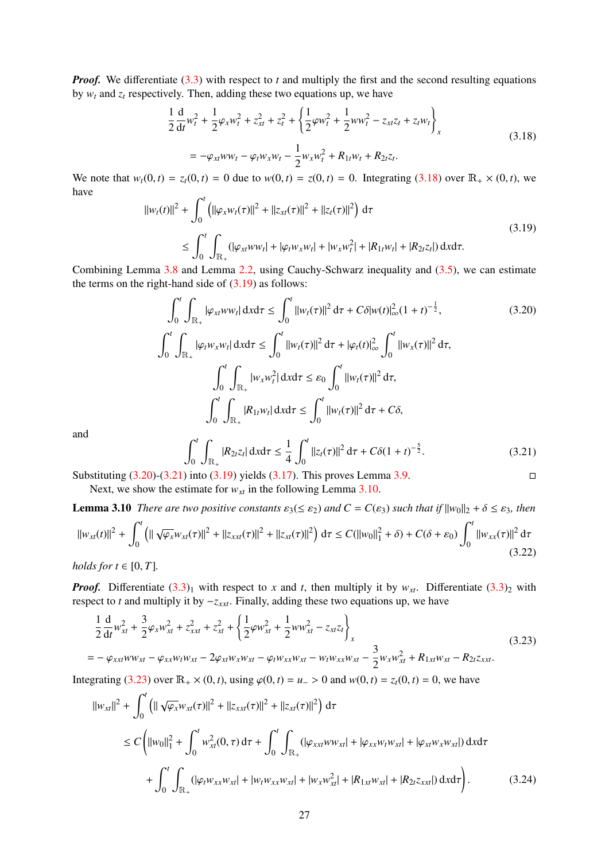*Proof.* We differentiate [\(3.3\)](#page-22-3) with respect to *t* and multiply the first and the second resulting equations by  $w_t$  and  $z_t$  respectively. Then, adding these two equations up, we have

<span id="page-26-0"></span>
$$
\frac{1}{2}\frac{d}{dt}w_t^2 + \frac{1}{2}\varphi_x w_t^2 + z_{xt}^2 + z_t^2 + \left\{\frac{1}{2}\varphi w_t^2 + \frac{1}{2}ww_t^2 - z_{xt}z_t + z_t w_t\right\}_x
$$
\n
$$
= -\varphi_{xt}ww_t - \varphi_t w_x w_t - \frac{1}{2}w_x w_t^2 + R_{1t}w_t + R_{2t}z_t.
$$
\n(3.18)

We note that  $w_t(0, t) = z_t(0, t) = 0$  due to  $w(0, t) = z(0, t) = 0$ . Integrating [\(3.18\)](#page-26-0) over  $\mathbb{R}_+ \times (0, t)$ , we have

<span id="page-26-1"></span>
$$
||w_t(t)||^2 + \int_0^t (||\varphi_x w_t(\tau)||^2 + ||z_{xt}(\tau)||^2 + ||z_t(\tau)||^2) d\tau
$$
  
\n
$$
\leq \int_0^t \int_{\mathbb{R}_+} (|\varphi_{xt} w w_t| + |\varphi_t w_x w_t| + |w_x w_t^2| + |R_{1t} w_t| + |R_{2t} z_t|) d\tau d\tau.
$$
\n(3.19)

Combining Lemma [3.8](#page-25-3) and Lemma [2.2,](#page-4-2) using Cauchy-Schwarz inequality and [\(3.5\)](#page-23-9), we can estimate the terms on the right-hand side of  $(3.19)$  as follows:

<span id="page-26-2"></span>
$$
\int_{0}^{t} \int_{\mathbb{R}_{+}} |\varphi_{xt} w w_{t}| dxd\tau \leq \int_{0}^{t} ||w_{t}(\tau)||^{2} d\tau + C\delta |w(t)|_{\infty}^{2} (1+t)^{-\frac{1}{2}},
$$
(3.20)  

$$
\int_{0}^{t} \int_{\mathbb{R}_{+}} |\varphi_{t} w_{x} w_{t}| dxd\tau \leq \int_{0}^{t} ||w_{t}(\tau)||^{2} d\tau + |\varphi_{t}(t)|_{\infty}^{2} \int_{0}^{t} ||w_{x}(\tau)||^{2} d\tau,
$$

$$
\int_{0}^{t} \int_{\mathbb{R}_{+}} |w_{x} w_{t}^{2}| dxd\tau \leq \varepsilon_{0} \int_{0}^{t} ||w_{t}(\tau)||^{2} d\tau,
$$

$$
\int_{0}^{t} \int_{\mathbb{R}_{+}} |R_{1t} w_{t}| dxd\tau \leq \int_{0}^{t} ||w_{t}(\tau)||^{2} d\tau + C\delta,
$$

and

<span id="page-26-3"></span>
$$
\int_0^t \int_{\mathbb{R}_+} |R_{2t}z_t| \, \mathrm{d}x \mathrm{d}\tau \le \frac{1}{4} \int_0^t \|z_t(\tau)\|^2 \, \mathrm{d}\tau + C\delta (1+t)^{-\frac{5}{2}}. \tag{3.21}
$$

Substituting  $(3.20)$ - $(3.21)$  into  $(3.19)$  yields  $(3.17)$ . This proves Lemma [3.9.](#page-25-5) Next, we show the estimate for  $w_{xt}$  in the following Lemma [3.10.](#page-26-4)

<span id="page-26-4"></span>**Lemma 3.10** *There are two positive constants*  $\varepsilon_3(\leq \varepsilon_2)$  *and*  $C = C(\varepsilon_3)$  *such that if*  $||w_0||_2 + \delta \leq \varepsilon_3$ *, then*  $\|w_{xt}(t)\|^2 + \int^t$  $\boldsymbol{0}$  $\left( \|\sqrt{\varphi_x} w_{xt}(\tau)\|^2 + \|z_{xt}(t)\|^2 + \|z_{xt}(\tau)\|^2 \right) d\tau \le C(\|w_0\|_1^2 + \delta) + C(\delta + \varepsilon_0)$  $\int_0^t$  $\int_0^{\pi} ||w_{xx}(\tau)||^2 d\tau$ (3.22)

*holds for*  $t \in [0, T]$ *.* 

*Proof.* Differentiate  $(3.3)$ <sub>1</sub> with respect to *x* and *t*, then multiply it by  $w_{xt}$ . Differentiate  $(3.3)$ <sub>2</sub> with respect to *t* and multiply it by −*zxxt*. Finally, adding these two equations up, we have

<span id="page-26-5"></span>
$$
\frac{1}{2}\frac{d}{dt}w_{xt}^{2} + \frac{3}{2}\varphi_{x}w_{xt}^{2} + z_{xxt}^{2} + z_{xt}^{2} + \left\{\frac{1}{2}\varphi w_{xt}^{2} + \frac{1}{2}ww_{xt}^{2} - z_{xt}z_{t}\right\}_{x}
$$
\n
$$
= -\varphi_{xxt}ww_{xt} - \varphi_{xx}w_{t}w_{xt} - 2\varphi_{xt}w_{x}w_{xt} - \varphi_{t}w_{xx}w_{xt} - w_{t}w_{xx}w_{xt} - \frac{3}{2}w_{x}w_{xt}^{2} + R_{1xt}w_{xt} - R_{2t}z_{xxt}.
$$
\n(3.23)

Integrating [\(3.23\)](#page-26-5) over  $\mathbb{R}_+ \times (0, t)$ , using  $\varphi(0, t) = u_0 > 0$  and  $w(0, t) = z_t(0, t) = 0$ , we have

<span id="page-26-6"></span>
$$
||w_{xt}||^{2} + \int_{0}^{t} \left( ||\sqrt{\varphi_{x}}w_{xt}(\tau)||^{2} + ||z_{xxt}(\tau)||^{2} + ||z_{xt}(\tau)||^{2} \right) d\tau
$$
  
\n
$$
\leq C \left( ||w_{0}||_{1}^{2} + \int_{0}^{t} w_{xt}^{2}(0, \tau) d\tau + \int_{0}^{t} \int_{\mathbb{R}_{+}} (|\varphi_{xxt}w_{xx}| + |\varphi_{xx}w_{t}w_{xt}| + |\varphi_{xt}w_{xx}w_{xt}|) dxd\tau + \int_{0}^{t} \int_{\mathbb{R}_{+}} (|\varphi_{t}w_{xx}w_{xt}| + |w_{t}w_{xx}w_{xt}| + |w_{x}w_{xt}^{2}| + |R_{1xt}w_{xt}| + |R_{2t}z_{xxx}|) dxd\tau \right).
$$
 (3.24)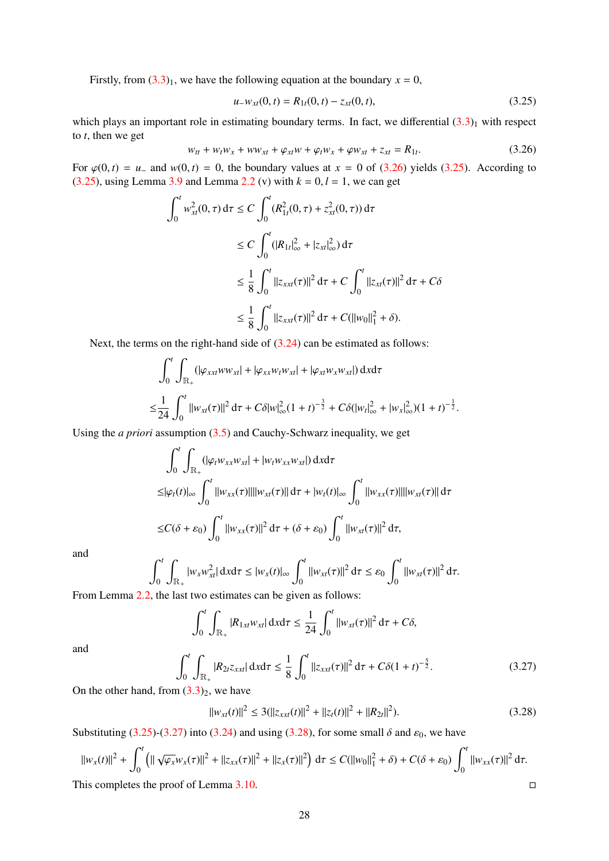Firstly, from  $(3.3)_1$  $(3.3)_1$ , we have the following equation at the boundary  $x = 0$ ,

<span id="page-27-0"></span>
$$
u_{-}w_{xt}(0,t) = R_{1t}(0,t) - z_{xt}(0,t),
$$
\n(3.25)

which plays an important role in estimating boundary terms. In fact, we differential  $(3.3)_1$  $(3.3)_1$  with respect to *t*, then we get

<span id="page-27-1"></span>
$$
w_{tt} + w_t w_x + w w_{xt} + \varphi_{xt} w + \varphi_t w_x + \varphi w_{xt} + z_{xt} = R_{1t}.
$$
 (3.26)

For  $\varphi(0, t) = u_-\$  and  $w(0, t) = 0$ , the boundary values at  $x = 0$  of [\(3.26\)](#page-27-1) yields [\(3.25\)](#page-27-0). According to (3.25), using Lemma 3.9 and Lemma 2.2 (y) with  $k = 0, l = 1$ , we can get [\(3.25\)](#page-27-0), using Lemma [3.9](#page-25-5) and Lemma [2.2](#page-4-2) (v) with  $k = 0, l = 1$ , we can get

$$
\int_0^t w_{xt}^2(0, \tau) d\tau \le C \int_0^t (R_{1t}^2(0, \tau) + z_{xt}^2(0, \tau)) d\tau
$$
  
\n
$$
\le C \int_0^t (|R_{1t}|_\infty^2 + |z_{xt}|_\infty^2) d\tau
$$
  
\n
$$
\le \frac{1}{8} \int_0^t ||z_{xxt}(\tau)||^2 d\tau + C \int_0^t ||z_{xt}(\tau)||^2 d\tau + C\delta
$$
  
\n
$$
\le \frac{1}{8} \int_0^t ||z_{xxt}(\tau)||^2 d\tau + C(||w_0||_1^2 + \delta).
$$

Next, the terms on the right-hand side of  $(3.24)$  can be estimated as follows:

$$
\int_0^t \int_{\mathbb{R}_+} (|\varphi_{xxt} w w_{xt}| + |\varphi_{xx} w_t w_{xt}| + |\varphi_{xt} w_x w_{xt}|) \, \mathrm{d}x \mathrm{d}\tau
$$
  
\n
$$
\leq \frac{1}{24} \int_0^t ||w_{xt}(\tau)||^2 \, \mathrm{d}\tau + C\delta |w|_\infty^2 (1+t)^{-\frac{3}{2}} + C\delta (|w_t|_\infty^2 + |w_x|_\infty^2)(1+t)^{-\frac{1}{2}}.
$$

Using the *a priori* assumption [\(3.5\)](#page-23-9) and Cauchy-Schwarz inequality, we get

$$
\int_0^t \int_{\mathbb{R}_+} (|\varphi_t w_{xx} w_{xt}| + |w_t w_{xx} w_{xt}|) \, \mathrm{d}x \mathrm{d}\tau
$$
\n
$$
\leq |\varphi_t(t)|_{\infty} \int_0^t ||w_{xx}(\tau)|| ||w_{xt}(\tau)|| \, \mathrm{d}\tau + |w_t(t)|_{\infty} \int_0^t ||w_{xx}(\tau)|| ||w_{xt}(\tau)|| \, \mathrm{d}\tau
$$
\n
$$
\leq C(\delta + \varepsilon_0) \int_0^t ||w_{xx}(\tau)||^2 \, \mathrm{d}\tau + (\delta + \varepsilon_0) \int_0^t ||w_{xt}(\tau)||^2 \, \mathrm{d}\tau,
$$

and

$$
\int_0^t \int_{\mathbb{R}_+} |w_x w_{xt}^2| \, \mathrm{d}x \mathrm{d}\tau \le |w_x(t)|_{\infty} \int_0^t ||w_{xt}(\tau)||^2 \, \mathrm{d}\tau \le \varepsilon_0 \int_0^t ||w_{xt}(\tau)||^2 \, \mathrm{d}\tau.
$$

From Lemma [2.2,](#page-4-2) the last two estimates can be given as follows:

$$
\int_0^t \int_{\mathbb{R}_+} |R_{1xt} w_{xt}| \, \mathrm{d}x \mathrm{d}\tau \le \frac{1}{24} \int_0^t \|w_{xt}(\tau)\|^2 \, \mathrm{d}\tau + C\delta,
$$

and

<span id="page-27-2"></span>
$$
\int_0^t \int_{\mathbb{R}_+} |R_{2t}z_{xxt}| \, \mathrm{d}x \mathrm{d}\tau \le \frac{1}{8} \int_0^t ||z_{xxt}(\tau)||^2 \, \mathrm{d}\tau + C\delta (1+t)^{-\frac{5}{2}}. \tag{3.27}
$$

On the other hand, from  $(3.3)_2$  $(3.3)_2$ , we have

<span id="page-27-3"></span>
$$
||w_{xt}(t)||^2 \le 3(||z_{xxt}(t)||^2 + ||z_t(t)||^2 + ||R_{2t}||^2).
$$
 (3.28)

Substituting [\(3.25\)](#page-27-0)-[\(3.27\)](#page-27-2) into [\(3.24\)](#page-26-6) and using [\(3.28\)](#page-27-3), for some small  $\delta$  and  $\varepsilon_0$ , we have

$$
||w_x(t)||^2 + \int_0^t \left( ||\sqrt{\varphi_x} w_x(\tau)||^2 + ||z_{xx}(\tau)||^2 + ||z_x(\tau)||^2 \right) d\tau \leq C(||w_0||_1^2 + \delta) + C(\delta + \varepsilon_0) \int_0^t ||w_{xx}(\tau)||^2 d\tau.
$$

<span id="page-27-4"></span>This completes the proof of Lemma [3.10.](#page-26-4)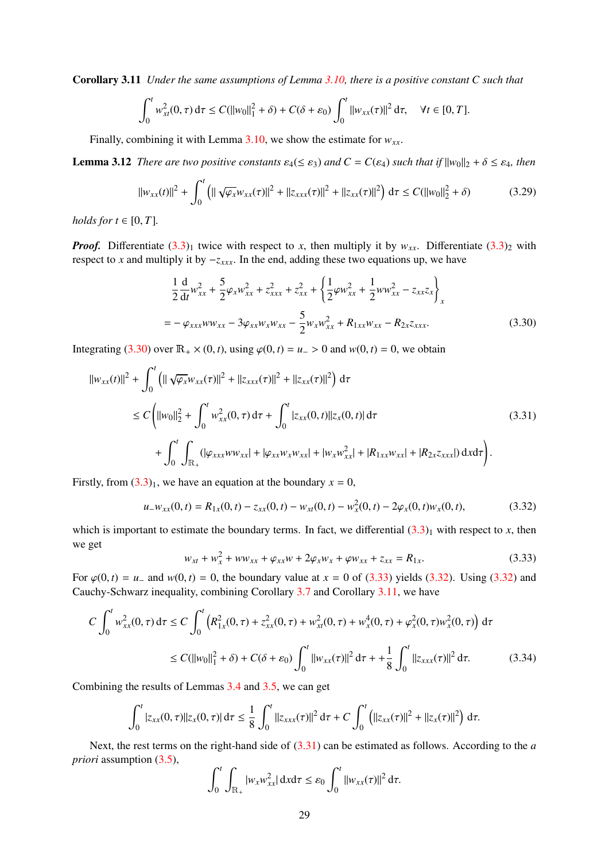Corollary 3.11 *Under the same assumptions of Lemma [3.10,](#page-26-4) there is a positive constant C such that*

$$
\int_0^t w_{xt}^2(0,\tau) d\tau \le C(||w_0||_1^2 + \delta) + C(\delta + \varepsilon_0) \int_0^t ||w_{xx}(\tau)||^2 d\tau, \quad \forall t \in [0,T].
$$

Finally, combining it with Lemma [3.10,](#page-26-4) we show the estimate for  $w_{xx}$ .

<span id="page-28-6"></span>**Lemma 3.12** *There are two positive constants*  $\varepsilon_4 (\leq \varepsilon_3)$  *and*  $C = C(\varepsilon_4)$  *such that if*  $||w_0||_2 + \delta \leq \varepsilon_4$ *, then* 

<span id="page-28-5"></span>
$$
||w_{xx}(t)||^2 + \int_0^t \left( ||\sqrt{\varphi_x} w_{xx}(\tau)||^2 + ||z_{xxx}(\tau)||^2 + ||z_{xx}(\tau)||^2 \right) d\tau \le C(||w_0||_2^2 + \delta)
$$
 (3.29)

*holds for*  $t \in [0, T]$ .

*Proof.* Differentiate  $(3.3)$ <sub>1</sub> twice with respect to *x*, then multiply it by  $w_{xx}$ . Differentiate  $(3.3)$ <sub>2</sub> with respect to *x* and multiply it by −*zxxx*. In the end, adding these two equations up, we have

<span id="page-28-2"></span>
$$
\frac{1}{2}\frac{d}{dt}w_{xx}^2 + \frac{5}{2}\varphi_x w_{xx}^2 + z_{xxx}^2 + z_{xx}^2 + \left\{\frac{1}{2}\varphi w_{xx}^2 + \frac{1}{2}ww_{xx}^2 - z_{xx}z_x\right\}_x
$$
  
=  $-\varphi_{xxx}ww_{xx} - 3\varphi_{xx}w_{x}w_{xx} - \frac{5}{2}w_{x}w_{xx}^2 + R_{1xx}w_{xx} - R_{2x}z_{xxx}.$  (3.30)

Integrating [\(3.30\)](#page-28-2) over  $\mathbb{R}_+ \times (0, t)$ , using  $\varphi(0, t) = u_0 > 0$  and  $w(0, t) = 0$ , we obtain

<span id="page-28-0"></span>
$$
||w_{xx}(t)||^{2} + \int_{0}^{t} (||\sqrt{\varphi_{x}}w_{xx}(\tau)||^{2} + ||z_{xxx}(\tau)||^{2} + ||z_{xx}(\tau)||^{2}) d\tau
$$
  
\n
$$
\leq C \left(||w_{0}||_{2}^{2} + \int_{0}^{t} w_{xx}^{2}(0, \tau) d\tau + \int_{0}^{t} |z_{xx}(0, t)||z_{x}(0, t)| d\tau + \int_{0}^{t} \int_{\mathbb{R}_{+}} (|\varphi_{xxx}w_{xx}| + |\varphi_{xx}w_{x}w_{xx}| + |w_{x}w_{xx}^{2}| + |R_{1xx}w_{xx}| + |R_{2x}z_{xxx}|) d\tau d\tau \right).
$$
\n(3.31)

Firstly, from  $(3.3)<sub>1</sub>$  $(3.3)<sub>1</sub>$ , we have an equation at the boundary  $x = 0$ ,

<span id="page-28-1"></span>
$$
u_{-}w_{xx}(0,t) = R_{1x}(0,t) - z_{xx}(0,t) - w_{xt}(0,t) - w_{x}^{2}(0,t) - 2\varphi_{x}(0,t)w_{x}(0,t),
$$
\n(3.32)

which is important to estimate the boundary terms. In fact, we differential  $(3.3)_1$  $(3.3)_1$  with respect to *x*, then we get

<span id="page-28-3"></span>
$$
w_{xt} + w_x^2 + ww_{xx} + \varphi_{xx}w + 2\varphi_x w_x + \varphi w_{xx} + z_{xx} = R_{1x}.
$$
 (3.33)

For  $\varphi(0, t) = u_{-}$  and  $w(0, t) = 0$ , the boundary value at  $x = 0$  of [\(3.33\)](#page-28-3) yields [\(3.32\)](#page-28-1). Using (3.32) and Coughly Schwarz inequality combining Corollary 3.7 and Corollary 3.11, we have Cauchy-Schwarz inequality, combining Corollary [3.7](#page-25-2) and Corollary [3.11,](#page-27-4) we have

$$
C \int_0^t w_{xx}^2(0,\tau) d\tau \le C \int_0^t \left( R_{1x}^2(0,\tau) + z_{xx}^2(0,\tau) + w_{xt}^2(0,\tau) + w_x^4(0,\tau) + \varphi_x^2(0,\tau) w_x^2(0,\tau) \right) d\tau
$$
  

$$
\le C(||w_0||_1^2 + \delta) + C(\delta + \varepsilon_0) \int_0^t ||w_{xx}(\tau)||^2 d\tau + \frac{1}{8} \int_0^t ||z_{xxx}(\tau)||^2 d\tau. \tag{3.34}
$$

<span id="page-28-4"></span>Combining the results of Lemmas [3.4](#page-23-8) and [3.5,](#page-23-7) we can get

$$
\int_0^t |z_{xx}(0,\tau)||z_x(0,\tau)| d\tau \leq \frac{1}{8} \int_0^t ||z_{xxx}(\tau)||^2 d\tau + C \int_0^t (||z_{xx}(\tau)||^2 + ||z_x(\tau)||^2) d\tau.
$$

Next, the rest terms on the right-hand side of [\(3.31\)](#page-28-0) can be estimated as follows. According to the *a priori* assumption [\(3.5\)](#page-23-9),

$$
\int_0^t \int_{\mathbb{R}_+} |w_x w_{xx}^2| \, \mathrm{d}x \mathrm{d}\tau \leq \varepsilon_0 \int_0^t ||w_{xx}(\tau)||^2 \, \mathrm{d}\tau.
$$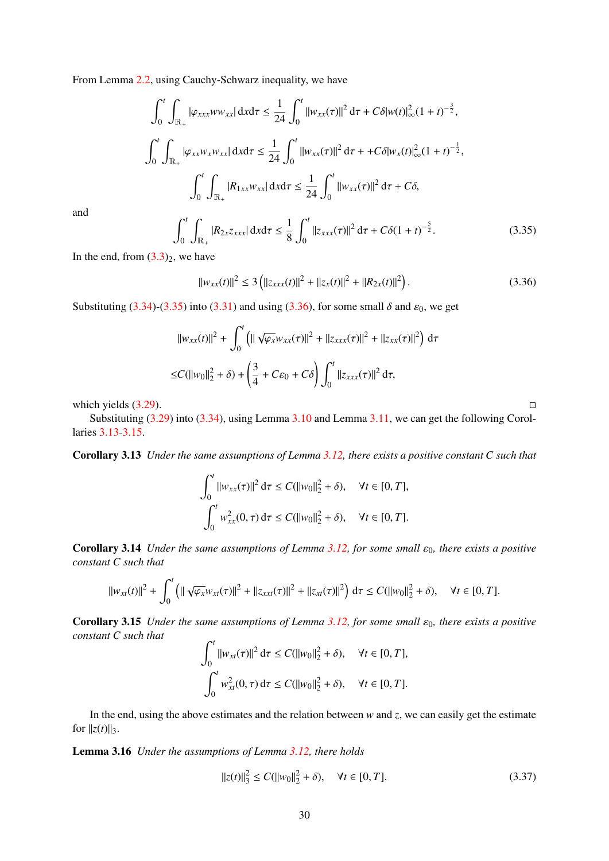From Lemma [2.2,](#page-4-2) using Cauchy-Schwarz inequality, we have

$$
\int_0^t \int_{\mathbb{R}_+} |\varphi_{xxx} w w_{xx}| \, \mathrm{d}x \mathrm{d}\tau \le \frac{1}{24} \int_0^t ||w_{xx}(\tau)||^2 \, \mathrm{d}\tau + C \delta |w(t)|_\infty^2 (1+t)^{-\frac{3}{2}},
$$
  

$$
\int_0^t \int_{\mathbb{R}_+} |\varphi_{xx} w_x w_{xx}| \, \mathrm{d}x \mathrm{d}\tau \le \frac{1}{24} \int_0^t ||w_{xx}(\tau)||^2 \, \mathrm{d}\tau + C \delta |w_x(t)|_\infty^2 (1+t)^{-\frac{1}{2}},
$$
  

$$
\int_0^t \int_{\mathbb{R}_+} |R_{1xx} w_{xx}| \, \mathrm{d}x \mathrm{d}\tau \le \frac{1}{24} \int_0^t ||w_{xx}(\tau)||^2 \, \mathrm{d}\tau + C \delta,
$$

and

<span id="page-29-0"></span>
$$
\int_0^t \int_{\mathbb{R}_+} |R_{2x} z_{xxx}| \, \mathrm{d}x \mathrm{d}\tau \leq \frac{1}{8} \int_0^t \|z_{xxx}(\tau)\|^2 \, \mathrm{d}\tau + C\delta (1+t)^{-\frac{5}{2}}. \tag{3.35}
$$

In the end, from  $(3.3)_2$  $(3.3)_2$ , we have

<span id="page-29-1"></span>
$$
||w_{xx}(t)||^2 \le 3\left(||z_{xxx}(t)||^2 + ||z_x(t)||^2 + ||R_{2x}(t)||^2\right).
$$
 (3.36)

Substituting  $(3.34)-(3.35)$  $(3.34)-(3.35)$  $(3.34)-(3.35)$  into  $(3.31)$  and using  $(3.36)$ , for some small  $\delta$  and  $\varepsilon_0$ , we get

$$
||w_{xx}(t)||^2 + \int_0^t \left( ||\sqrt{\varphi_x} w_{xx}(\tau)||^2 + ||z_{xxx}(\tau)||^2 + ||z_{xx}(\tau)||^2 \right) d\tau
$$
  
\n
$$
\leq C(||w_0||_2^2 + \delta) + \left( \frac{3}{4} + C\varepsilon_0 + C\delta \right) \int_0^t ||z_{xxx}(\tau)||^2 d\tau,
$$

which yields  $(3.29)$ .

Substituting [\(3.29\)](#page-28-5) into [\(3.34\)](#page-28-4), using Lemma [3.10](#page-26-4) and Lemma [3.11,](#page-27-4) we can get the following Corollaries [3.13](#page-29-2)[-3.15.](#page-29-3)

<span id="page-29-2"></span>Corollary 3.13 *Under the same assumptions of Lemma [3.12,](#page-28-6) there exists a positive constant C such that*

$$
\int_0^t \|w_{xx}(\tau)\|^2 d\tau \le C(||w_0||_2^2 + \delta), \quad \forall t \in [0, T],
$$
  

$$
\int_0^t w_{xx}^2(0, \tau) d\tau \le C(||w_0||_2^2 + \delta), \quad \forall t \in [0, T].
$$

**Corollary 3.14** *Under the same assumptions of Lemma [3.12,](#page-28-6) for some small*  $ε<sub>0</sub>$ *, there exists a positive constant C such that*

$$
||w_{xt}(t)||^2 + \int_0^t \left( ||\sqrt{\varphi_x} w_{xt}(\tau)||^2 + ||z_{xxt}(\tau)||^2 + ||z_{xt}(\tau)||^2 \right) d\tau \leq C(||w_0||_2^2 + \delta), \quad \forall t \in [0, T].
$$

<span id="page-29-3"></span>**Corollary 3.15** *Under the same assumptions of Lemma [3.12,](#page-28-6) for some small*  $\varepsilon_0$ *, there exists a positive constant C such that*  $\overline{a}$ 

$$
\int_0^t \|w_{xt}(\tau)\|^2 d\tau \le C(||w_0||_2^2 + \delta), \quad \forall t \in [0, T],
$$
  

$$
\int_0^t w_{xt}^2(0, \tau) d\tau \le C(||w_0||_2^2 + \delta), \quad \forall t \in [0, T].
$$

In the end, using the above estimates and the relation between  $w$  and  $z$ , we can easily get the estimate for  $||z(t)||_3$ .

<span id="page-29-4"></span>Lemma 3.16 *Under the assumptions of Lemma [3.12,](#page-28-6) there holds*

$$
||z(t)||_3^2 \le C(||w_0||_2^2 + \delta), \quad \forall t \in [0, T].
$$
\n(3.37)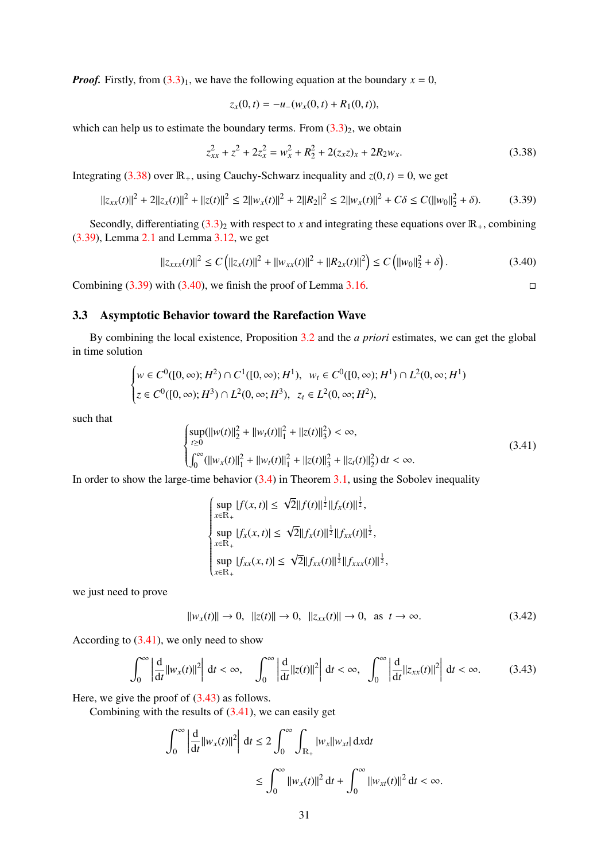*Proof.* Firstly, from  $(3.3)$ <sub>1</sub>, we have the following equation at the boundary  $x = 0$ ,

$$
z_x(0,t) = -u_-(w_x(0,t) + R_1(0,t)),
$$

which can help us to estimate the boundary terms. From  $(3.3)_2$  $(3.3)_2$ , we obtain

<span id="page-30-1"></span>
$$
z_{xx}^2 + z^2 + 2z_x^2 = w_x^2 + R_2^2 + 2(z_x z)_x + 2R_2 w_x.
$$
 (3.38)

Integrating [\(3.38\)](#page-30-1) over  $\mathbb{R}_+$ , using Cauchy-Schwarz inequality and  $z(0, t) = 0$ , we get

<span id="page-30-2"></span>
$$
||z_{xx}(t)||^2 + 2||z_x(t)||^2 + ||z(t)||^2 \le 2||w_x(t)||^2 + 2||R_2||^2 \le 2||w_x(t)||^2 + C\delta \le C(||w_0||_2^2 + \delta). \tag{3.39}
$$

Secondly, differentiating  $(3.3)_2$  $(3.3)_2$  with respect to *x* and integrating these equations over  $\mathbb{R}_+$ , combining [\(3.39\)](#page-30-2), Lemma [2.1](#page-4-0) and Lemma [3.12,](#page-28-6) we get

<span id="page-30-3"></span>
$$
\|z_{xxx}(t)\|^2 \le C\left(\|z_x(t)\|^2 + \|w_{xx}(t)\|^2 + \|R_{2x}(t)\|^2\right) \le C\left(\|w_0\|^2 + \delta\right). \tag{3.40}
$$

Combining  $(3.39)$  with  $(3.40)$ , we finish the proof of Lemma [3.16.](#page-29-4)

## <span id="page-30-0"></span>3.3 Asymptotic Behavior toward the Rarefaction Wave

By combining the local existence, Proposition [3.2](#page-23-10) and the *a priori* estimates, we can get the global in time solution

$$
\begin{cases} w \in C^0([0,\infty);H^2) \cap C^1([0,\infty);H^1), & w_t \in C^0([0,\infty);H^1) \cap L^2(0,\infty;H^1) \\ z \in C^0([0,\infty);H^3) \cap L^2(0,\infty;H^3), & z_t \in L^2(0,\infty;H^2), \end{cases}
$$

such that

<span id="page-30-4"></span>
$$
\begin{cases}\n\sup_{t\geq 0} (\|w(t)\|_{2}^{2} + \|w_{t}(t)\|_{1}^{2} + \|z(t)\|_{3}^{2}) < \infty, \\
\int_{0}^{\infty} (\|w_{x}(t)\|_{1}^{2} + \|w_{t}(t)\|_{1}^{2} + \|z(t)\|_{3}^{2} + \|z_{t}(t)\|_{2}^{2}) \, \mathrm{d}t < \infty.\n\end{cases} \tag{3.41}
$$

In order to show the large-time behavior  $(3.4)$  in Theorem [3.1,](#page-22-4) using the Sobolev inequality

$$
\begin{cases}\n\sup_{x \in \mathbb{R}_+} |f(x,t)| \leq \sqrt{2} ||f(t)||^{\frac{1}{2}} ||f_x(t)||^{\frac{1}{2}},\\ \n\sup_{x \in \mathbb{R}_+} |f_x(x,t)| \leq \sqrt{2} ||f_x(t)||^{\frac{1}{2}} ||f_{xx}(t)||^{\frac{1}{2}},\\ \n\sup_{x \in \mathbb{R}_+} |f_{xx}(x,t)| \leq \sqrt{2} ||f_{xx}(t)||^{\frac{1}{2}} ||f_{xxx}(t)||^{\frac{1}{2}},\n\end{cases}
$$

we just need to prove

$$
||w_x(t)|| \to 0, \ ||z(t)|| \to 0, \ ||z_{xx}(t)|| \to 0, \text{ as } t \to \infty.
$$
 (3.42)

According to [\(3.41\)](#page-30-4), we only need to show

<span id="page-30-5"></span>
$$
\int_0^\infty \left| \frac{d}{dt} ||w_x(t)||^2 \right| dt < \infty, \quad \int_0^\infty \left| \frac{d}{dt} ||z(t)||^2 \right| dt < \infty, \quad \int_0^\infty \left| \frac{d}{dt} ||z_{xx}(t)||^2 \right| dt < \infty.
$$
 (3.43)

Here, we give the proof of [\(3.43\)](#page-30-5) as follows.

Combining with the results of  $(3.41)$ , we can easily get

$$
\int_0^\infty \left| \frac{d}{dt} ||w_x(t)||^2 \right| dt \le 2 \int_0^\infty \int_{\mathbb{R}_+} |w_x||w_{xt}| dx dt
$$
  

$$
\le \int_0^\infty ||w_x(t)||^2 dt + \int_0^\infty ||w_{xt}(t)||^2 dt < \infty.
$$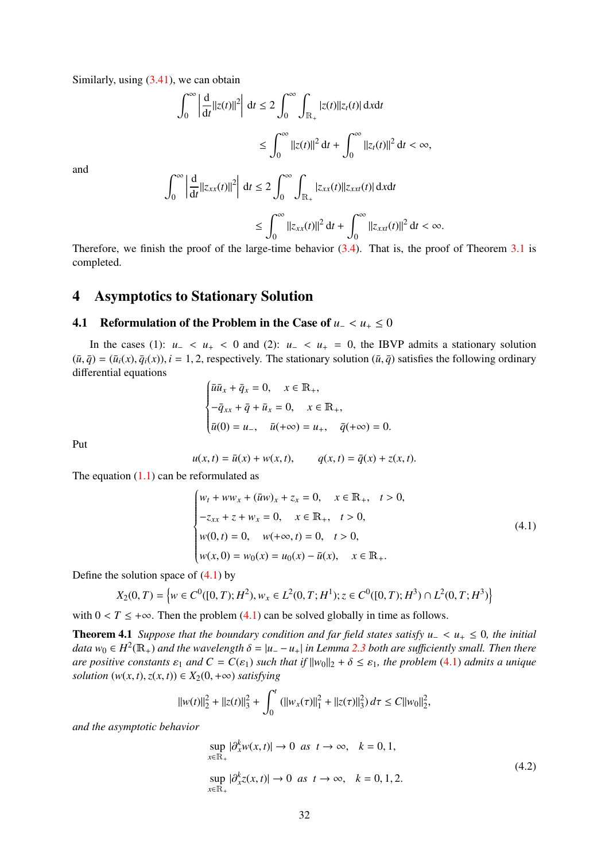Similarly, using  $(3.41)$ , we can obtain

$$
\int_0^\infty \left| \frac{d}{dt} ||z(t)||^2 \right| dt \le 2 \int_0^\infty \int_{\mathbb{R}_+} |z(t)||z_t(t)| dx dt
$$
  

$$
\le \int_0^\infty ||z(t)||^2 dt + \int_0^\infty ||z_t(t)||^2 dt < \infty,
$$

and

$$
\int_0^\infty \left| \frac{d}{dt} ||z_{xx}(t)||^2 \right| dt \le 2 \int_0^\infty \int_{\mathbb{R}_+} |z_{xx}(t)||z_{xxx}(t)| dx dt
$$
  
\n
$$
\le \int_0^\infty ||z_{xx}(t)||^2 dt + \int_0^\infty ||z_{xx}(t)||^2 dt < \infty.
$$

Therefore, we finish the proof of the large-time behavior [\(3.4\)](#page-22-5). That is, the proof of Theorem [3.1](#page-22-4) is completed.

# <span id="page-31-0"></span>4 Asymptotics to Stationary Solution

## <span id="page-31-1"></span>4.1 Reformulation of the Problem in the Case of  $u_+ < u_+ \leq 0$

In the cases (1):  $u- < u_+ < 0$  and (2):  $u- < u_+ = 0$ , the IBVP admits a stationary solution  $(\bar{u}, \bar{q}) = (\bar{u}_i(x), \bar{q}_i(x))$ ,  $i = 1, 2$ , respectively. The stationary solution  $(\bar{u}, \bar{q})$  satisfies the following ordinary differential equations

$$
\begin{cases} \bar{u}\bar{u}_x + \bar{q}_x = 0, \quad x \in \mathbb{R}_+, \\ -\bar{q}_{xx} + \bar{q} + \bar{u}_x = 0, \quad x \in \mathbb{R}_+, \\ \bar{u}(0) = u_-, \quad \bar{u}(+\infty) = u_+, \quad \bar{q}(+\infty) = 0. \end{cases}
$$

Put

$$
u(x, t) = \bar{u}(x) + w(x, t),
$$
  $q(x, t) = \bar{q}(x) + z(x, t).$ 

The equation  $(1.1)$  can be reformulated as

<span id="page-31-2"></span>
$$
\begin{cases}\nw_t + ww_x + (\bar{u}w)_x + z_x = 0, & x \in \mathbb{R}_+, \quad t > 0, \\
-z_{xx} + z + w_x = 0, & x \in \mathbb{R}_+, \quad t > 0, \\
w(0, t) = 0, & w(+\infty, t) = 0, \quad t > 0, \\
w(x, 0) = w_0(x) = u_0(x) - \bar{u}(x), & x \in \mathbb{R}_+.\n\end{cases}
$$
\n(4.1)

Define the solution space of  $(4.1)$  by

$$
X_2(0,T) = \left\{ w \in C^0([0,T);H^2), w_x \in L^2(0,T;H^1); z \in C^0([0,T);H^3) \cap L^2(0,T;H^3) \right\}
$$

with  $0 < T \leq +\infty$ . Then the problem [\(4.1\)](#page-31-2) can be solved globally in time as follows.

<span id="page-31-3"></span>Theorem 4.1 *Suppose that the boundary condition and far field states satisfy u*<sup>−</sup> <sup>&</sup>lt; *<sup>u</sup>*<sup>+</sup> <sup>≤</sup> <sup>0</sup>*, the initial data*  $w_0 \in H^2(\mathbb{R}_+)$  *and the wavelength*  $\delta = |u_--u_+|$  *in Lemma [2.3](#page-5-3) both are sufficiently small. Then there*<br>*are positive constants*  $\epsilon$ , and  $C = C(\epsilon_0)$  such that if  $||w_0||_2 + \delta \leq \epsilon_0$ , the problem (4.1) admits a *are positive constants*  $\varepsilon_1$  *and*  $C = C(\varepsilon_1)$  *such that if*  $||w_0||_2 + \delta \leq \varepsilon_1$ *, the problem* [\(4.1\)](#page-31-2) *admits a unique solution*  $(w(x, t), z(x, t)) \in X_2(0, +\infty)$  *satisfying* 

$$
\|w(t)\|_2^2 + \|z(t)\|_3^2 + \int_0^t (||w_x(\tau)||_1^2 + ||z(\tau)||_3^2) d\tau \le C||w_0||_2^2,
$$

<span id="page-31-4"></span>*and the asymptotic behavior*

$$
\sup_{x \in \mathbb{R}_+} |\partial_x^k w(x, t)| \to 0 \text{ as } t \to \infty, \quad k = 0, 1,
$$
  
\n
$$
\sup_{x \in \mathbb{R}_+} |\partial_x^k z(x, t)| \to 0 \text{ as } t \to \infty, \quad k = 0, 1, 2.
$$
\n(4.2)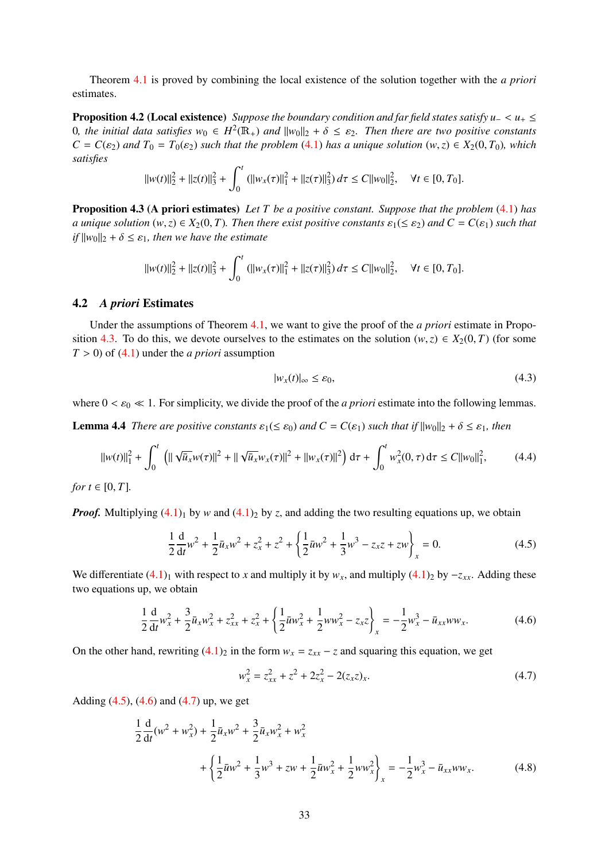Theorem [4.1](#page-31-3) is proved by combining the local existence of the solution together with the *a priori* estimates.

Proposition 4.2 (Local existence) *Suppose the boundary condition and far field states satisfy u*<sup>−</sup> <sup>&</sup>lt; *<sup>u</sup>*<sup>+</sup> <sup>≤</sup> 0*, the initial data satisfies*  $w_0$  ∈  $H^2(\mathbb{R}_+)$  *and*  $||w_0||_2 + δ ≤ ε_2$ . Then there are two positive constants  $C = C(ε_2)$  and  $T_2 = T_2(ε_2)$  such that the problem (4.1) has a unique solution (w, z) ∈  $X_2(0, T_2)$ , wh  $C = C(\varepsilon_2)$  *and*  $T_0 = T_0(\varepsilon_2)$  *such that the problem* [\(4.1\)](#page-31-2) *has a unique solution*  $(w, z) \in X_2(0, T_0)$ *, which satisfies*

$$
||w(t)||_2^2 + ||z(t)||_3^2 + \int_0^t (||w_x(\tau)||_1^2 + ||z(\tau)||_3^2) d\tau \le C||w_0||_2^2, \quad \forall t \in [0, T_0].
$$

<span id="page-32-1"></span>Proposition 4.3 (A priori estimates) *Let T be a positive constant. Suppose that the problem* [\(4.1\)](#page-31-2) *has a* unique solution  $(w, z) \in X_2(0, T)$ . Then there exist positive constants  $\varepsilon_1 (\leq \varepsilon_2)$  and  $C = C(\varepsilon_1)$  such that  $if ||w_0||_2 + \delta \leq \varepsilon_1$ , then we have the estimate

$$
||w(t)||_2^2 + ||z(t)||_3^2 + \int_0^t (||w_x(\tau)||_1^2 + ||z(\tau)||_3^2) d\tau \le C||w_0||_2^2, \quad \forall t \in [0, T_0].
$$

#### <span id="page-32-0"></span>4.2 *A priori* Estimates

Under the assumptions of Theorem [4.1,](#page-31-3) we want to give the proof of the *a priori* estimate in Propo-sition [4.3.](#page-32-1) To do this, we devote ourselves to the estimates on the solution  $(w, z) \in X_2(0, T)$  (for some  $T > 0$ ) of  $(4.1)$  under the *a priori* assumption

<span id="page-32-6"></span>
$$
|w_x(t)|_\infty \le \varepsilon_0,\tag{4.3}
$$

<span id="page-32-7"></span>where  $0 < \varepsilon_0 \ll 1$ . For simplicity, we divide the proof of the *a priori* estimate into the following lemmas.

**Lemma 4.4** *There are positive constants*  $\varepsilon_1(\leq \varepsilon_0)$  *and*  $C = C(\varepsilon_1)$  *such that if*  $||w_0||_2 + \delta \leq \varepsilon_1$ *, then* 

<span id="page-32-8"></span>
$$
||w(t)||_1^2 + \int_0^t \left( ||\sqrt{\bar{u}_x} w(\tau)||^2 + ||\sqrt{\bar{u}_x} w_x(\tau)||^2 + ||w_x(\tau)||^2 \right) d\tau + \int_0^t w_x^2(0, \tau) d\tau \le C||w_0||_1^2, \qquad (4.4)
$$

*for*  $t \in [0, T]$ *.* 

*Proof.* Multiplying  $(4.1)$ <sub>1</sub> by *w* and  $(4.1)$ <sub>2</sub> by *z*, and adding the two resulting equations up, we obtain

<span id="page-32-2"></span>
$$
\frac{1}{2}\frac{d}{dt}w^2 + \frac{1}{2}\bar{u}_xw^2 + z_x^2 + z^2 + \left\{\frac{1}{2}\bar{u}w^2 + \frac{1}{3}w^3 - z_xz + zw\right\}_x = 0.
$$
 (4.5)

We differentiate  $(4.1)_1$  $(4.1)_1$  with respect to *x* and multiply it by  $w_x$ , and multiply  $(4.1)_2$  by  $-z_{xx}$ . Adding these two equations up, we obtain

<span id="page-32-3"></span>
$$
\frac{1}{2}\frac{d}{dt}w_x^2 + \frac{3}{2}\bar{u}_x w_x^2 + z_{xx}^2 + z_x^2 + \left\{\frac{1}{2}\bar{u}w_x^2 + \frac{1}{2}ww_x^2 - z_xz\right\}_x = -\frac{1}{2}w_x^3 - \bar{u}_{xx}ww_x.
$$
 (4.6)

On the other hand, rewriting  $(4.1)_2$  $(4.1)_2$  in the form  $w_x = z_{xx} - z$  and squaring this equation, we get

<span id="page-32-4"></span>
$$
w_x^2 = z_{xx}^2 + z^2 + 2z_x^2 - 2(z_x z)_x.
$$
\n(4.7)

Adding [\(4.5\)](#page-32-2), [\(4.6\)](#page-32-3) and [\(4.7\)](#page-32-4) up, we get

<span id="page-32-5"></span>
$$
\frac{1}{2}\frac{d}{dt}(w^2 + w_x^2) + \frac{1}{2}\bar{u}_xw^2 + \frac{3}{2}\bar{u}_xw_x^2 + w_x^2
$$
  
+ 
$$
\left\{\frac{1}{2}\bar{u}w^2 + \frac{1}{3}w^3 + zw + \frac{1}{2}\bar{u}w_x^2 + \frac{1}{2}ww_x^2\right\}_x = -\frac{1}{2}w_x^3 - \bar{u}_{xx}ww_x.
$$
 (4.8)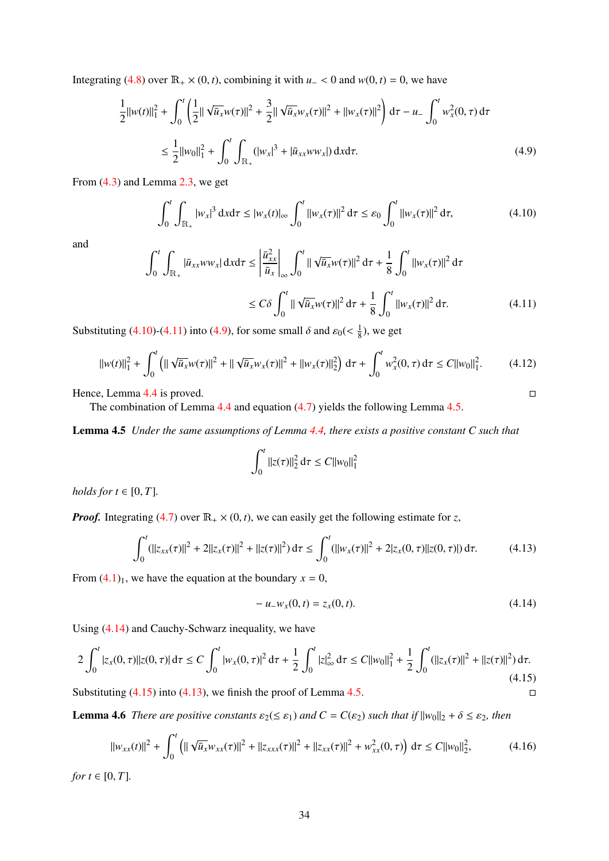Integrating [\(4.8\)](#page-32-5) over  $\mathbb{R}_+ \times (0, t)$ , combining it with *u*  $\lt 0$  and *w*(0, *t*) = 0, we have

<span id="page-33-2"></span>
$$
\frac{1}{2}||w(t)||_{1}^{2} + \int_{0}^{t} \left(\frac{1}{2}||\sqrt{\bar{u}_{x}}w(\tau)||^{2} + \frac{3}{2}||\sqrt{\bar{u}_{x}}w_{x}(\tau)||^{2} + ||w_{x}(\tau)||^{2}\right) d\tau - u_{-} \int_{0}^{t} w_{x}^{2}(0, \tau) d\tau
$$
\n
$$
\leq \frac{1}{2}||w_{0}||_{1}^{2} + \int_{0}^{t} \int_{\mathbb{R}_{+}} (|w_{x}|^{3} + |\bar{u}_{xx}ww_{x}|) dxd\tau.
$$
\n(4.9)

From [\(4.3\)](#page-32-6) and Lemma [2.3,](#page-5-3) we get

<span id="page-33-0"></span>
$$
\int_0^t \int_{\mathbb{R}_+} |w_x|^3 \, \mathrm{d}x \mathrm{d}\tau \le |w_x(t)|_{\infty} \int_0^t ||w_x(\tau)||^2 \, \mathrm{d}\tau \le \varepsilon_0 \int_0^t ||w_x(\tau)||^2 \, \mathrm{d}\tau,\tag{4.10}
$$

and

<span id="page-33-1"></span>
$$
\int_{0}^{t} \int_{\mathbb{R}_{+}} |\bar{u}_{xx} w w_{x}| dxd\tau \leq \left| \frac{\bar{u}_{xx}^{2}}{\bar{u}_{x}} \right|_{\infty} \int_{0}^{t} ||\sqrt{\bar{u}_{x}} w(\tau)||^{2} d\tau + \frac{1}{8} \int_{0}^{t} ||w_{x}(\tau)||^{2} d\tau
$$
  

$$
\leq C \delta \int_{0}^{t} ||\sqrt{\bar{u}_{x}} w(\tau)||^{2} d\tau + \frac{1}{8} \int_{0}^{t} ||w_{x}(\tau)||^{2} d\tau.
$$
 (4.11)

Substituting [\(4.10\)](#page-33-0)-[\(4.11\)](#page-33-1) into [\(4.9\)](#page-33-2), for some small  $\delta$  and  $\varepsilon_0 \ll \frac{1}{8}$  $\frac{1}{8}$ ), we get

$$
||w(t)||_1^2 + \int_0^t \left( ||\sqrt{\bar{u}_x} w(\tau)||^2 + ||\sqrt{\bar{u}_x} w_x(\tau)||^2 + ||w_x(\tau)||_2^2 \right) d\tau + \int_0^t w_x^2(0, \tau) d\tau \le C||w_0||_1^2. \tag{4.12}
$$

Hence, Lemma [4.4](#page-32-7) is proved.  $\Box$ 

The combination of Lemma [4.4](#page-32-7) and equation [\(4.7\)](#page-32-4) yields the following Lemma [4.5.](#page-33-3)

<span id="page-33-3"></span>Lemma 4.5 *Under the same assumptions of Lemma [4.4,](#page-32-7) there exists a positive constant C such that*

$$
\int_0^t \|z(\tau)\|_2^2 \, \mathrm{d}\tau \le C \|w_0\|_1^2
$$

*holds for*  $t \in [0, T]$ *.* 

*Proof.* Integrating [\(4.7\)](#page-32-4) over  $\mathbb{R}_+ \times (0, t)$ , we can easily get the following estimate for *z*,

<span id="page-33-6"></span>
$$
\int_0^t (||z_{xx}(\tau)||^2 + 2||z_x(\tau)||^2 + ||z(\tau)||^2) d\tau \le \int_0^t (||w_x(\tau)||^2 + 2|z_x(0, \tau)||z(0, \tau)|) d\tau.
$$
 (4.13)

From  $(4.1)_1$  $(4.1)_1$ , we have the equation at the boundary  $x = 0$ ,

<span id="page-33-4"></span>
$$
-u_{-}w_{x}(0,t) = z_{x}(0,t). \tag{4.14}
$$

Using [\(4.14\)](#page-33-4) and Cauchy-Schwarz inequality, we have

<span id="page-33-5"></span>
$$
2\int_0^t |z_x(0,\tau)||z(0,\tau)| d\tau \le C\int_0^t |w_x(0,\tau)|^2 d\tau + \frac{1}{2}\int_0^t |z|_\infty^2 d\tau \le C||w_0||_1^2 + \frac{1}{2}\int_0^t (||z_x(\tau)||^2 + ||z(\tau)||^2) d\tau.
$$
\n(4.15)

Substituting  $(4.15)$  into  $(4.13)$ , we finish the proof of Lemma [4.5.](#page-33-3)

<span id="page-33-8"></span>**Lemma 4.6** *There are positive constants*  $\varepsilon_2 (\leq \varepsilon_1)$  *and*  $C = C(\varepsilon_2)$  *such that if*  $||w_0||_2 + \delta \leq \varepsilon_2$ *, then* 

<span id="page-33-7"></span>
$$
||w_{xx}(t)||^2 + \int_0^t \left( ||\sqrt{\bar{u}_x} w_{xx}(\tau)||^2 + ||z_{xxx}(\tau)||^2 + ||z_{xx}(\tau)||^2 + w_{xx}^2(0,\tau) \right) d\tau \le C ||w_0||_2^2,
$$
 (4.16)

*for*  $t \in [0, T]$ *.*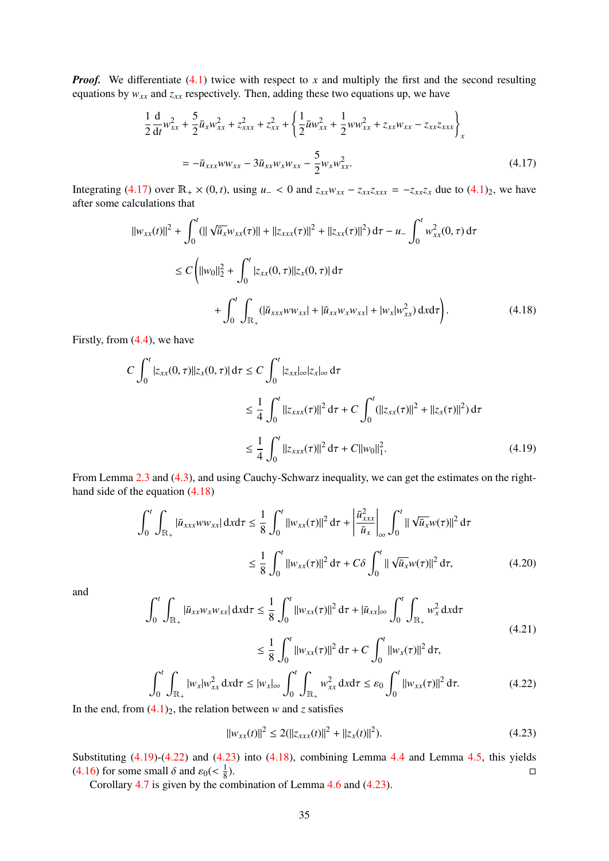*Proof.* We differentiate [\(4.1\)](#page-31-2) twice with respect to *x* and multiply the first and the second resulting equations by  $w_{xx}$  and  $z_{xx}$  respectively. Then, adding these two equations up, we have

<span id="page-34-0"></span>
$$
\frac{1}{2}\frac{d}{dt}w_{xx}^2 + \frac{5}{2}\bar{u}_x w_{xx}^2 + z_{xxx}^2 + z_{xx}^2 + \left\{\frac{1}{2}\bar{u}w_{xx}^2 + \frac{1}{2}ww_{xx}^2 + z_{xx}w_{xx} - z_{xx}z_{xxx}\right\}_x
$$
  
=  $-\bar{u}_{xxx}ww_{xx} - 3\bar{u}_{xx}w_{x}w_{xx} - \frac{5}{2}w_{x}w_{xx}^2.$  (4.17)

Integrating [\(4.17\)](#page-34-0) over  $\mathbb{R}_+ \times (0, t)$ , using  $u_- < 0$  and  $z_{xx}w_{xx} - z_{xx}z_{xxx} = -z_{xx}z_x$  due to [\(4.1\)](#page-31-2)<sub>2</sub>, we have after some calculations that

$$
||w_{xx}(t)||^{2} + \int_{0}^{t} (||\sqrt{\bar{u}_{x}}w_{xx}(\tau)|| + ||z_{xxx}(\tau)||^{2} + ||z_{xx}(\tau)||^{2}) d\tau - u_{-} \int_{0}^{t} w_{xx}^{2}(0, \tau) d\tau
$$
  
\n
$$
\leq C \left( ||w_{0}||_{2}^{2} + \int_{0}^{t} |z_{xx}(0, \tau)||z_{x}(0, \tau)| d\tau + \int_{0}^{t} \int_{\mathbb{R}_{+}} (|\bar{u}_{xxx}w_{xx}| + |\bar{u}_{xx}w_{x}w_{xx}| + |w_{x}|w_{xx}^{2}) d\tau \right).
$$
\n(4.18)

Firstly, from [\(4.4\)](#page-32-8), we have

<span id="page-34-1"></span>
$$
C \int_0^t |z_{xx}(0,\tau)||z_x(0,\tau)| d\tau \le C \int_0^t |z_{xx}| \infty |z_x| \infty d\tau
$$
  
\n
$$
\le \frac{1}{4} \int_0^t ||z_{xxx}(\tau)||^2 d\tau + C \int_0^t (||z_{xx}(\tau)||^2 + ||z_x(\tau)||^2) d\tau
$$
  
\n
$$
\le \frac{1}{4} \int_0^t ||z_{xxx}(\tau)||^2 d\tau + C ||w_0||_1^2.
$$
\n(4.19)

<span id="page-34-2"></span>From Lemma [2.3](#page-5-3) and [\(4.3\)](#page-32-6), and using Cauchy-Schwarz inequality, we can get the estimates on the righthand side of the equation [\(4.18\)](#page-34-1)

$$
\int_{0}^{t} \int_{\mathbb{R}_{+}} |\bar{u}_{xxx} w w_{xx}| \, dx \, d\tau \leq \frac{1}{8} \int_{0}^{t} \|w_{xx}(\tau)\|^{2} \, d\tau + \left| \frac{\bar{u}_{xxx}^{2}}{\bar{u}_{x}} \right|_{\infty} \int_{0}^{t} \|\sqrt{\bar{u}_{x}} w(\tau)\|^{2} \, d\tau
$$
\n
$$
\leq \frac{1}{8} \int_{0}^{t} \|w_{xx}(\tau)\|^{2} \, d\tau + C \delta \int_{0}^{t} \|\sqrt{\bar{u}_{x}} w(\tau)\|^{2} \, d\tau, \tag{4.20}
$$

and

$$
\int_0^t \int_{\mathbb{R}_+} |\bar{u}_{xx} w_x w_{xx}| \, dx \, dx \leq \frac{1}{8} \int_0^t \|w_{xx}(\tau)\|^2 \, d\tau + |\bar{u}_{xx}|_{\infty} \int_0^t \int_{\mathbb{R}_+} w_x^2 \, dx \, d\tau
$$
\n
$$
\leq \frac{1}{2} \int_0^t \int_{\mathbb{R}_+} w_x^2 \, dx \, dx \tag{4.21}
$$

$$
\leq \frac{1}{8} \int_0^t ||w_{xx}(\tau)||^2 d\tau + C \int_0^t ||w_x(\tau)||^2 d\tau,
$$
  

$$
|w_x| w_{xx}^2 dxd\tau \leq |w_x|_{\infty} \int_0^t \int_{\mathbb{R}_+} w_{xx}^2 dxd\tau \leq \varepsilon_0 \int_0^t ||w_{xx}(\tau)||^2 d\tau.
$$
 (4.22)

In the end, from  $(4.1)_2$  $(4.1)_2$ , the relation between *w* and *z* satisfies

<span id="page-34-3"></span> $\int_0^t$  $\mathbf{0}$ 

Z  $\mathbb{R}_+$ 

<span id="page-34-4"></span>
$$
||w_{xx}(t)||^2 \le 2(||z_{xxx}(t)||^2 + ||z_x(t)||^2). \tag{4.23}
$$

Substituting  $(4.19)-(4.22)$  $(4.19)-(4.22)$  $(4.19)-(4.22)$  and  $(4.23)$  into  $(4.18)$ , combining Lemma [4.4](#page-32-7) and Lemma [4.5,](#page-33-3) this yields [\(4.16\)](#page-33-7) for some small  $\delta$  and  $\varepsilon_0 < \frac{1}{8}$ <br>Corollary 4.7 is given by the co 8 ).  $\Box$ 

<span id="page-34-5"></span>Corollary [4.7](#page-34-5) is given by the combination of Lemma [4.6](#page-33-8) and [\(4.23\)](#page-34-4).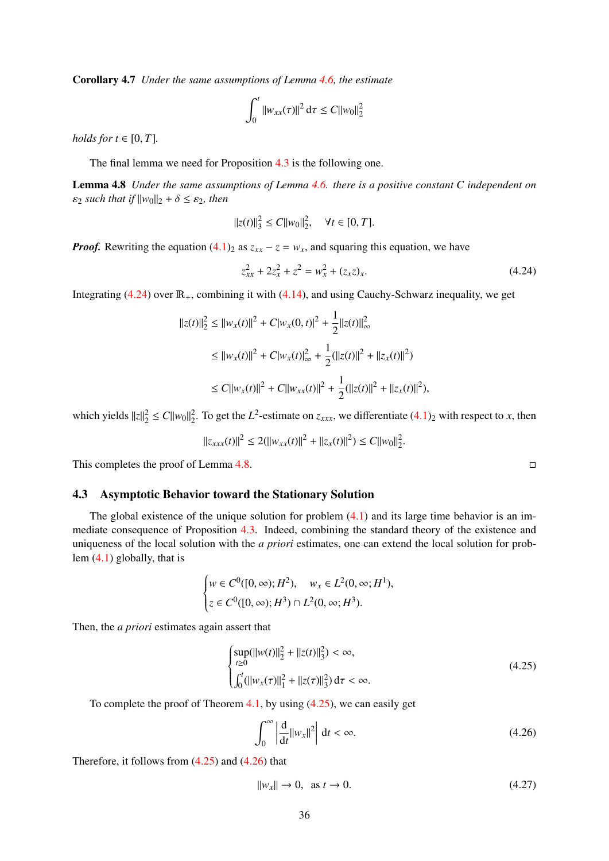Corollary 4.7 *Under the same assumptions of Lemma [4.6,](#page-33-8) the estimate*

$$
\int_0^t \|w_{xx}(\tau)\|^2 d\tau \leq C \|w_0\|_2^2
$$

*holds for*  $t \in [0, T]$ *.* 

The final lemma we need for Proposition [4.3](#page-32-1) is the following one.

<span id="page-35-2"></span>Lemma 4.8 *Under the same assumptions of Lemma [4.6.](#page-33-8) there is a positive constant C independent on*  $\varepsilon_2$  *such that if*  $||w_0||_2 + \delta \leq \varepsilon_2$ *, then* 

$$
||z(t)||_3^2 \le C||w_0||_2^2, \quad \forall t \in [0, T].
$$

*Proof.* Rewriting the equation  $(4.1)_2$  $(4.1)_2$  as  $z_{xx} - z = w_x$ , and squaring this equation, we have

<span id="page-35-1"></span>
$$
z_{xx}^2 + 2z_x^2 + z^2 = w_x^2 + (z_x z)_x.
$$
 (4.24)

Integrating  $(4.24)$  over  $\mathbb{R}_+$ , combining it with  $(4.14)$ , and using Cauchy-Schwarz inequality, we get

$$
||z(t)||_2^2 \le ||w_x(t)||^2 + C|w_x(0,t)|^2 + \frac{1}{2}||z(t)||_{\infty}^2
$$
  
\n
$$
\le ||w_x(t)||^2 + C|w_x(t)|_{\infty}^2 + \frac{1}{2} (||z(t)||^2 + ||z_x(t)||^2)
$$
  
\n
$$
\le C||w_x(t)||^2 + C||w_{xx}(t)||^2 + \frac{1}{2} (||z(t)||^2 + ||z_x(t)||^2),
$$

which yields  $||z||_2^2 \le C||w_0||_2^2$ . To get the *L*<sup>2</sup>-estimate on  $z_{xxx}$ , we differentiate [\(4.1\)](#page-31-2)<sub>2</sub> with respect to *x*, then

$$
||z_{xxx}(t)||^2 \le 2(||w_{xx}(t)||^2 + ||z_x(t)||^2) \le C||w_0||_2^2.
$$

This completes the proof of Lemma [4.8.](#page-35-2)

## <span id="page-35-0"></span>4.3 Asymptotic Behavior toward the Stationary Solution

The global existence of the unique solution for problem  $(4.1)$  and its large time behavior is an immediate consequence of Proposition [4.3.](#page-32-1) Indeed, combining the standard theory of the existence and uniqueness of the local solution with the *a priori* estimates, one can extend the local solution for problem [\(4.1\)](#page-31-2) globally, that is

$$
\begin{cases} w \in C^0([0, \infty); H^2), & w_x \in L^2(0, \infty; H^1), \\ z \in C^0([0, \infty); H^3) \cap L^2(0, \infty; H^3). \end{cases}
$$

Then, the *a priori* estimates again assert that

<span id="page-35-3"></span>
$$
\begin{cases}\n\sup_{t\geq 0} (\|w(t)\|_2^2 + \|z(t)\|_3^2) < \infty, \\
\int_0^t (\|w_x(\tau)\|_1^2 + \|z(\tau)\|_3^2) \, d\tau < \infty.\n\end{cases} \tag{4.25}
$$

To complete the proof of Theorem [4.1,](#page-31-3) by using [\(4.25\)](#page-35-3), we can easily get

<span id="page-35-4"></span>
$$
\int_0^\infty \left| \frac{\mathrm{d}}{\mathrm{d}t} ||w_x||^2 \right| \, \mathrm{d}t < \infty. \tag{4.26}
$$

Therefore, it follows from  $(4.25)$  and  $(4.26)$  that

<span id="page-35-5"></span>
$$
||w_x|| \to 0, \text{ as } t \to 0. \tag{4.27}
$$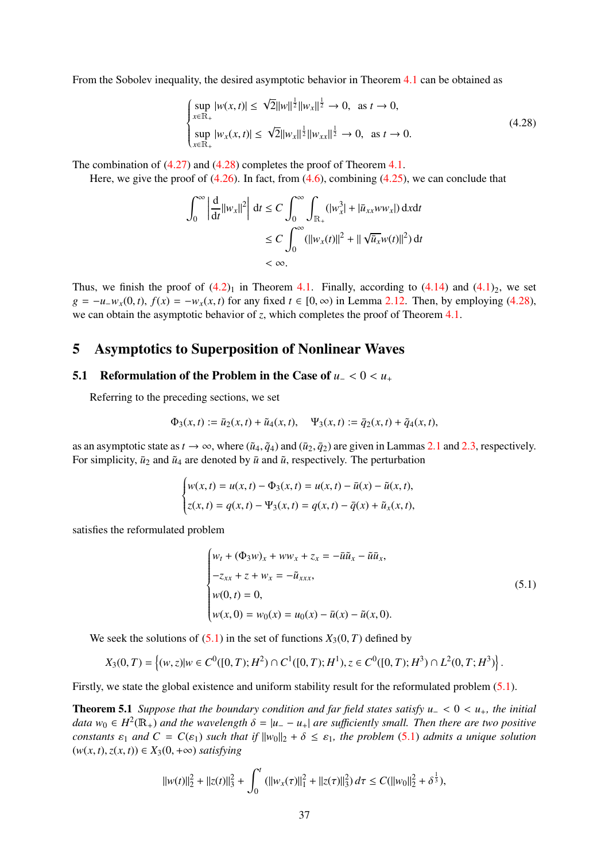From the Sobolev inequality, the desired asymptotic behavior in Theorem [4.1](#page-31-3) can be obtained as

<span id="page-36-2"></span>
$$
\begin{cases}\n\sup_{x \in \mathbb{R}_+} |w(x, t)| \leq \sqrt{2} ||w||^{\frac{1}{2}} ||w_x||^{\frac{1}{2}} \to 0, \text{ as } t \to 0, \\
\sup_{x \in \mathbb{R}_+} |w_x(x, t)| \leq \sqrt{2} ||w_x||^{\frac{1}{2}} ||w_{xx}||^{\frac{1}{2}} \to 0, \text{ as } t \to 0.\n\end{cases}
$$
\n(4.28)

The combination of [\(4.27\)](#page-35-5) and [\(4.28\)](#page-36-2) completes the proof of Theorem [4.1.](#page-31-3)

Here, we give the proof of  $(4.26)$ . In fact, from  $(4.6)$ , combining  $(4.25)$ , we can conclude that

$$
\int_0^\infty \left| \frac{d}{dt} ||w_x||^2 \right| dt \le C \int_0^\infty \int_{\mathbb{R}_+} (|w_x^3| + |\bar{u}_{xx} w w_x|) dx dt
$$
  
\n
$$
\le C \int_0^\infty (||w_x(t)||^2 + ||\sqrt{\bar{u}_x} w(t)||^2) dt
$$
  
\n
$$
< \infty.
$$

Thus, we finish the proof of  $(4.2)_1$  $(4.2)_1$  in Theorem [4.1.](#page-31-3) Finally, according to  $(4.14)$  and  $(4.1)_2$  $(4.1)_2$ , we set  $g = -u_{-}w_{x}(0, t)$ ,  $f(x) = -w_{x}(x, t)$  for any fixed  $t \in [0, \infty)$  in Lemma [2.12.](#page-19-0) Then, by employing [\(4.28\)](#page-36-2), we can obtain the asymptotic behavior of *z*, which completes the proof of Theorem [4.1.](#page-31-3)

## <span id="page-36-0"></span>5 Asymptotics to Superposition of Nonlinear Waves

## <span id="page-36-1"></span>5.1 Reformulation of the Problem in the Case of  $u_1 < 0 < u_+$

Referring to the preceding sections, we set

$$
\Phi_3(x,t) := \bar{u}_2(x,t) + \tilde{u}_4(x,t), \quad \Psi_3(x,t) := \bar{q}_2(x,t) + \tilde{q}_4(x,t),
$$

as an asymptotic state as  $t \to \infty$ , where  $(\tilde{u}_4, \tilde{q}_4)$  and  $(\bar{u}_2, \bar{q}_2)$  are given in Lammas [2.1](#page-4-0) and [2.3,](#page-5-3) respectively. For simplicity,  $\bar{u}_2$  and  $\tilde{u}_4$  are denoted by  $\bar{u}$  and  $\tilde{u}$ , respectively. The perturbation

$$
\begin{cases} w(x,t) = u(x,t) - \Phi_3(x,t) = u(x,t) - \bar{u}(x) - \tilde{u}(x,t), \\ z(x,t) = q(x,t) - \Psi_3(x,t) = q(x,t) - \bar{q}(x) + \tilde{u}_x(x,t), \end{cases}
$$

satisfies the reformulated problem

<span id="page-36-3"></span>
$$
\begin{cases}\nw_t + (\Phi_3 w)_x + w w_x + z_x = -\overline{u}\tilde{u}_x - \tilde{u}\bar{u}_x, \\
-z_{xx} + z + w_x = -\tilde{u}_{xxx}, \\
w(0, t) = 0, \\
w(x, 0) = w_0(x) = u_0(x) - \overline{u}(x) - \tilde{u}(x, 0).\n\end{cases}
$$
\n(5.1)

We seek the solutions of  $(5.1)$  in the set of functions  $X_3(0, T)$  defined by

$$
X_3(0,T) = \left\{ (w,z) | w \in C^0([0,T);H^2) \cap C^1([0,T);H^1), z \in C^0([0,T);H^3) \cap L^2(0,T;H^3) \right\}.
$$

<span id="page-36-4"></span>Firstly, we state the global existence and uniform stability result for the reformulated problem [\(5.1\)](#page-36-3).

Theorem 5.1 *Suppose that the boundary condition and far field states satisfy u*<sup>−</sup> <sup>&</sup>lt; <sup>0</sup> <sup>&</sup>lt; *<sup>u</sup>*+*, the initial data*  $w_0 \in H^2(\mathbb{R}_+)$  *and the wavelength*  $\delta = |u_--u_+|$  *are sufficiently small. Then there are two positive*<br>constants  $\infty$  and  $C = C(\infty)$  such that if  $||w_0||_2 + \delta \leq \infty$ , the problem (5.1) admits a unique solution *constants*  $\varepsilon_1$  *and*  $C = C(\varepsilon_1)$  *such that if*  $||w_0||_2 + \delta \leq \varepsilon_1$ *, the problem* [\(5.1\)](#page-36-3) *admits a unique solution*  $(w(x, t), z(x, t)) \in X_3(0, +\infty)$  *satisfying* 

$$
||w(t)||_2^2 + ||z(t)||_3^2 + \int_0^t (||w_x(\tau)||_1^2 + ||z(\tau)||_3^2) d\tau \leq C(||w_0||_2^2 + \delta^{\frac{1}{3}}),
$$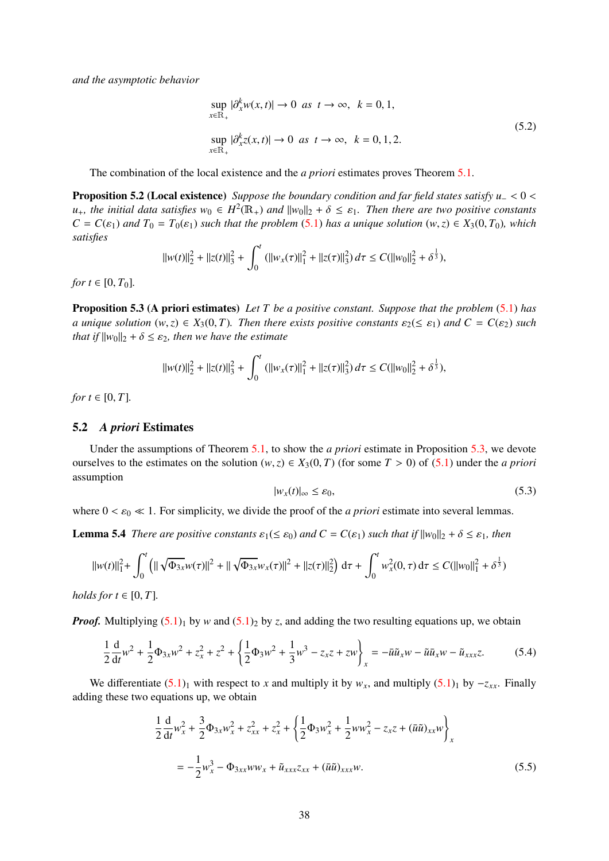<span id="page-37-6"></span>*and the asymptotic behavior*

$$
\sup_{x \in \mathbb{R}_+} |\partial_x^k w(x, t)| \to 0 \text{ as } t \to \infty, \ k = 0, 1,
$$
  
\n
$$
\sup_{x \in \mathbb{R}_+} |\partial_x^k z(x, t)| \to 0 \text{ as } t \to \infty, \ k = 0, 1, 2.
$$
\n(5.2)

The combination of the local existence and the *a priori* estimates proves Theorem [5.1.](#page-36-4)

Proposition 5.2 (Local existence) *Suppose the boundary condition and far field states satisfy u*<sub>−</sub> < 0 < *u*<sub>+</sub>*, the initial data satisfies*  $w_0 \text{ ∈ } H^2(\mathbb{R}_+)$  *and*  $||w_0||_2 + \delta \leq \varepsilon_1$ *. Then there are two positive constants*<br> $C = C(\varepsilon_1)$  *and*  $T_2 = T_2(\varepsilon_2)$  such that the problem (5.1) has a unique solution (w.z) ∈  $C = C(\varepsilon_1)$  *and*  $T_0 = T_0(\varepsilon_1)$  *such that the problem* [\(5.1\)](#page-36-3) *has a unique solution*  $(w, z) \in X_3(0, T_0)$ *, which satisfies*

$$
||w(t)||_2^2 + ||z(t)||_3^2 + \int_0^t (||w_x(\tau)||_1^2 + ||z(\tau)||_3^2) d\tau \leq C(||w_0||_2^2 + \delta^{\frac{1}{3}}),
$$

*for*  $t \in [0, T_0]$ *.* 

<span id="page-37-1"></span>Proposition 5.3 (A priori estimates) *Let T be a positive constant. Suppose that the problem* [\(5.1\)](#page-36-3) *has a* unique solution  $(w, z) \in X_3(0, T)$ . Then there exists positive constants  $\varepsilon_2 (\leq \varepsilon_1)$  and  $C = C(\varepsilon_2)$  such *that if*  $||w_0||_2 + \delta \leq \varepsilon_2$ *, then we have the estimate* 

$$
||w(t)||_2^2 + ||z(t)||_3^2 + \int_0^t (||w_x(\tau)||_1^2 + ||z(\tau)||_3^2) d\tau \leq C(||w_0||_2^2 + \delta^{\frac{1}{3}}),
$$

*for*  $t \in [0, T]$ *.* 

#### <span id="page-37-0"></span>5.2 *A priori* Estimates

Under the assumptions of Theorem [5.1,](#page-36-4) to show the *a priori* estimate in Proposition [5.3,](#page-37-1) we devote ourselves to the estimates on the solution  $(w, z) \in X_3(0, T)$  (for some  $T > 0$ ) of  $(5.1)$  under the *a priori* assumption

<span id="page-37-5"></span>
$$
|w_x(t)|_\infty \le \varepsilon_0,\tag{5.3}
$$

where  $0 < \varepsilon_0 \ll 1$ . For simplicity, we divide the proof of the *a priori* estimate into several lemmas.

<span id="page-37-4"></span>**Lemma 5.4** *There are positive constants*  $\varepsilon_1 (\leq \varepsilon_0)$  *and*  $C = C(\varepsilon_1)$  *such that if*  $||w_0||_2 + \delta \leq \varepsilon_1$ *, then* 

$$
||w(t)||_1^2 + \int_0^t \left( ||\sqrt{\Phi_{3x}} w(\tau)||^2 + ||\sqrt{\Phi_{3x}} w_x(\tau)||^2 + ||z(\tau)||_2^2 \right) d\tau + \int_0^t w_x^2(0, \tau) d\tau \le C(||w_0||_1^2 + \delta^{\frac{1}{3}})
$$

*holds for*  $t \in [0, T]$ *.* 

*Proof.* Multiplying  $(5.1)$ <sub>1</sub> by *w* and  $(5.1)$ <sub>2</sub> by *z*, and adding the two resulting equations up, we obtain

<span id="page-37-2"></span>
$$
\frac{1}{2}\frac{d}{dt}w^2 + \frac{1}{2}\Phi_{3x}w^2 + z_x^2 + z^2 + \left\{\frac{1}{2}\Phi_3w^2 + \frac{1}{3}w^3 - z_xz + zw\right\}_x = -\bar{u}\tilde{u}_xw - \tilde{u}\bar{u}_xw - \tilde{u}_{xxx}z.
$$
 (5.4)

We differentiate  $(5.1)_1$  $(5.1)_1$  with respect to *x* and multiply it by  $w_x$ , and multiply  $(5.1)_1$  by  $-z_{xx}$ . Finally adding these two equations up, we obtain

<span id="page-37-3"></span>
$$
\frac{1}{2}\frac{d}{dt}w_x^2 + \frac{3}{2}\Phi_{3x}w_x^2 + z_{xx}^2 + z_x^2 + \left\{\frac{1}{2}\Phi_{3}w_x^2 + \frac{1}{2}ww_x^2 - z_xz + (\bar{u}\tilde{u})_{xx}w\right\}_x
$$

$$
= -\frac{1}{2}w_x^3 - \Phi_{3xx}ww_x + \tilde{u}_{xxx}z_{xx} + (\bar{u}\tilde{u})_{xxx}w. \tag{5.5}
$$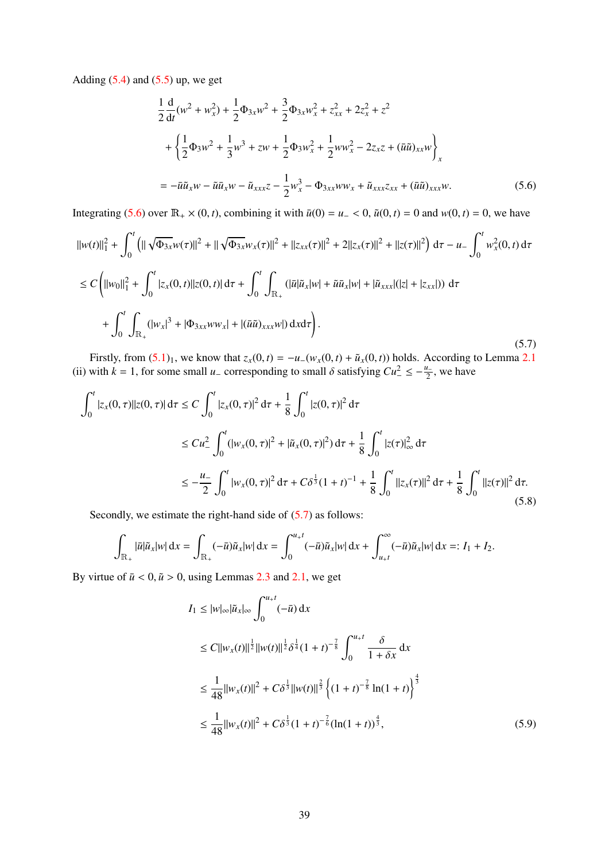Adding  $(5.4)$  and  $(5.5)$  up, we get

<span id="page-38-0"></span>
$$
\frac{1}{2}\frac{d}{dt}(w^2 + w_x^2) + \frac{1}{2}\Phi_{3x}w^2 + \frac{3}{2}\Phi_{3x}w_x^2 + z_{xx}^2 + 2z_x^2 + z^2
$$
  
+ 
$$
\left\{\frac{1}{2}\Phi_{3}w^2 + \frac{1}{3}w^3 + zw + \frac{1}{2}\Phi_{3}w_x^2 + \frac{1}{2}ww_x^2 - 2z_xz + (\bar{u}\tilde{u})_{xx}w\right\}_x
$$
  
= 
$$
-\bar{u}\tilde{u}_xw - \tilde{u}\bar{u}_xw - \tilde{u}_{xxx}z - \frac{1}{2}w_x^3 - \Phi_{3xx}ww_x + \tilde{u}_{xxx}z_{xx} + (\bar{u}\tilde{u})_{xxx}w.
$$
 (5.6)

Integrating [\(5.6\)](#page-38-0) over  $\mathbb{R}_+ \times (0, t)$ , combining it with  $\bar{u}(0) = u_- < 0$ ,  $\tilde{u}(0, t) = 0$  and  $w(0, t) = 0$ , we have

$$
||w(t)||_1^2 + \int_0^t (||\sqrt{\Phi_{3x}}w(\tau)||^2 + ||\sqrt{\Phi_{3x}}w_x(\tau)||^2 + ||z_{xx}(\tau)||^2 + 2||z_x(\tau)||^2 + ||z(\tau)||^2) d\tau - u - \int_0^t w_x^2(0, t) d\tau
$$
  
\n
$$
\leq C \left( ||w_0||_1^2 + \int_0^t |z_x(0, t)||z(0, t)| d\tau + \int_0^t \int_{\mathbb{R}_+} (|\bar{u}|\tilde{u}_x|w| + \tilde{u}\bar{u}_x|w| + |\tilde{u}_{xxx}|(|z| + |z_{xx}|)) d\tau + \int_0^t \int_{\mathbb{R}_+} (|w_x|^3 + |\Phi_{3xx}ww_x| + |(\bar{u}\tilde{u})_{xxx}w|) dxd\tau \right).
$$
\n(5.7)

<span id="page-38-1"></span>Firstly, from  $(5.1)_1$  $(5.1)_1$ , we know that  $z_x(0, t) = -u_-(w_x(0, t) + \tilde{u}_x(0, t))$  holds. According to Lemma [2.1](#page-4-0) (ii) with *k* = 1, for some small *u*<sub>−</sub> corresponding to small  $\delta$  satisfying  $Cu^2 \le -\frac{u_-}{2}$ , we have

$$
\int_0^t |z_x(0,\tau)||z(0,\tau)| d\tau \le C \int_0^t |z_x(0,\tau)|^2 d\tau + \frac{1}{8} \int_0^t |z(0,\tau)|^2 d\tau
$$
  
\n
$$
\le C u_-^2 \int_0^t (|w_x(0,\tau)|^2 + |\tilde{u}_x(0,\tau)|^2) d\tau + \frac{1}{8} \int_0^t |z(\tau)|_\infty^2 d\tau
$$
  
\n
$$
\le -\frac{u_-}{2} \int_0^t |w_x(0,\tau)|^2 d\tau + C\delta^{\frac{1}{3}}(1+t)^{-1} + \frac{1}{8} \int_0^t ||z_x(\tau)||^2 d\tau + \frac{1}{8} \int_0^t ||z(\tau)||^2 d\tau.
$$
\n(5.8)

<span id="page-38-3"></span>Secondly, we estimate the right-hand side of  $(5.7)$  as follows:

$$
\int_{\mathbb{R}_+} |\bar{u}|\tilde{u}_x|w| \,dx = \int_{\mathbb{R}_+} (-\bar{u})\tilde{u}_x|w| \,dx = \int_0^{u+t} (-\bar{u})\tilde{u}_x|w| \,dx + \int_{u+t}^{\infty} (-\bar{u})\tilde{u}_x|w| \,dx =: I_1 + I_2.
$$

By virtue of  $\bar{u}$  < 0,  $\tilde{u}$  > 0, using Lemmas [2.3](#page-5-3) and [2.1,](#page-4-0) we get

<span id="page-38-2"></span>
$$
I_1 \le |w|_{\infty} |\tilde{u}_x|_{\infty} \int_0^{u+t} (-\bar{u}) dx
$$
  
\n
$$
\le C ||w_x(t)||^{\frac{1}{2}} ||w(t)||^{\frac{1}{2}} \delta^{\frac{1}{4}} (1+t)^{-\frac{7}{8}} \int_0^{u+t} \frac{\delta}{1+\delta x} dx
$$
  
\n
$$
\le \frac{1}{48} ||w_x(t)||^2 + C\delta^{\frac{1}{3}} ||w(t)||^{\frac{2}{3}} \left\{ (1+t)^{-\frac{7}{8}} \ln(1+t) \right\}^{\frac{4}{3}}
$$
  
\n
$$
\le \frac{1}{48} ||w_x(t)||^2 + C\delta^{\frac{1}{3}} (1+t)^{-\frac{7}{6}} (\ln(1+t))^{\frac{4}{3}}, \tag{5.9}
$$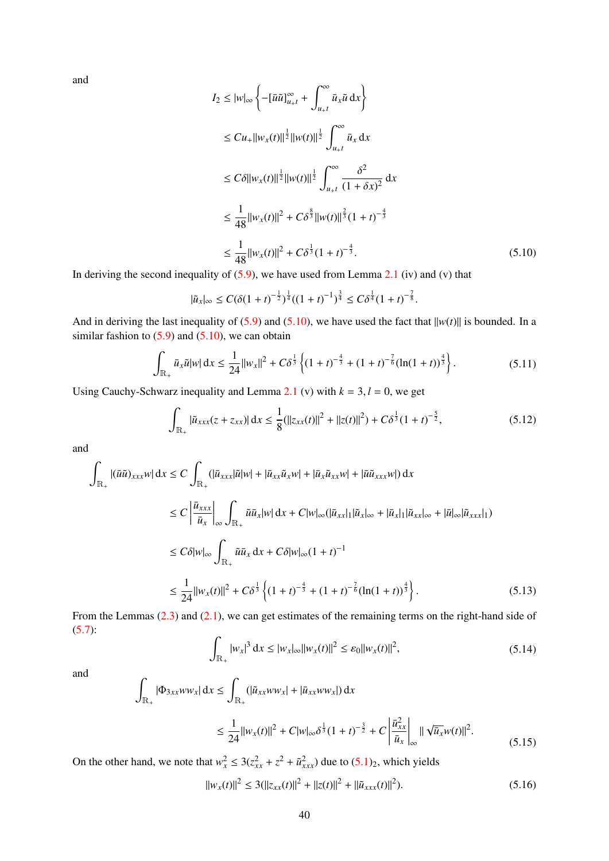and

$$
I_2 \le |w|_{\infty} \left\{ -[\bar{u}\tilde{u}]_{u+t}^{\infty} + \int_{u+t}^{\infty} \bar{u}_x \tilde{u} dx \right\}
$$
  
\n
$$
\le C u_+ ||w_x(t)||^{\frac{1}{2}} ||w(t)||^{\frac{1}{2}} \int_{u+t}^{\infty} \bar{u}_x dx
$$
  
\n
$$
\le C \delta ||w_x(t)||^{\frac{1}{2}} ||w(t)||^{\frac{1}{2}} \int_{u+t}^{\infty} \frac{\delta^2}{(1+\delta x)^2} dx
$$
  
\n
$$
\le \frac{1}{48} ||w_x(t)||^2 + C \delta^{\frac{8}{3}} ||w(t)||^{\frac{2}{3}} (1+t)^{-\frac{4}{3}}
$$
  
\n
$$
\le \frac{1}{48} ||w_x(t)||^2 + C \delta^{\frac{1}{3}} (1+t)^{-\frac{4}{3}}.
$$
 (5.10)

In deriving the second inequality of  $(5.9)$ , we have used from Lemma [2.1](#page-4-0) (iv) and (v) that

<span id="page-39-0"></span>
$$
|\tilde{u}_x|_{\infty} \leq C(\delta(1+t)^{-\frac{1}{2}})^{\frac{1}{4}}((1+t)^{-1})^{\frac{3}{4}} \leq C\delta^{\frac{1}{4}}(1+t)^{-\frac{7}{8}}.
$$

And in deriving the last inequality of [\(5.9\)](#page-38-2) and [\(5.10\)](#page-39-0), we have used the fact that  $\|w(t)\|$  is bounded. In a similar fashion to  $(5.9)$  and  $(5.10)$ , we can obtain

$$
\int_{\mathbb{R}_+} \bar{u}_x \tilde{u}|w| dx \le \frac{1}{24} ||w_x||^2 + C\delta^{\frac{1}{3}} \left\{ (1+t)^{-\frac{4}{3}} + (1+t)^{-\frac{7}{6}} (\ln(1+t))^{\frac{4}{3}} \right\}.
$$
 (5.11)

Using Cauchy-Schwarz inequality and Lemma [2.1](#page-4-0) (v) with  $k = 3, l = 0$ , we get

<span id="page-39-4"></span>
$$
\int_{\mathbb{R}_+} |\tilde{u}_{xxx}(z+z_{xx})| dx \le \frac{1}{8} (||z_{xx}(t)||^2 + ||z(t)||^2) + C\delta^{\frac{1}{3}}(1+t)^{-\frac{5}{2}},
$$
\n(5.12)

and

$$
\int_{\mathbb{R}_{+}} |(\bar{u}\tilde{u})_{xxx} w| dx \le C \int_{\mathbb{R}_{+}} (|\bar{u}_{xxx}|\tilde{u}|w| + |\bar{u}_{xx}\tilde{u}_{x}w| + |\bar{u}_{x}\tilde{u}_{xx}w| + |\bar{u}\tilde{u}_{xxx}w|) dx
$$
\n
$$
\le C \left| \frac{\bar{u}_{xxx}}{\bar{u}_{x}} \right|_{\infty} \int_{\mathbb{R}_{+}} \tilde{u}\bar{u}_{x}|w| dx + C|w|_{\infty} (|\bar{u}_{xx}|_{1}|\tilde{u}_{x}|_{\infty} + |\bar{u}_{x}|_{1}|\tilde{u}_{xx}|_{\infty} + |\bar{u}|_{\infty}|\tilde{u}_{xxx}|_{1})
$$
\n
$$
\le C\delta|w|_{\infty} \int_{\mathbb{R}_{+}} \tilde{u}\bar{u}_{x} dx + C\delta|w|_{\infty} (1+t)^{-1}
$$
\n
$$
\le \frac{1}{24} ||w_{x}(t)||^{2} + C\delta^{\frac{1}{3}} \left\{ (1+t)^{-\frac{4}{3}} + (1+t)^{-\frac{7}{6}} (\ln(1+t))^{\frac{4}{3}} \right\}.
$$
\n(5.13)

<span id="page-39-5"></span>From the Lemmas  $(2.3)$  and  $(2.1)$ , we can get estimates of the remaining terms on the right-hand side of [\(5.7\)](#page-38-1):

<span id="page-39-3"></span>
$$
\int_{\mathbb{R}_+} |w_x|^3 dx \le |w_x|_{\infty} ||w_x(t)||^2 \le \varepsilon_0 ||w_x(t)||^2,
$$
\n(5.14)

and

<span id="page-39-1"></span>
$$
\int_{\mathbb{R}_+} |\Phi_{3xx}ww_x| dx \le \int_{\mathbb{R}_+} (|\tilde{u}_{xx}ww_x| + |\bar{u}_{xx}ww_x|) dx
$$
  

$$
\le \frac{1}{24} ||w_x(t)||^2 + C|w|_{\infty} \delta^{\frac{1}{3}} (1+t)^{-\frac{3}{2}} + C \left| \frac{\bar{u}_{xx}^2}{\bar{u}_x} \right|_{\infty} ||\sqrt{\bar{u}_x}w(t)||^2.
$$
 (5.15)

On the other hand, we note that  $w_x^2 \leq 3(z_{xx}^2 + z^2 + \tilde{u}_{xxx}^2)$  due to  $(5.1)_2$  $(5.1)_2$ , which yields

<span id="page-39-2"></span>
$$
||w_x(t)||^2 \le 3(||z_{xx}(t)||^2 + ||z(t)||^2 + ||\tilde{u}_{xxx}(t)||^2).
$$
 (5.16)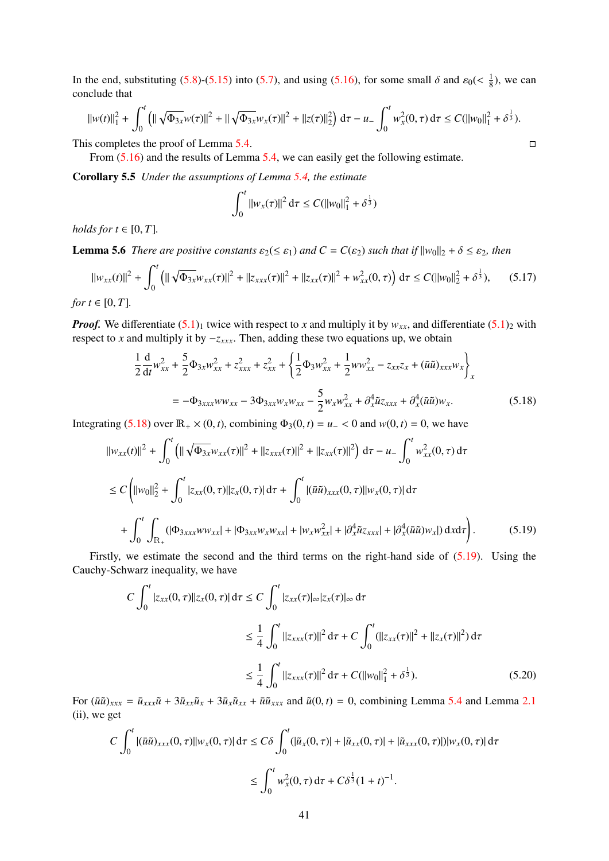In the end, substituting [\(5.8\)](#page-38-3)-[\(5.15\)](#page-39-1) into [\(5.7\)](#page-38-1), and using [\(5.16\)](#page-39-2), for some small  $\delta$  and  $\varepsilon_0 \ll \frac{1}{8}$  $\frac{1}{8}$ ), we can conclude that

$$
||w(t)||_1^2 + \int_0^t (||\sqrt{\Phi_{3x}} w(\tau)||^2 + ||\sqrt{\Phi_{3x}} w_x(\tau)||^2 + ||z(\tau)||_2^2) d\tau - u_- \int_0^t w_x^2(0, \tau) d\tau \leq C(||w_0||_1^2 + \delta^{\frac{1}{3}}).
$$

This completes the proof of Lemma [5.4.](#page-37-4)  $\Box$ 

From [\(5.16\)](#page-39-2) and the results of Lemma [5.4,](#page-37-4) we can easily get the following estimate.

Corollary 5.5 *Under the assumptions of Lemma [5.4,](#page-37-4) the estimate*

$$
\int_0^t \|w_x(\tau)\|^2 d\tau \leq C(||w_0||_1^2 + \delta^{\frac{1}{3}})
$$

*holds for*  $t \in [0, T]$ *.* 

<span id="page-40-4"></span>**Lemma 5.6** *There are positive constants*  $\varepsilon_2(\leq \varepsilon_1)$  *and*  $C = C(\varepsilon_2)$  *such that if*  $||w_0||_2 + \delta \leq \varepsilon_2$ *, then* 

<span id="page-40-3"></span>
$$
||w_{xx}(t)||^2 + \int_0^t \left( ||\sqrt{\Phi_{3x}} w_{xx}(\tau)||^2 + ||z_{xxx}(\tau)||^2 + ||z_{xx}(\tau)||^2 + w_{xx}^2(0,\tau) \right) d\tau \le C(||w_0||_2^2 + \delta^{\frac{1}{3}}), \quad (5.17)
$$

*for*  $t \in [0, T]$ *.* 

*Proof.* We differentiate  $(5.1)_1$  $(5.1)_1$  twice with respect to *x* and multiply it by  $w_{xx}$ , and differentiate  $(5.1)_2$  with respect to *x* and multiply it by −*zxxx*. Then, adding these two equations up, we obtain

<span id="page-40-0"></span>
$$
\frac{1}{2}\frac{d}{dt}w_{xx}^2 + \frac{5}{2}\Phi_{3x}w_{xx}^2 + z_{xxx}^2 + z_{xx}^2 + \left\{\frac{1}{2}\Phi_{3}w_{xx}^2 + \frac{1}{2}ww_{xx}^2 - z_{xx}z_x + (\bar{u}\tilde{u})_{xxx}w_x\right\}_x
$$
  
=  $-\Phi_{3xxx}ww_{xx} - 3\Phi_{3xx}w_xw_{xx} - \frac{5}{2}w_xw_{xx}^2 + \partial_x^4\tilde{u}z_{xxx} + \partial_x^4(\bar{u}\tilde{u})w_x.$  (5.18)

Integrating [\(5.18\)](#page-40-0) over  $\mathbb{R}_+ \times (0, t)$ , combining  $\Phi_3(0, t) = u - 0$  and  $w(0, t) = 0$ , we have

$$
||w_{xx}(t)||^{2} + \int_{0}^{t} (||\sqrt{\Phi_{3x}}w_{xx}(\tau)||^{2} + ||z_{xxx}(\tau)||^{2} + ||z_{xx}(\tau)||^{2}) d\tau - u_{-} \int_{0}^{t} w_{xx}^{2}(0, \tau) d\tau
$$
  
\n
$$
\leq C \left( ||w_{0}||_{2}^{2} + \int_{0}^{t} |z_{xx}(0, \tau)||z_{x}(0, \tau)| d\tau + \int_{0}^{t} |(\bar{u}\tilde{u})_{xxx}(0, \tau)||w_{x}(0, \tau)| d\tau + \int_{0}^{t} \int_{\mathbb{R}_{+}} (|\Phi_{3xxx}w_{xx}| + |\Phi_{3xx}w_{x}w_{xx}| + |w_{x}w_{xx}^{2}| + |\partial_{x}^{4}\tilde{u}z_{xxx}| + |\partial_{x}^{4}(\bar{u}\tilde{u})w_{x}|) dxd\tau \right).
$$
 (5.19)

<span id="page-40-1"></span>Firstly, we estimate the second and the third terms on the right-hand side of [\(5.19\)](#page-40-1). Using the Cauchy-Schwarz inequality, we have

$$
C \int_0^t |z_{xx}(0,\tau)||z_x(0,\tau)| d\tau \le C \int_0^t |z_{xx}(\tau)|_{\infty} |z_x(\tau)|_{\infty} d\tau
$$
  

$$
\le \frac{1}{4} \int_0^t ||z_{xxx}(\tau)||^2 d\tau + C \int_0^t (||z_{xx}(\tau)||^2 + ||z_x(\tau)||^2) d\tau
$$
  

$$
\le \frac{1}{4} \int_0^t ||z_{xxx}(\tau)||^2 d\tau + C(||w_0||_1^2 + \delta^{\frac{1}{3}}).
$$
 (5.20)

<span id="page-40-2"></span>For  $(\bar{u}\tilde{u})_{xxx} = \bar{u}_{xxx}\tilde{u} + 3\bar{u}_{xx}\tilde{u}_x + 3\bar{u}_x\tilde{u}_{xx} + \bar{u}\tilde{u}_{xxx}$  and  $\tilde{u}(0,t) = 0$ , combining Lemma [5.4](#page-37-4) and Lemma [2.1](#page-4-0) (ii), we get

$$
C \int_0^t |(\bar{u}\tilde{u})_{xxx}(0,\tau)||w_x(0,\tau)| d\tau \le C\delta \int_0^t (|\tilde{u}_x(0,\tau)| + |\tilde{u}_{xx}(0,\tau)| + |\tilde{u}_{xxx}(0,\tau)|)|w_x(0,\tau)| d\tau
$$
  

$$
\le \int_0^t w_x^2(0,\tau) d\tau + C\delta^{\frac{1}{3}}(1+t)^{-1}.
$$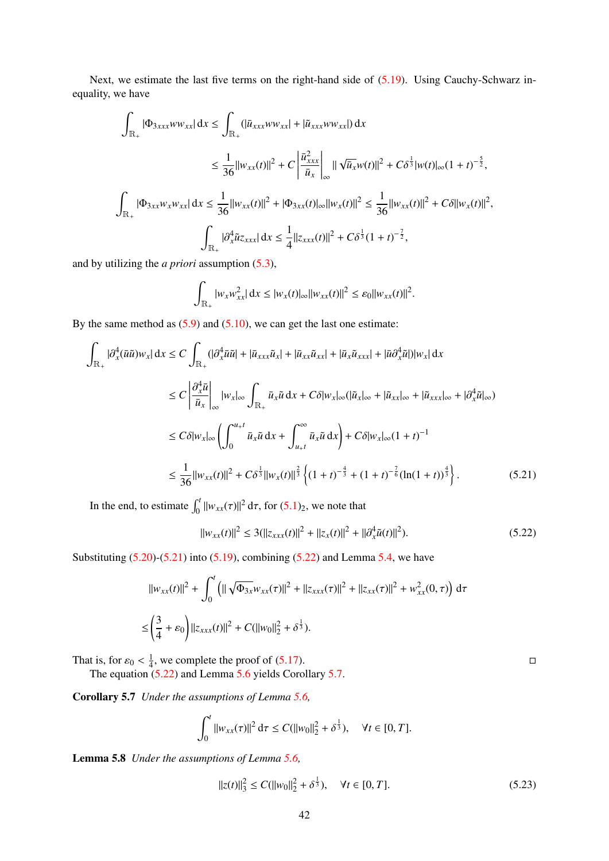Next, we estimate the last five terms on the right-hand side of  $(5.19)$ . Using Cauchy-Schwarz inequality, we have

$$
\int_{\mathbb{R}_{+}} |\Phi_{3xxx} w_{xx}| dx \leq \int_{\mathbb{R}_{+}} (|\bar{u}_{xxx} w_{xx}| + |\tilde{u}_{xxx} w_{xx}|) dx
$$
  
\n
$$
\leq \frac{1}{36} ||w_{xx}(t)||^{2} + C \left| \frac{\bar{u}_{xxx}^{2}}{\bar{u}_{x}} \right|_{\infty} ||\sqrt{\bar{u}_{x}} w(t)||^{2} + C \delta^{\frac{1}{3}} |w(t)|_{\infty} (1 + t)^{-\frac{5}{2}},
$$
  
\n
$$
\int_{\mathbb{R}_{+}} |\Phi_{3xx} w_{x} w_{xx}| dx \leq \frac{1}{36} ||w_{xx}(t)||^{2} + |\Phi_{3xx}(t)|_{\infty} ||w_{x}(t)||^{2} \leq \frac{1}{36} ||w_{xx}(t)||^{2} + C \delta ||w_{x}(t)||^{2},
$$
  
\n
$$
\int_{\mathbb{R}_{+}} |\partial_{x}^{4} \tilde{u}_{z_{xxx}}| dx \leq \frac{1}{4} ||z_{xxx}(t)||^{2} + C \delta^{\frac{1}{3}} (1 + t)^{-\frac{7}{2}},
$$

and by utilizing the *a priori* assumption [\(5.3\)](#page-37-5),

$$
\int_{\mathbb{R}_+} |w_x w_{xx}^2| dx \leq |w_x(t)|_{\infty} ||w_{xx}(t)||^2 \leq \varepsilon_0 ||w_{xx}(t)||^2.
$$

By the same method as  $(5.9)$  and  $(5.10)$ , we can get the last one estimate:

$$
\int_{\mathbb{R}_{+}} |\partial_{x}^{4}(\bar{u}\tilde{u})w_{x}| dx \leq C \int_{\mathbb{R}_{+}} (|\partial_{x}^{4}\bar{u}\tilde{u}| + |\bar{u}_{xxx}\tilde{u}_{x}| + |\bar{u}_{xx}\tilde{u}_{xx}| + |\bar{u}_{x}\tilde{u}_{xxx}| + |\bar{u}\partial_{x}^{4}\tilde{u}|)|w_{x}| dx
$$
\n
$$
\leq C \left| \frac{\partial_{x}^{4}\bar{u}}{\bar{u}_{x}} \right|_{\infty} |w_{x}|_{\infty} \int_{\mathbb{R}_{+}} \bar{u}_{x}\tilde{u} dx + C\delta |w_{x}|_{\infty} (|\tilde{u}_{x}|_{\infty} + |\tilde{u}_{xxx}|_{\infty} + |\partial_{x}^{4}\tilde{u}|_{\infty})
$$
\n
$$
\leq C\delta |w_{x}|_{\infty} \left( \int_{0}^{u_{+}t} \bar{u}_{x}\tilde{u} dx + \int_{u_{+}t}^{\infty} \bar{u}_{x}\tilde{u} dx \right) + C\delta |w_{x}|_{\infty} (1 + t)^{-1}
$$
\n
$$
\leq \frac{1}{36} ||w_{xx}(t)||^{2} + C\delta^{\frac{1}{3}} ||w_{x}(t)||^{\frac{2}{3}} \left\{ (1 + t)^{-\frac{4}{3}} + (1 + t)^{-\frac{7}{6}} (\ln(1 + t))^{\frac{4}{3}} \right\}.
$$
\n(5.21)

<span id="page-41-0"></span>In the end, to estimate  $\int_0^t ||w_{xx}(\tau)||^2 d\tau$ , for  $(5.1)_2$  $(5.1)_2$ , we note that

<span id="page-41-1"></span>
$$
||w_{xx}(t)||^2 \le 3(||z_{xxx}(t)||^2 + ||z_x(t)||^2 + ||\partial_x^4 \tilde{u}(t)||^2).
$$
 (5.22)

Substituting  $(5.20)$ - $(5.21)$  into  $(5.19)$ , combining  $(5.22)$  and Lemma [5.4,](#page-37-4) we have

$$
||w_{xx}(t)||^2 + \int_0^t \left( ||\sqrt{\Phi_{3x}} w_{xx}(\tau)||^2 + ||z_{xxx}(\tau)||^2 + ||z_{xx}(\tau)||^2 + w_{xx}^2(0, \tau) \right) d\tau
$$
  

$$
\leq \left( \frac{3}{4} + \varepsilon_0 \right) ||z_{xxx}(t)||^2 + C(||w_0||_2^2 + \delta^{\frac{1}{3}}).
$$

That is, for  $\varepsilon_0 < \frac{1}{4}$ <br>The equation 1  $\frac{1}{4}$ , we complete the proof of [\(5.17\)](#page-40-3).

The equation [\(5.22\)](#page-41-1) and Lemma [5.6](#page-40-4) yields Corollary [5.7.](#page-41-2)

<span id="page-41-2"></span>Corollary 5.7 *Under the assumptions of Lemma [5.6,](#page-40-4)*

$$
\int_0^t \|w_{xx}(\tau)\|^2 d\tau \leq C(||w_0||_2^2 + \delta^{\frac{1}{3}}), \quad \forall t \in [0, T].
$$

<span id="page-41-3"></span>Lemma 5.8 *Under the assumptions of Lemma [5.6,](#page-40-4)*

$$
||z(t)||_3^2 \le C(||w_0||_2^2 + \delta^{\frac{1}{3}}), \quad \forall t \in [0, T].
$$
 (5.23)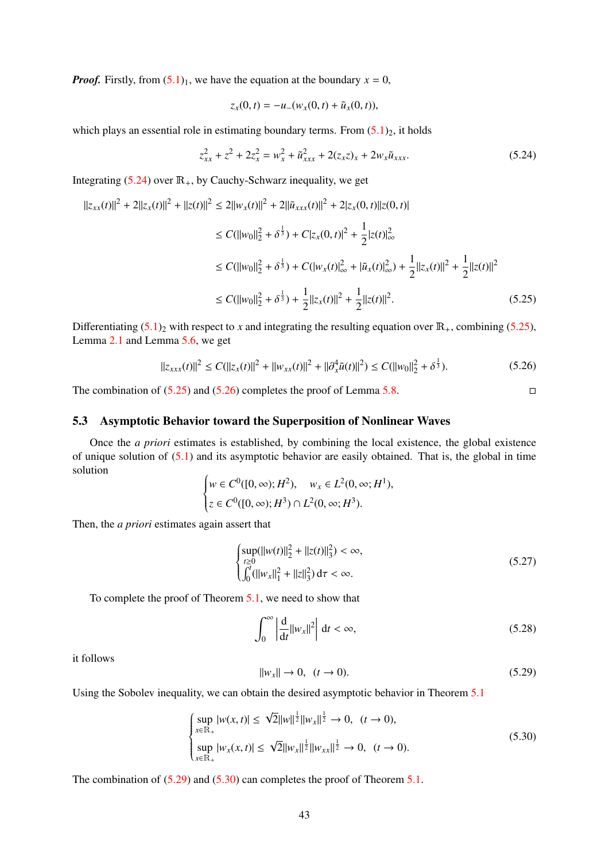*Proof.* Firstly, from  $(5.1)_1$  $(5.1)_1$ , we have the equation at the boundary  $x = 0$ ,

$$
z_x(0,t) = -u_-(w_x(0,t) + \tilde{u}_x(0,t)),
$$

which plays an essential role in estimating boundary terms. From  $(5.1)_2$  $(5.1)_2$ , it holds

<span id="page-42-1"></span>
$$
z_{xx}^2 + z^2 + 2z_x^2 = w_x^2 + \tilde{u}_{xxx}^2 + 2(z_x z)_x + 2w_x \tilde{u}_{xxx}.
$$
 (5.24)

Integrating  $(5.24)$  over  $\mathbb{R}_+$ , by Cauchy-Schwarz inequality, we get

$$
||z_{xx}(t)||^{2} + 2||z_{x}(t)||^{2} + ||z(t)||^{2} \le 2||w_{x}(t)||^{2} + 2||\tilde{u}_{xxx}(t)||^{2} + 2|z_{x}(0, t)||z(0, t)|
$$
  
\n
$$
\le C(||w_{0}||_{2}^{2} + \delta^{\frac{1}{3}}) + C|z_{x}(0, t)|^{2} + \frac{1}{2}|z(t)|_{\infty}^{2}
$$
  
\n
$$
\le C(||w_{0}||_{2}^{2} + \delta^{\frac{1}{3}}) + C(|w_{x}(t)|_{\infty}^{2} + |\tilde{u}_{x}(t)|_{\infty}^{2}) + \frac{1}{2}||z_{x}(t)||^{2} + \frac{1}{2}||z(t)||^{2}
$$
  
\n
$$
\le C(||w_{0}||_{2}^{2} + \delta^{\frac{1}{3}}) + \frac{1}{2}||z_{x}(t)||^{2} + \frac{1}{2}||z(t)||^{2}. \tag{5.25}
$$

<span id="page-42-2"></span>Differentiating  $(5.1)_2$  $(5.1)_2$  with respect to *x* and integrating the resulting equation over  $\mathbb{R}_+$ , combining [\(5.25\)](#page-42-2), Lemma [2.1](#page-4-0) and Lemma [5.6,](#page-40-4) we get

<span id="page-42-3"></span>
$$
||z_{xxx}(t)||^2 \le C(||z_x(t)||^2 + ||w_{xx}(t)||^2 + ||\partial_x^4 \tilde{u}(t)||^2) \le C(||w_0||_2^2 + \delta^{\frac{1}{3}}). \tag{5.26}
$$

The combination of  $(5.25)$  and  $(5.26)$  completes the proof of Lemma [5.8.](#page-41-3)

## <span id="page-42-0"></span>5.3 Asymptotic Behavior toward the Superposition of Nonlinear Waves

Once the *a priori* estimates is established, by combining the local existence, the global existence of unique solution of [\(5.1\)](#page-36-3) and its asymptotic behavior are easily obtained. That is, the global in time solution

$$
\begin{cases} w \in C^0([0, \infty); H^2), & w_x \in L^2(0, \infty; H^1), \\ z \in C^0([0, \infty); H^3) \cap L^2(0, \infty; H^3). \end{cases}
$$

Then, the *a priori* estimates again assert that

<span id="page-42-7"></span>
$$
\begin{cases}\n\sup_{t\geq 0} (\|w(t)\|_2^2 + \|z(t)\|_3^2) < \infty, \\
\int_0^t (\|w_x\|_1^2 + \|z\|_3^2) \, \mathrm{d}\tau < \infty.\n\end{cases} \tag{5.27}
$$

To complete the proof of Theorem [5.1,](#page-36-4) we need to show that

<span id="page-42-6"></span>
$$
\int_0^\infty \left| \frac{\mathrm{d}}{\mathrm{d}t} ||w_x||^2 \right| \, \mathrm{d}t < \infty,\tag{5.28}
$$

it follows

<span id="page-42-4"></span>
$$
||w_x|| \to 0, \quad (t \to 0). \tag{5.29}
$$

Using the Sobolev inequality, we can obtain the desired asymptotic behavior in Theorem [5.1](#page-36-4)

<span id="page-42-5"></span>
$$
\begin{cases}\n\sup_{x \in \mathbb{R}_+} |w(x, t)| \leq \sqrt{2} ||w||^{\frac{1}{2}} ||w_x||^{\frac{1}{2}} \to 0, \quad (t \to 0), \\
\sup_{x \in \mathbb{R}_+} |w_x(x, t)| \leq \sqrt{2} ||w_x||^{\frac{1}{2}} ||w_{xx}||^{\frac{1}{2}} \to 0, \quad (t \to 0).\n\end{cases} (5.30)
$$

The combination of  $(5.29)$  and  $(5.30)$  can completes the proof of Theorem [5.1.](#page-36-4)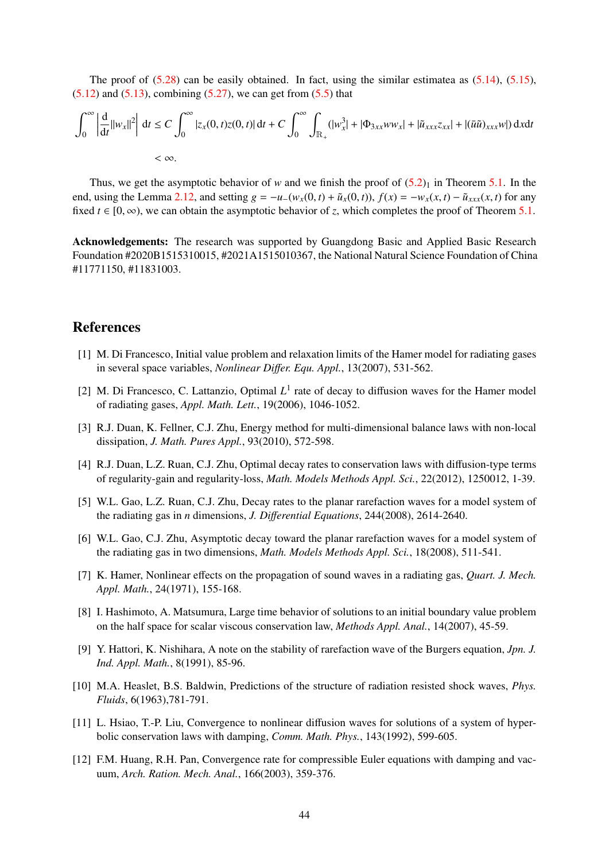The proof of  $(5.28)$  can be easily obtained. In fact, using the similar estimatea as  $(5.14)$ ,  $(5.15)$ ,  $(5.12)$  and  $(5.13)$ , combining  $(5.27)$ , we can get from  $(5.5)$  that

$$
\int_0^\infty \left| \frac{d}{dt} ||w_x||^2 \right| dt \le C \int_0^\infty |z_x(0, t)z(0, t)| dt + C \int_0^\infty \int_{\mathbb{R}_+} (|w_x^3| + |\Phi_{3xx} w w_x| + |\tilde{u}_{xxx} z_{xx}| + |(\bar{u}\tilde{u})_{xxx} w|) dx dt
$$
  
<  $\infty.$ 

Thus, we get the asymptotic behavior of *w* and we finish the proof of  $(5.2)_1$  $(5.2)_1$  in Theorem [5.1.](#page-36-4) In the end, using the Lemma [2.12,](#page-19-0) and setting  $g = -u_-(w_x(0,t) + \tilde{u}_x(0,t))$ ,  $f(x) = -w_x(x,t) - \tilde{u}_{xxx}(x,t)$  for any fixed  $t \in [0, \infty)$ , we can obtain the asymptotic behavior of *z*, which completes the proof of Theorem [5.1.](#page-36-4)

Acknowledgements: The research was supported by Guangdong Basic and Applied Basic Research Foundation #2020B1515310015, #2021A1515010367, the National Natural Science Foundation of China #11771150, #11831003.

## References

- <span id="page-43-5"></span>[1] M. Di Francesco, Initial value problem and relaxation limits of the Hamer model for radiating gases in several space variables, *Nonlinear Di*ff*er. Equ. Appl.*, 13(2007), 531-562.
- <span id="page-43-2"></span>[2] M. Di Francesco, C. Lattanzio, Optimal  $L^1$  rate of decay to diffusion waves for the Hamer model of radiating gases, *Appl. Math. Lett.*, 19(2006), 1046-1052.
- <span id="page-43-6"></span>[3] R.J. Duan, K. Fellner, C.J. Zhu, Energy method for multi-dimensional balance laws with non-local dissipation, *J. Math. Pures Appl.*, 93(2010), 572-598.
- <span id="page-43-3"></span>[4] R.J. Duan, L.Z. Ruan, C.J. Zhu, Optimal decay rates to conservation laws with diffusion-type terms of regularity-gain and regularity-loss, *Math. Models Methods Appl. Sci.*, 22(2012), 1250012, 1-39.
- <span id="page-43-4"></span>[5] W.L. Gao, L.Z. Ruan, C.J. Zhu, Decay rates to the planar rarefaction waves for a model system of the radiating gas in *n* dimensions, *J. Di*ff*erential Equations*, 244(2008), 2614-2640.
- <span id="page-43-1"></span>[6] W.L. Gao, C.J. Zhu, Asymptotic decay toward the planar rarefaction waves for a model system of the radiating gas in two dimensions, *Math. Models Methods Appl. Sci.*, 18(2008), 511-541.
- <span id="page-43-0"></span>[7] K. Hamer, Nonlinear effects on the propagation of sound waves in a radiating gas, *Quart. J. Mech. Appl. Math.*, 24(1971), 155-168.
- <span id="page-43-10"></span>[8] I. Hashimoto, A. Matsumura, Large time behavior of solutions to an initial boundary value problem on the half space for scalar viscous conservation law, *Methods Appl. Anal.*, 14(2007), 45-59.
- <span id="page-43-11"></span>[9] Y. Hattori, K. Nishihara, A note on the stability of rarefaction wave of the Burgers equation, *Jpn. J. Ind. Appl. Math.*, 8(1991), 85-96.
- <span id="page-43-7"></span>[10] M.A. Heaslet, B.S. Baldwin, Predictions of the structure of radiation resisted shock waves, *Phys. Fluids*, 6(1963),781-791.
- <span id="page-43-8"></span>[11] L. Hsiao, T.-P. Liu, Convergence to nonlinear diffusion waves for solutions of a system of hyperbolic conservation laws with damping, *Comm. Math. Phys.*, 143(1992), 599-605.
- <span id="page-43-9"></span>[12] F.M. Huang, R.H. Pan, Convergence rate for compressible Euler equations with damping and vacuum, *Arch. Ration. Mech. Anal.*, 166(2003), 359-376.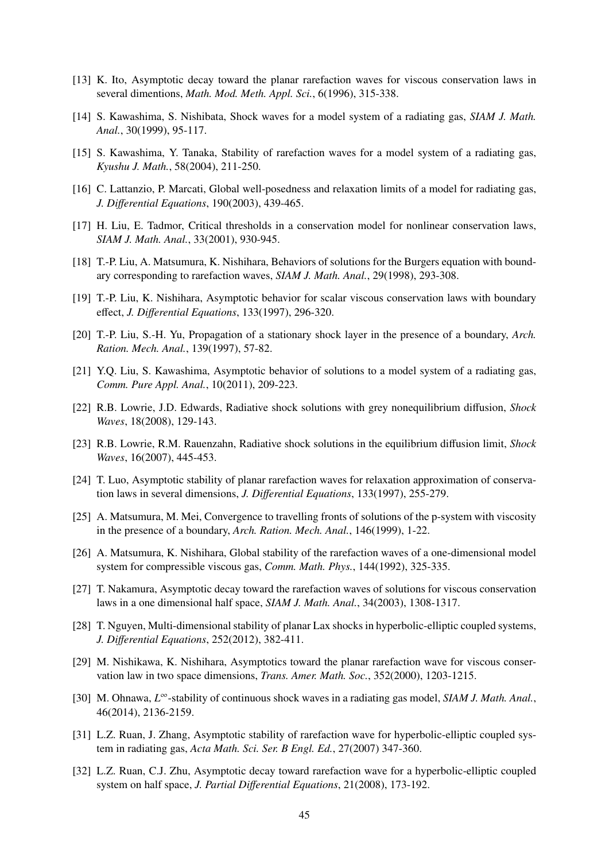- <span id="page-44-10"></span>[13] K. Ito, Asymptotic decay toward the planar rarefaction waves for viscous conservation laws in several dimentions, *Math. Mod. Meth. Appl. Sci.*, 6(1996), 315-338.
- <span id="page-44-0"></span>[14] S. Kawashima, S. Nishibata, Shock waves for a model system of a radiating gas, *SIAM J. Math. Anal.*, 30(1999), 95-117.
- <span id="page-44-1"></span>[15] S. Kawashima, Y. Tanaka, Stability of rarefaction waves for a model system of a radiating gas, *Kyushu J. Math.*, 58(2004), 211-250.
- <span id="page-44-6"></span>[16] C. Lattanzio, P. Marcati, Global well-posedness and relaxation limits of a model for radiating gas, *J. Di*ff*erential Equations*, 190(2003), 439-465.
- <span id="page-44-3"></span>[17] H. Liu, E. Tadmor, Critical thresholds in a conservation model for nonlinear conservation laws, *SIAM J. Math. Anal.*, 33(2001), 930-945.
- <span id="page-44-14"></span>[18] T.-P. Liu, A. Matsumura, K. Nishihara, Behaviors of solutions for the Burgers equation with boundary corresponding to rarefaction waves, *SIAM J. Math. Anal.*, 29(1998), 293-308.
- <span id="page-44-15"></span>[19] T.-P. Liu, K. Nishihara, Asymptotic behavior for scalar viscous conservation laws with boundary effect, *J. Di*ff*erential Equations*, 133(1997), 296-320.
- <span id="page-44-16"></span>[20] T.-P. Liu, S.-H. Yu, Propagation of a stationary shock layer in the presence of a boundary, *Arch. Ration. Mech. Anal.*, 139(1997), 57-82.
- <span id="page-44-4"></span>[21] Y.Q. Liu, S. Kawashima, Asymptotic behavior of solutions to a model system of a radiating gas, *Comm. Pure Appl. Anal.*, 10(2011), 209-223.
- <span id="page-44-7"></span>[22] R.B. Lowrie, J.D. Edwards, Radiative shock solutions with grey nonequilibrium diffusion, *Shock Waves*, 18(2008), 129-143.
- <span id="page-44-8"></span>[23] R.B. Lowrie, R.M. Rauenzahn, Radiative shock solutions in the equilibrium diffusion limit, *Shock Waves*, 16(2007), 445-453.
- <span id="page-44-11"></span>[24] T. Luo, Asymptotic stability of planar rarefaction waves for relaxation approximation of conservation laws in several dimensions, *J. Di*ff*erential Equations*, 133(1997), 255-279.
- <span id="page-44-17"></span>[25] A. Matsumura, M. Mei, Convergence to travelling fronts of solutions of the p-system with viscosity in the presence of a boundary, *Arch. Ration. Mech. Anal.*, 146(1999), 1-22.
- <span id="page-44-12"></span>[26] A. Matsumura, K. Nishihara, Global stability of the rarefaction waves of a one-dimensional model system for compressible viscous gas, *Comm. Math. Phys.*, 144(1992), 325-335.
- <span id="page-44-19"></span>[27] T. Nakamura, Asymptotic decay toward the rarefaction waves of solutions for viscous conservation laws in a one dimensional half space, *SIAM J. Math. Anal.*, 34(2003), 1308-1317.
- <span id="page-44-5"></span>[28] T. Nguyen, Multi-dimensional stability of planar Lax shocks in hyperbolic-elliptic coupled systems, *J. Di*ff*erential Equations*, 252(2012), 382-411.
- <span id="page-44-13"></span>[29] M. Nishikawa, K. Nishihara, Asymptotics toward the planar rarefaction wave for viscous conservation law in two space dimensions, *Trans. Amer. Math. Soc.*, 352(2000), 1203-1215.
- <span id="page-44-9"></span>[30] M. Ohnawa, *L* <sup>∞</sup>-stability of continuous shock waves in a radiating gas model, *SIAM J. Math. Anal.*, 46(2014), 2136-2159.
- <span id="page-44-2"></span>[31] L.Z. Ruan, J. Zhang, Asymptotic stability of rarefaction wave for hyperbolic-elliptic coupled system in radiating gas, *Acta Math. Sci. Ser. B Engl. Ed.*, 27(2007) 347-360.
- <span id="page-44-18"></span>[32] L.Z. Ruan, C.J. Zhu, Asymptotic decay toward rarefaction wave for a hyperbolic-elliptic coupled system on half space, *J. Partial Di*ff*erential Equations*, 21(2008), 173-192.